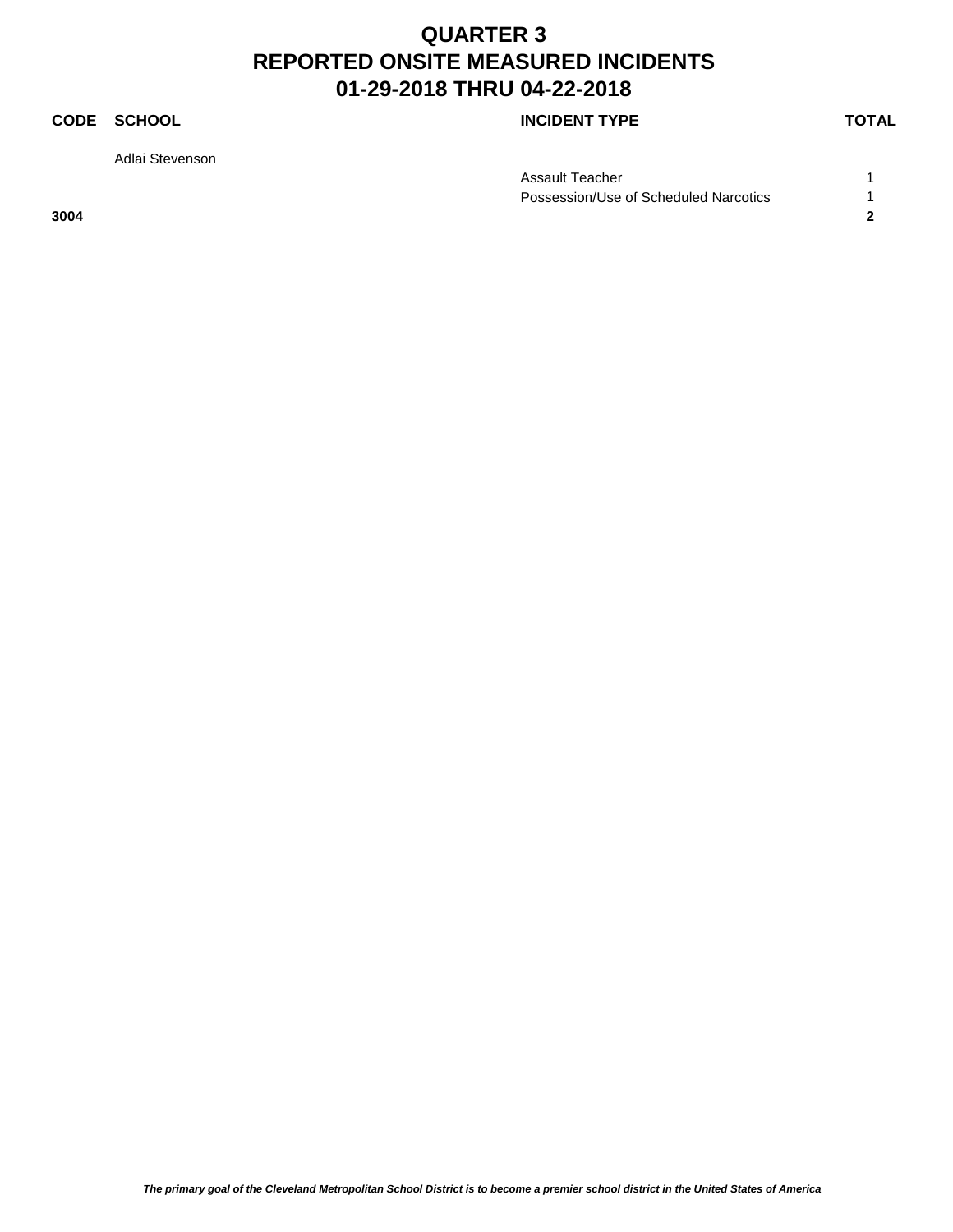### **CODE SCHOOL CODE SCHOOL**

Adlai Stevenson

| Assault Teacher                       |  |
|---------------------------------------|--|
| Possession/Use of Scheduled Narcotics |  |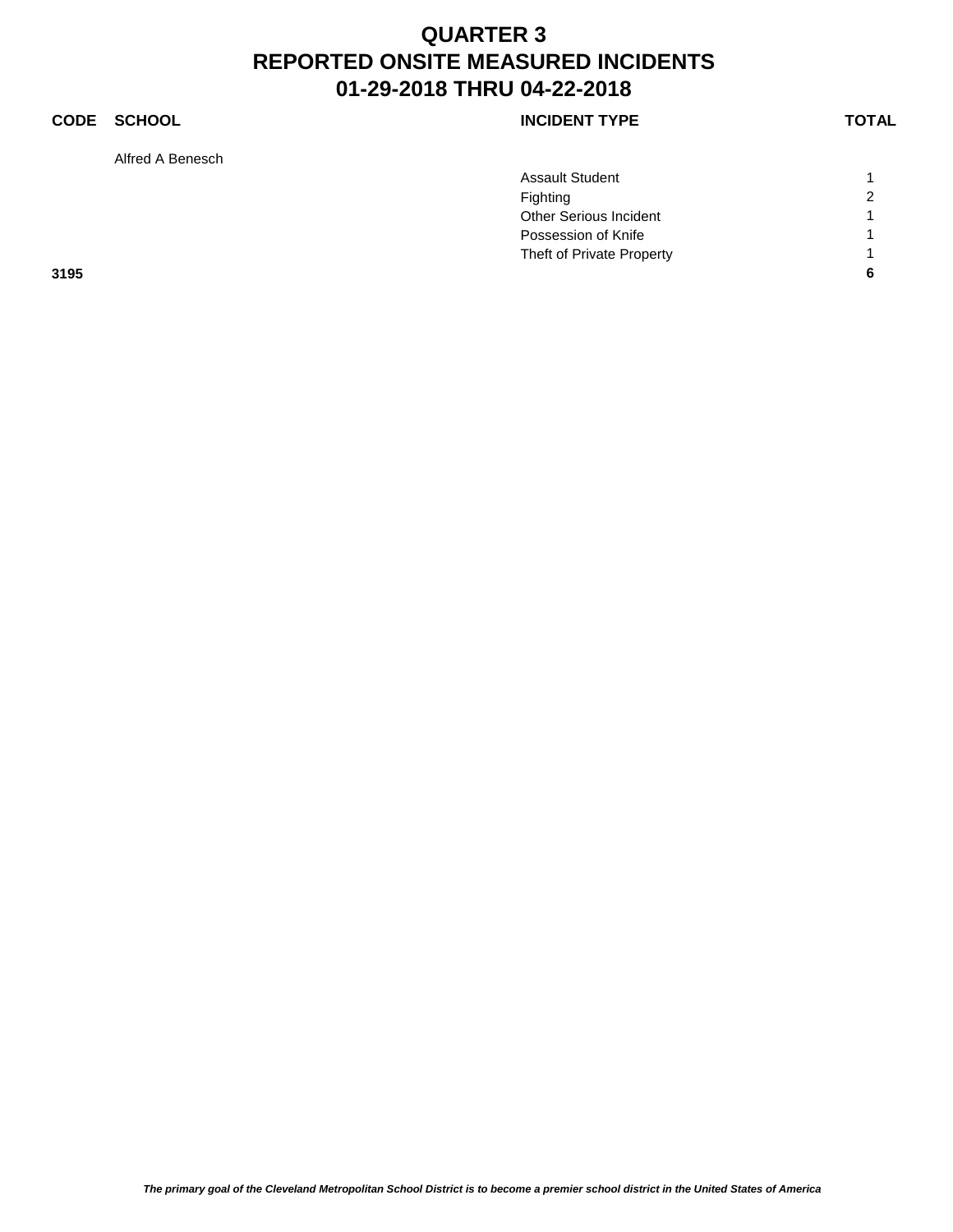### **CODE SCHOOL CODE SCHOOL**

Alfred A Benesch

|      | <b>Assault Student</b>        |                |
|------|-------------------------------|----------------|
|      | Fighting                      | $\overline{2}$ |
|      | <b>Other Serious Incident</b> |                |
|      | Possession of Knife           |                |
|      | Theft of Private Property     |                |
| 3195 |                               | 6              |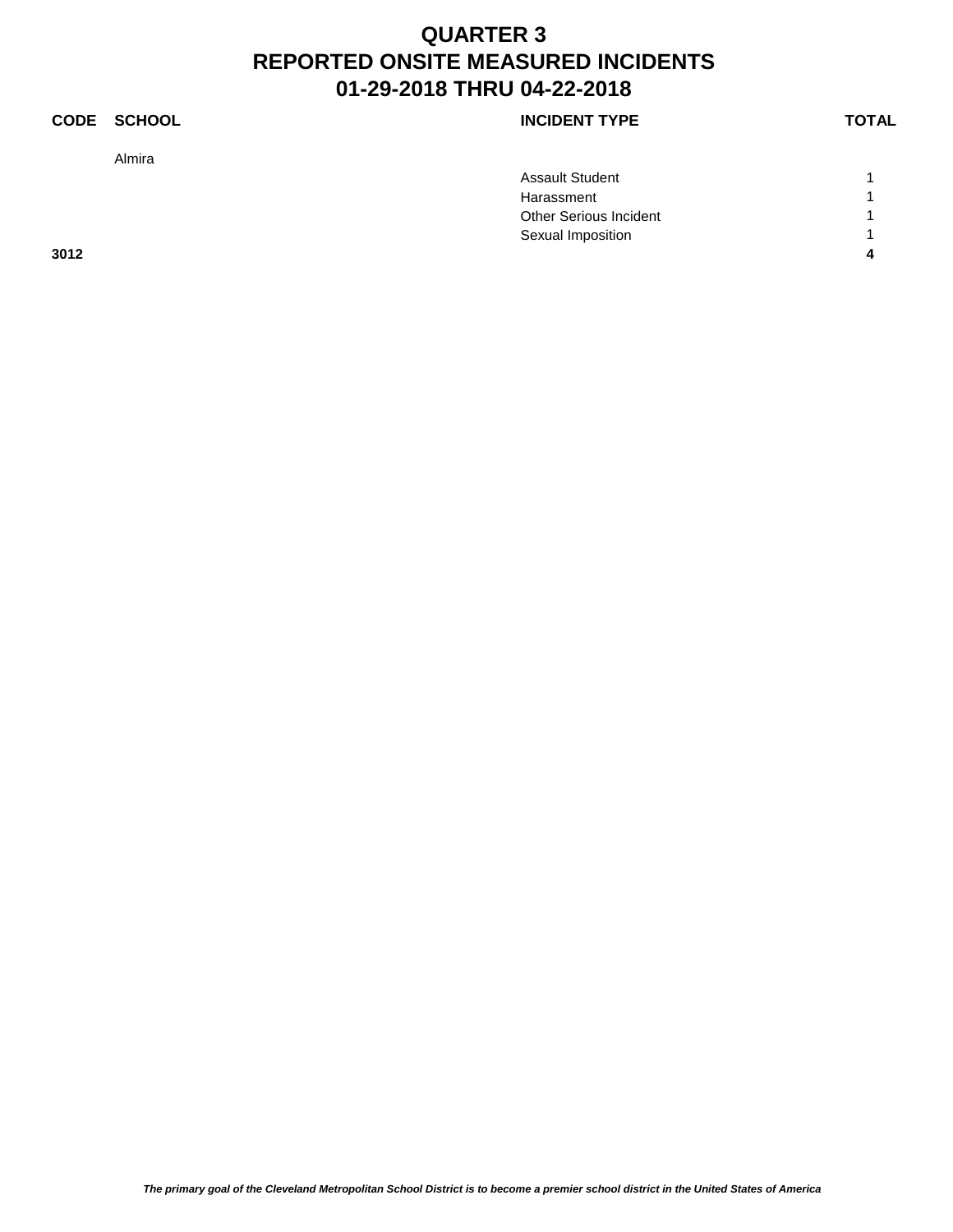### **CODE SCHOOL CODE SCHOOL**

Almira

|      | <b>Assault Student</b> |   |
|------|------------------------|---|
|      | Harassment             |   |
|      | Other Serious Incident |   |
|      | Sexual Imposition      |   |
| 3012 |                        | л |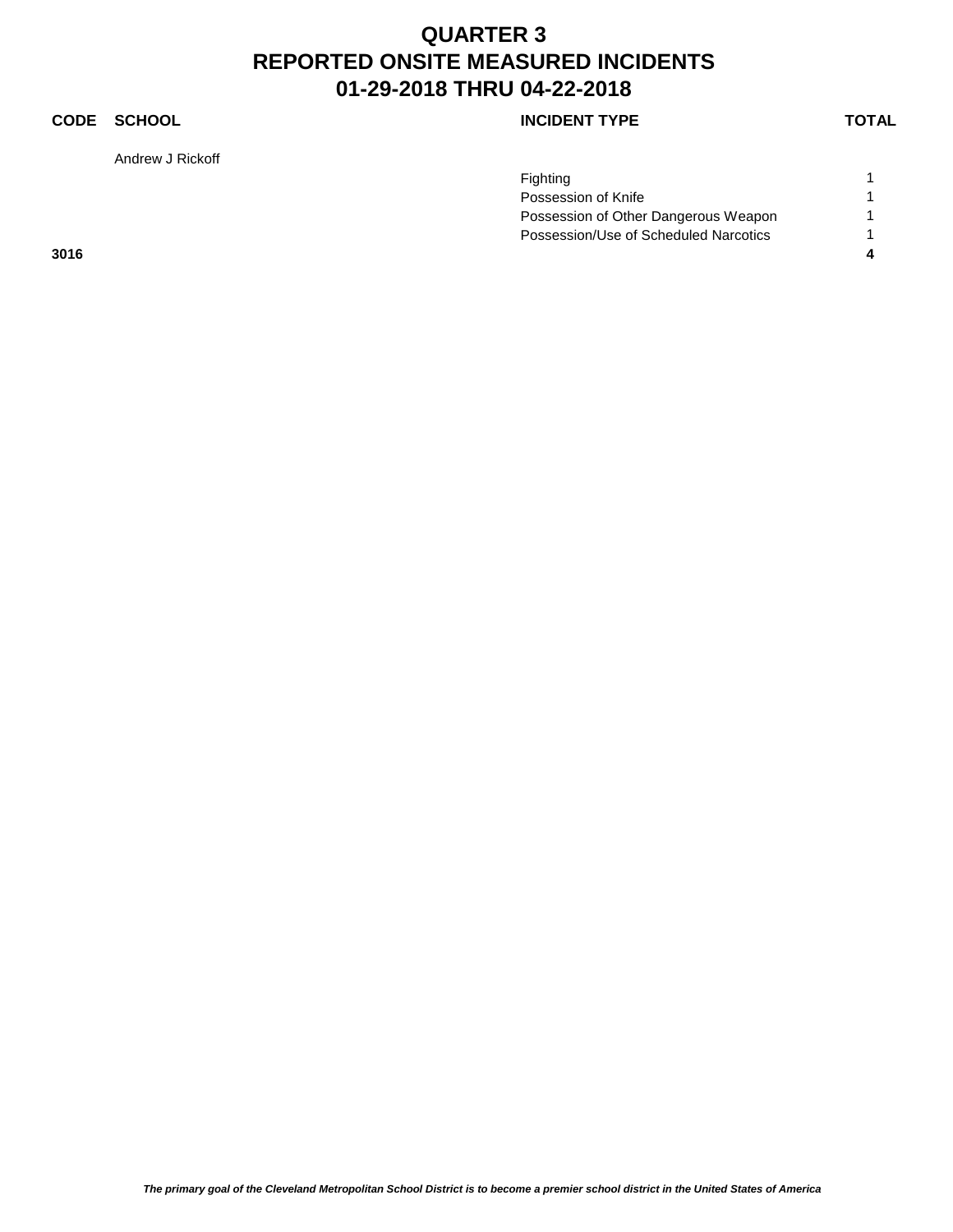### **CODE SCHOOL CODE SCHOOL**

Andrew J Rickoff

|      | Fighting                              |  |
|------|---------------------------------------|--|
|      | Possession of Knife                   |  |
|      | Possession of Other Dangerous Weapon  |  |
|      | Possession/Use of Scheduled Narcotics |  |
| 3016 |                                       |  |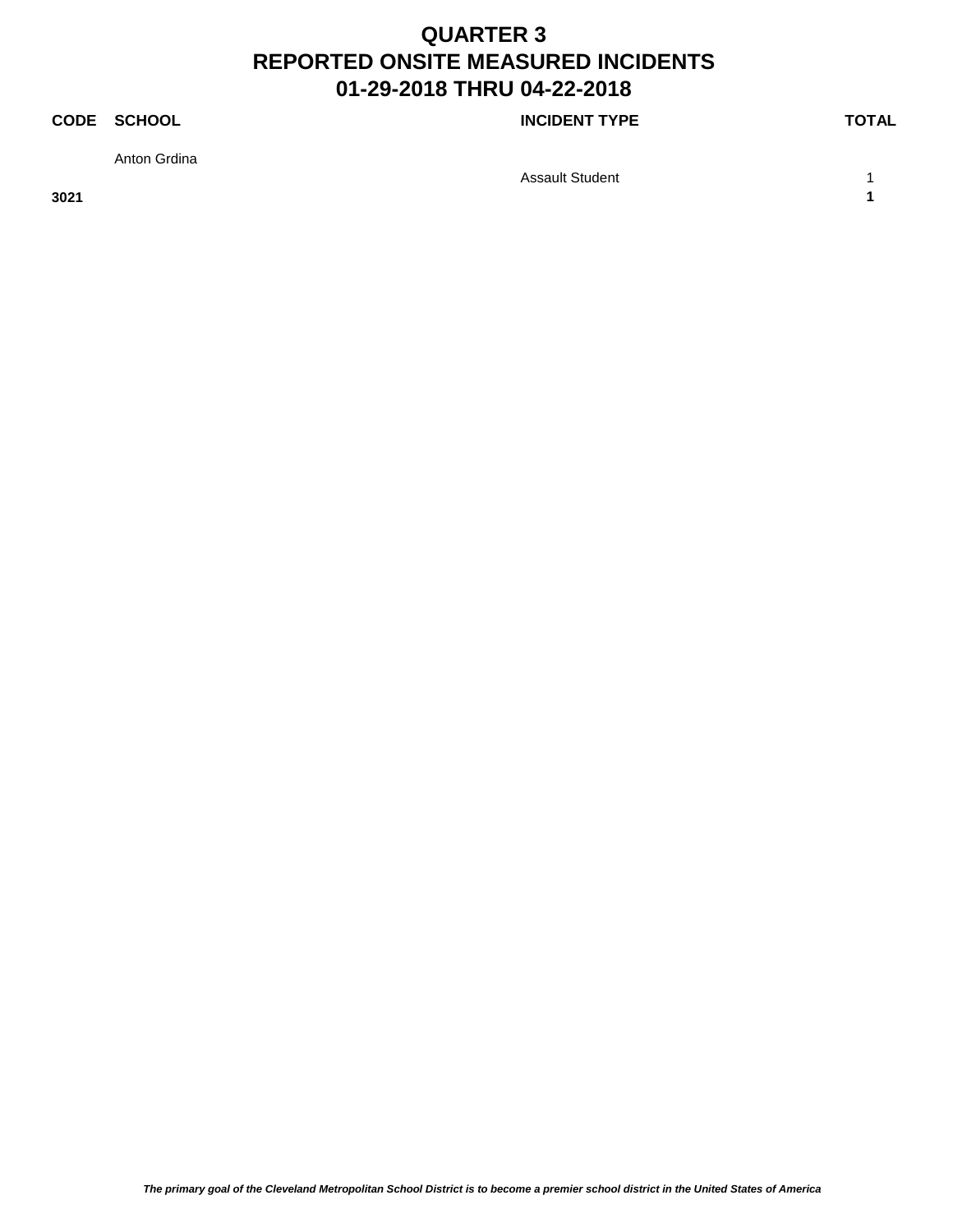### **CODE SCHOOL CODE SCHOOL**

Anton Grdina

Assault Student 1 1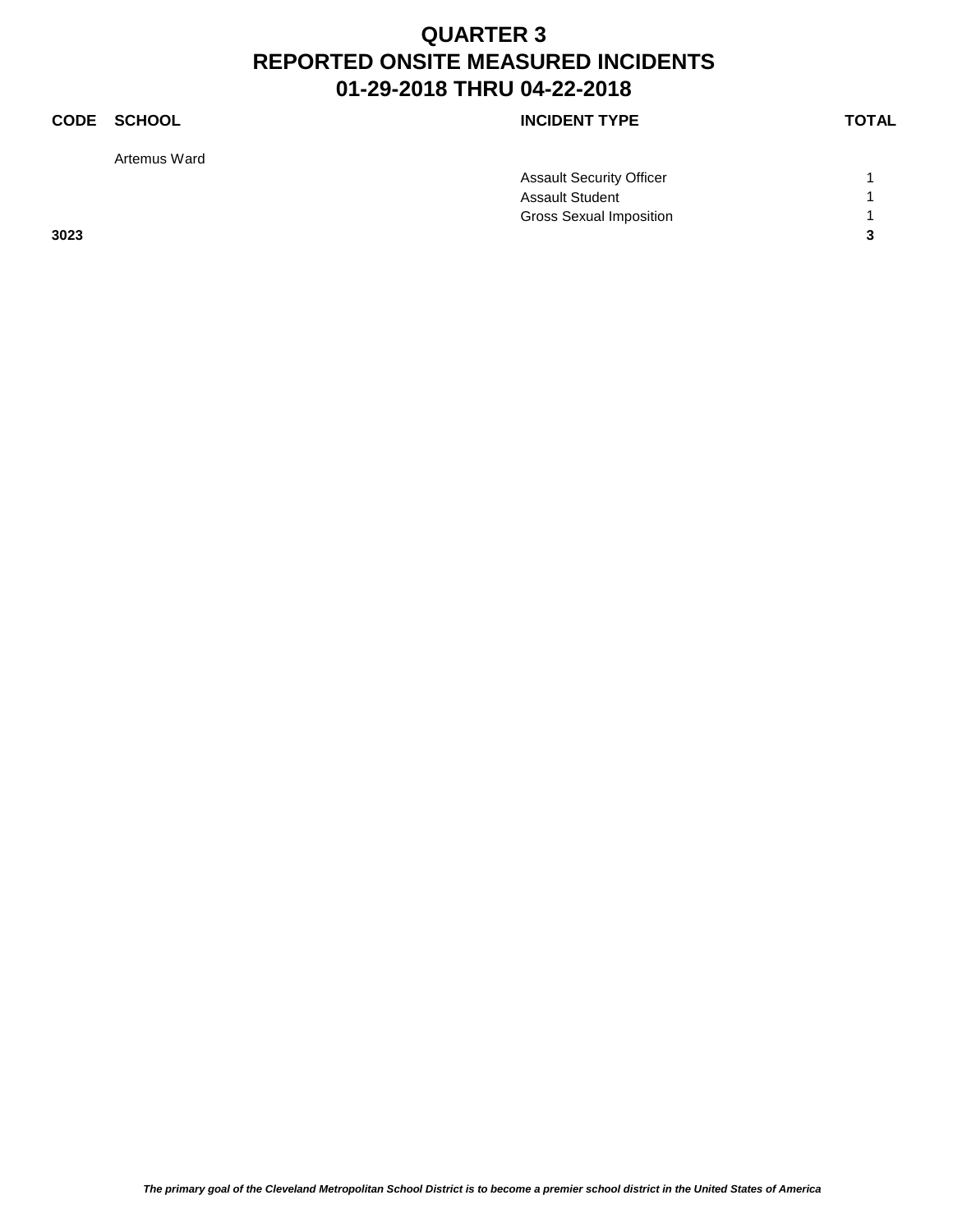Artemus Ward

### **CODE SCHOOL CODE SCHOOL**

|      | <b>Assault Security Officer</b> |   |
|------|---------------------------------|---|
|      | <b>Assault Student</b>          |   |
|      | <b>Gross Sexual Imposition</b>  |   |
| 3023 |                                 | ◠ |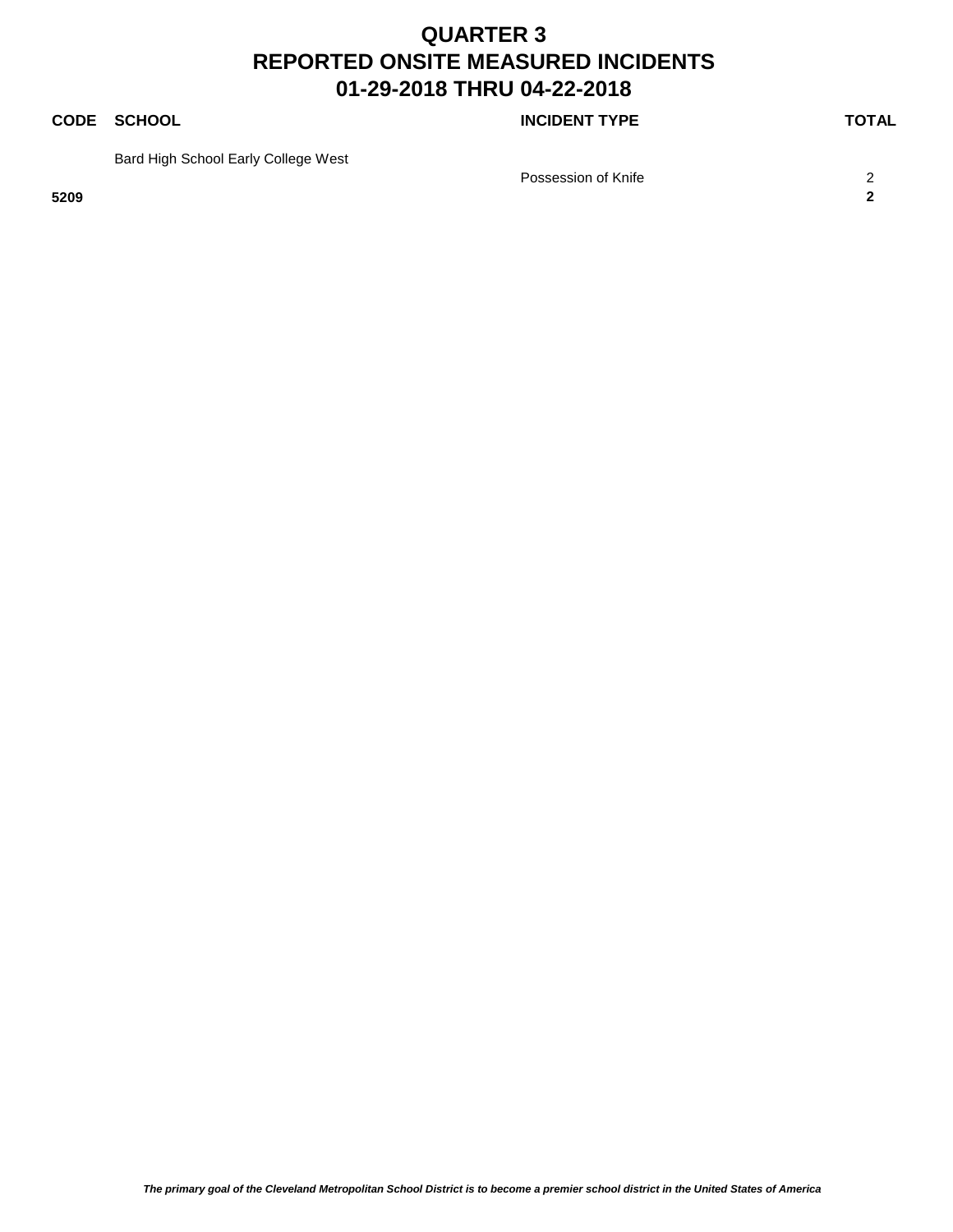### **CODE SCHOOL CODE SCHOOL**

Bard High School Early College West

Possession of Knife 2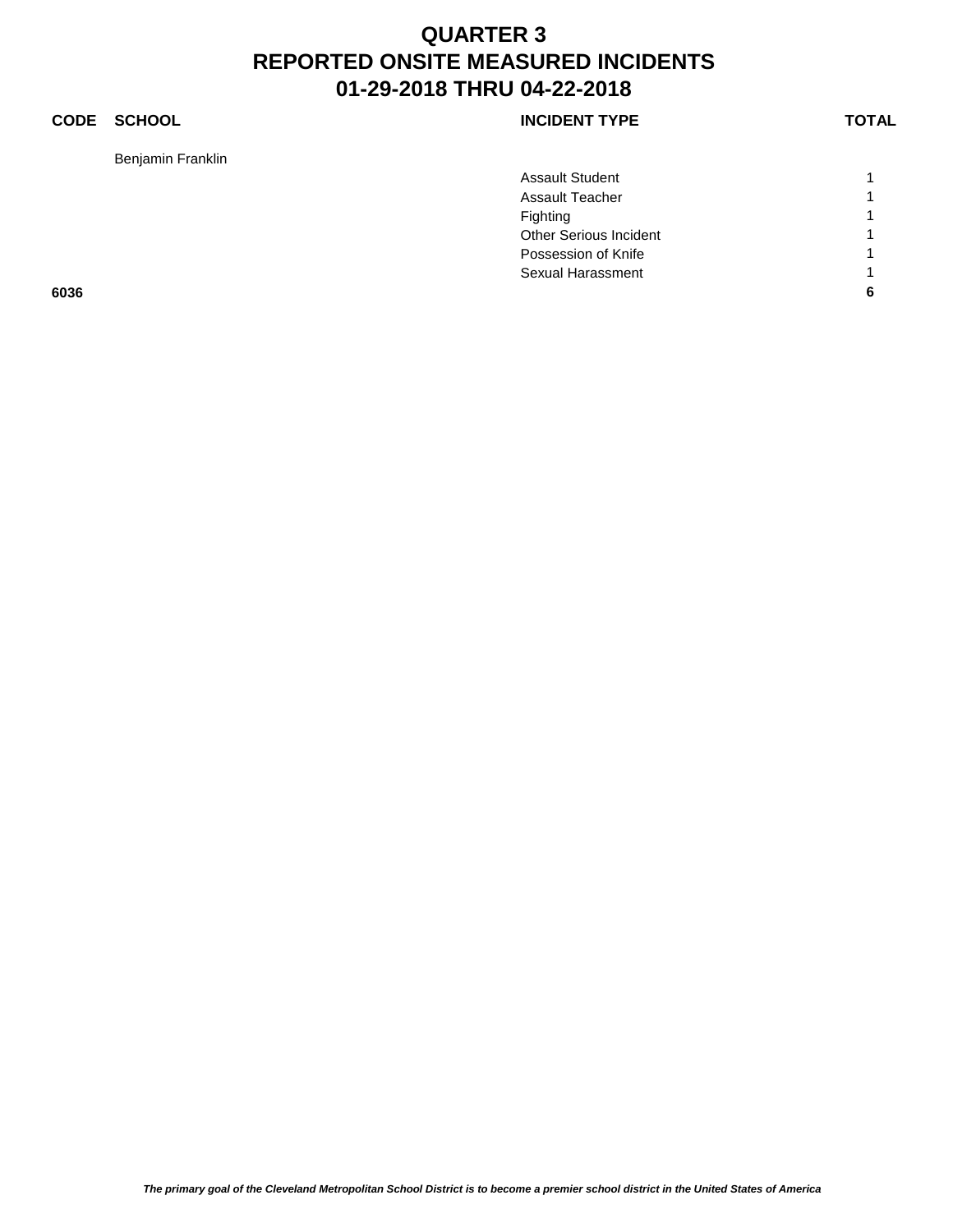### **CODE SCHOOL CODE SCHOOL**

Benjamin Franklin

| <b>INCIDENT TYPE</b> |  |
|----------------------|--|
|----------------------|--|

|      | <b>Assault Student</b> |   |
|------|------------------------|---|
|      | <b>Assault Teacher</b> | и |
|      | Fighting               |   |
|      | Other Serious Incident | и |
|      | Possession of Knife    | и |
|      | Sexual Harassment      | и |
| 6036 |                        | 6 |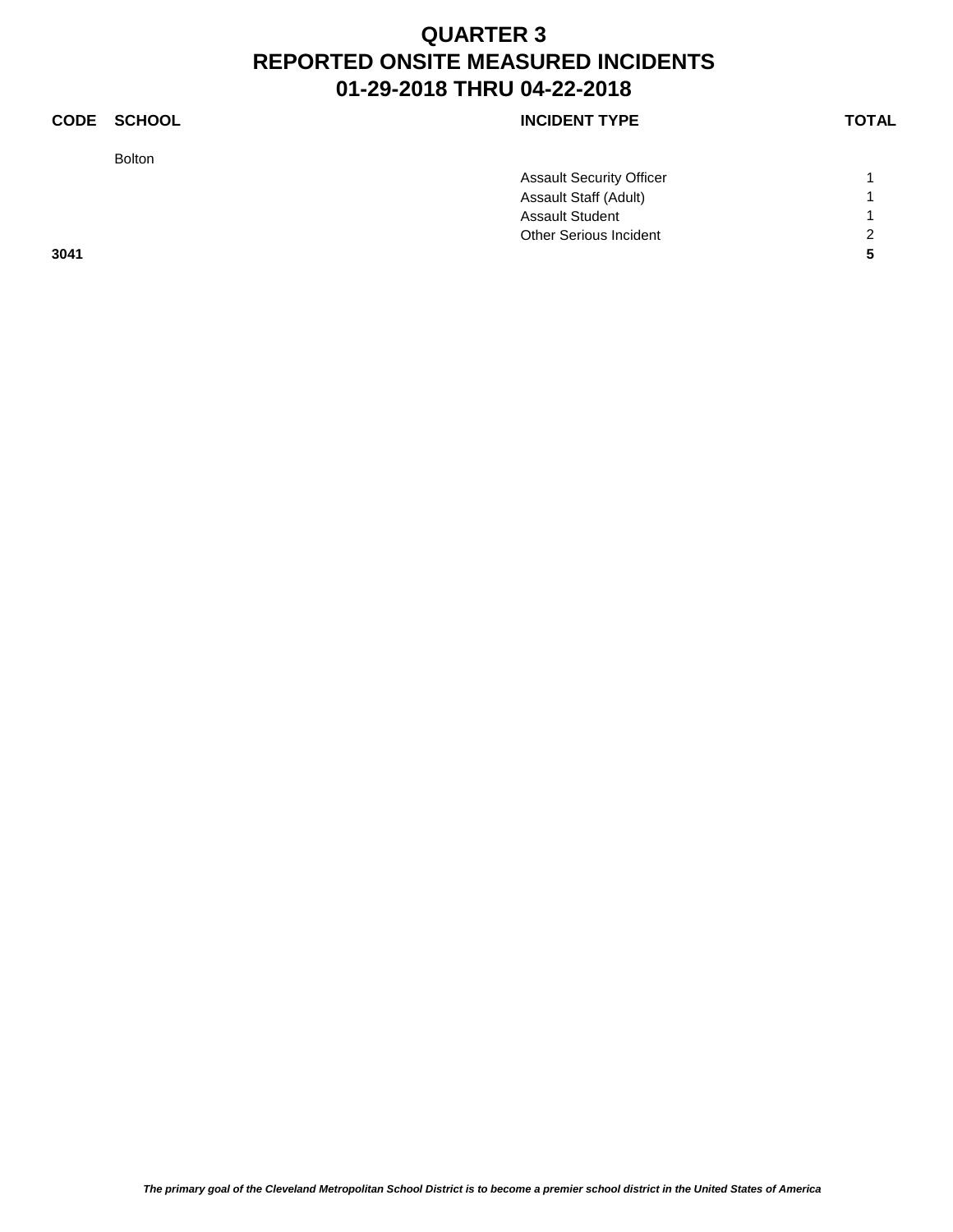Bolton

### **CODE SCHOOL CODE SCHOOL**

|      | <b>Assault Security Officer</b> |                |
|------|---------------------------------|----------------|
|      | Assault Staff (Adult)           |                |
|      | <b>Assault Student</b>          |                |
|      | Other Serious Incident          | $\overline{2}$ |
| 3041 |                                 |                |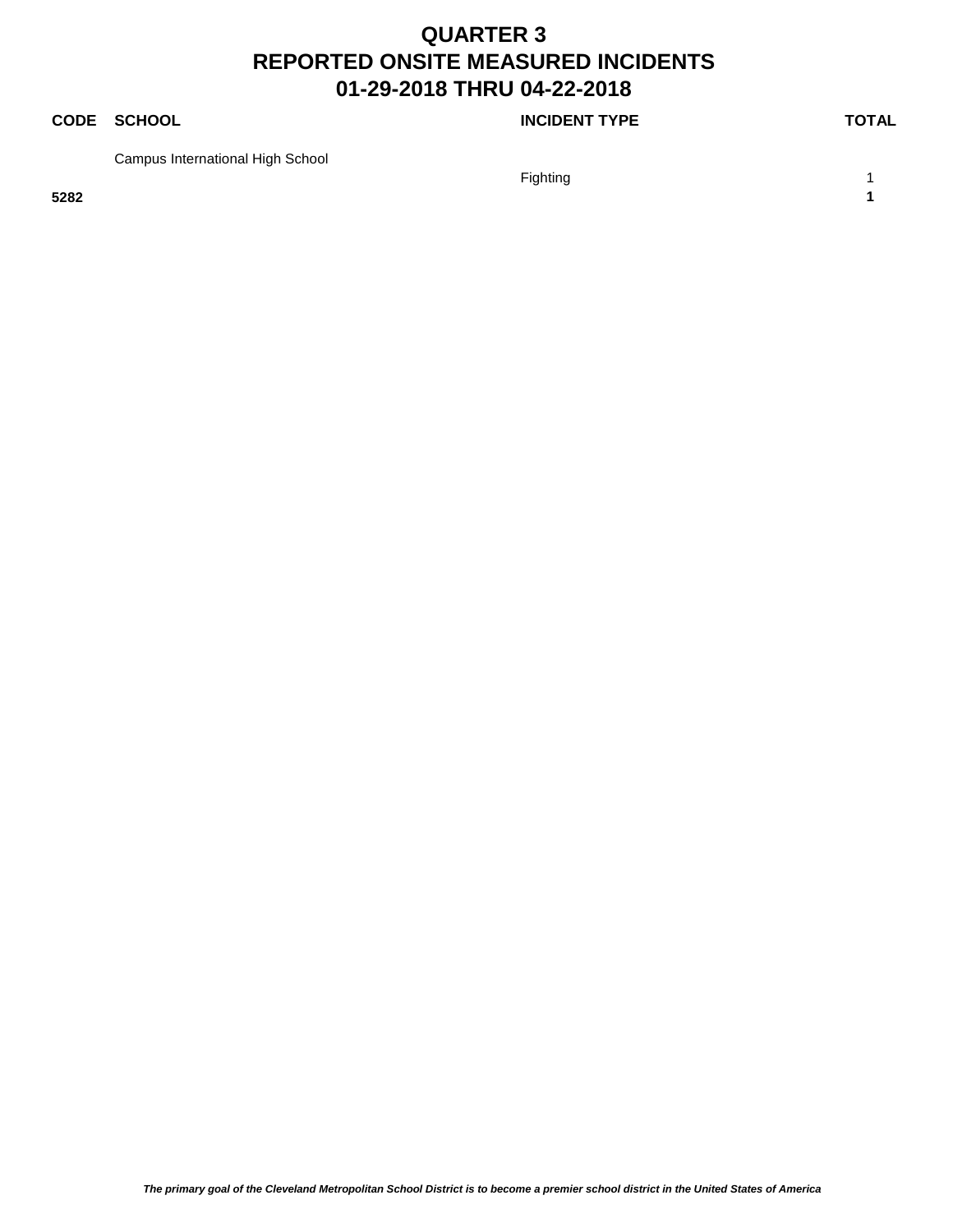### **CODE SCHOOL CODE SCHOOL**

Campus International High School

Fighting the contract of the contract of the contract of the contract of the contract of the contract of the contract of the contract of the contract of the contract of the contract of the contract of the contract of the c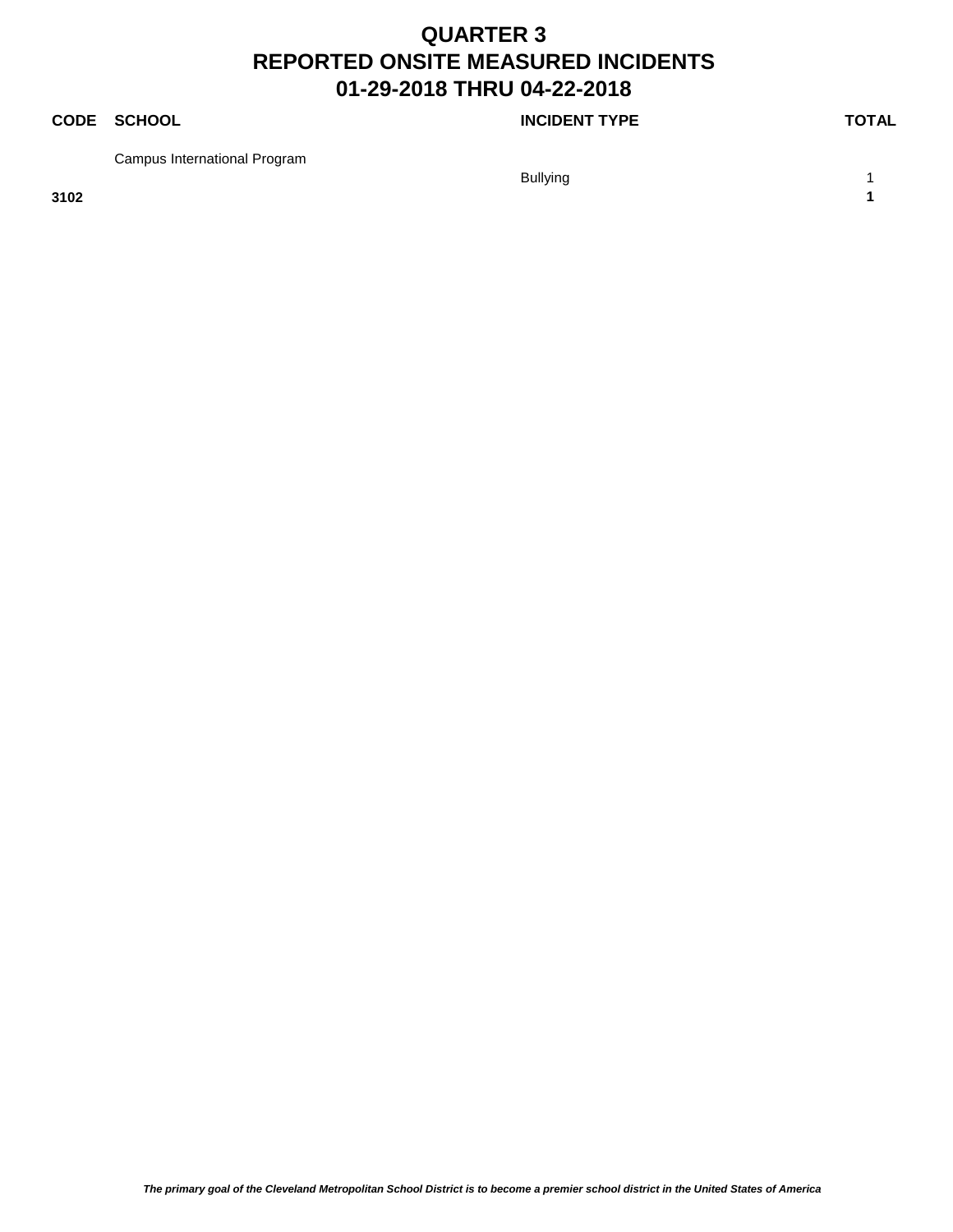### **CODE SCHOOL CODE SCHOOL**

Campus International Program

Bullying 1 and 1 and 1 and 1 and 1 and 1 and 1 and 1 and 1 and 1 and 1 and 1 and 1 and 1 and 1 and 1 and 1 and 1 and 1 and 1 and 1 and 1 and 1 and 1 and 1 and 1 and 1 and 1 and 1 and 1 and 1 and 1 and 1 and 1 and 1 and 1 a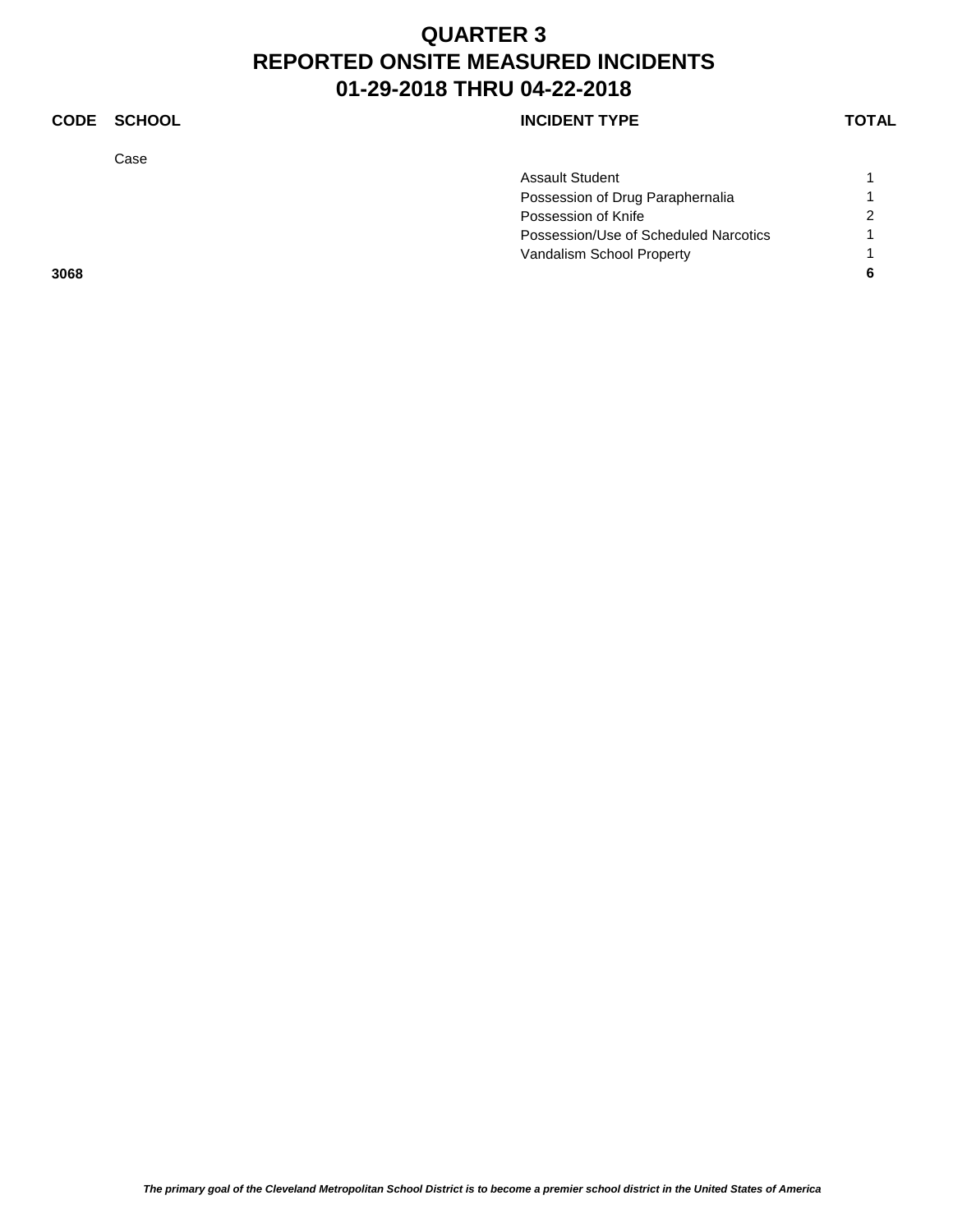### **CODE SCHOOL CODE SCHOOL**

Case

|      | <b>Assault Student</b>                |   |
|------|---------------------------------------|---|
|      | Possession of Drug Paraphernalia      |   |
|      | Possession of Knife                   | 2 |
|      | Possession/Use of Scheduled Narcotics |   |
|      | Vandalism School Property             |   |
| 3068 |                                       |   |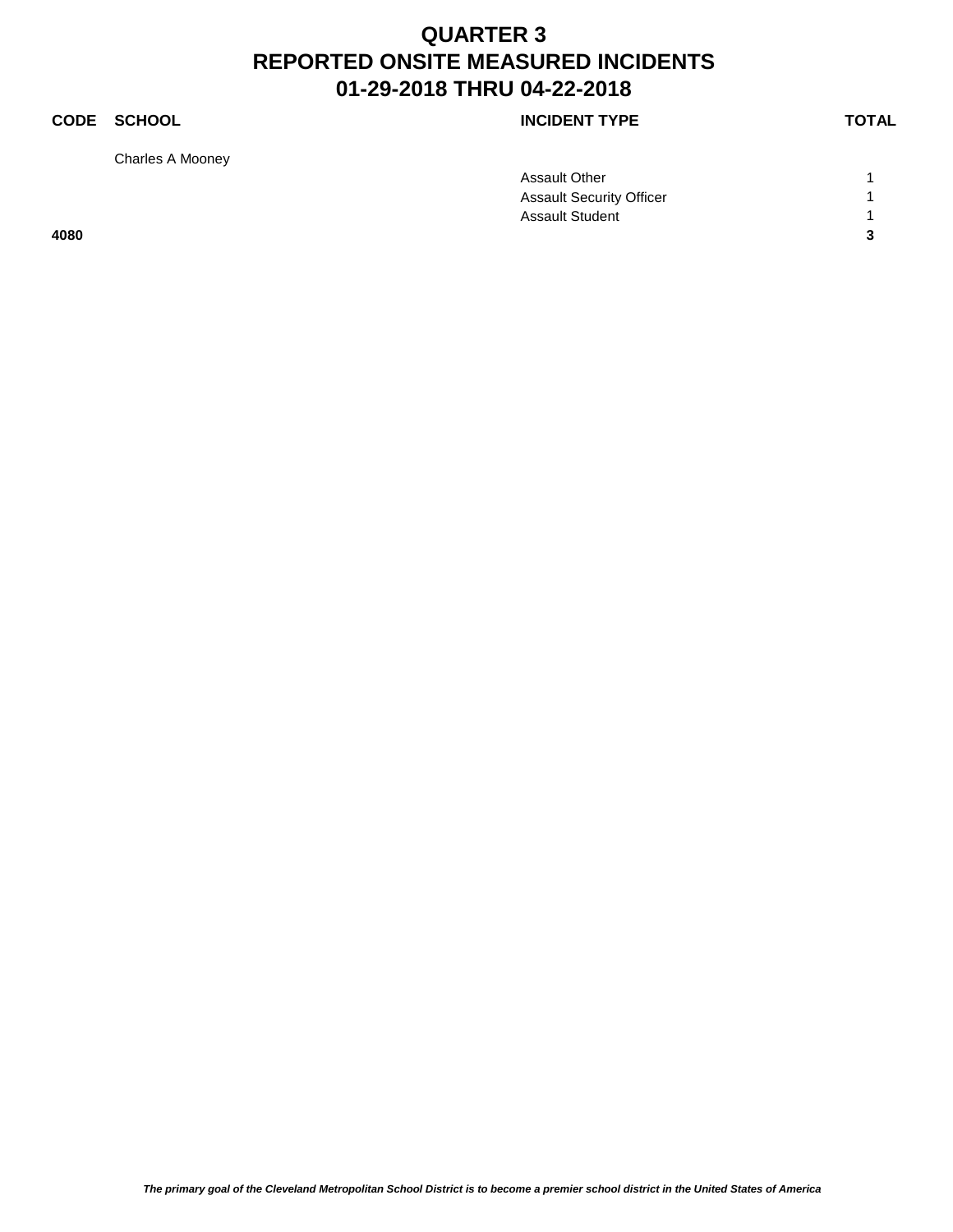### **CODE SCHOOL CODE SCHOOL**

Charles A Mooney

|      | <b>Assault Other</b>            |                |
|------|---------------------------------|----------------|
|      | <b>Assault Security Officer</b> |                |
|      | <b>Assault Student</b>          |                |
| 4080 |                                 | $\overline{3}$ |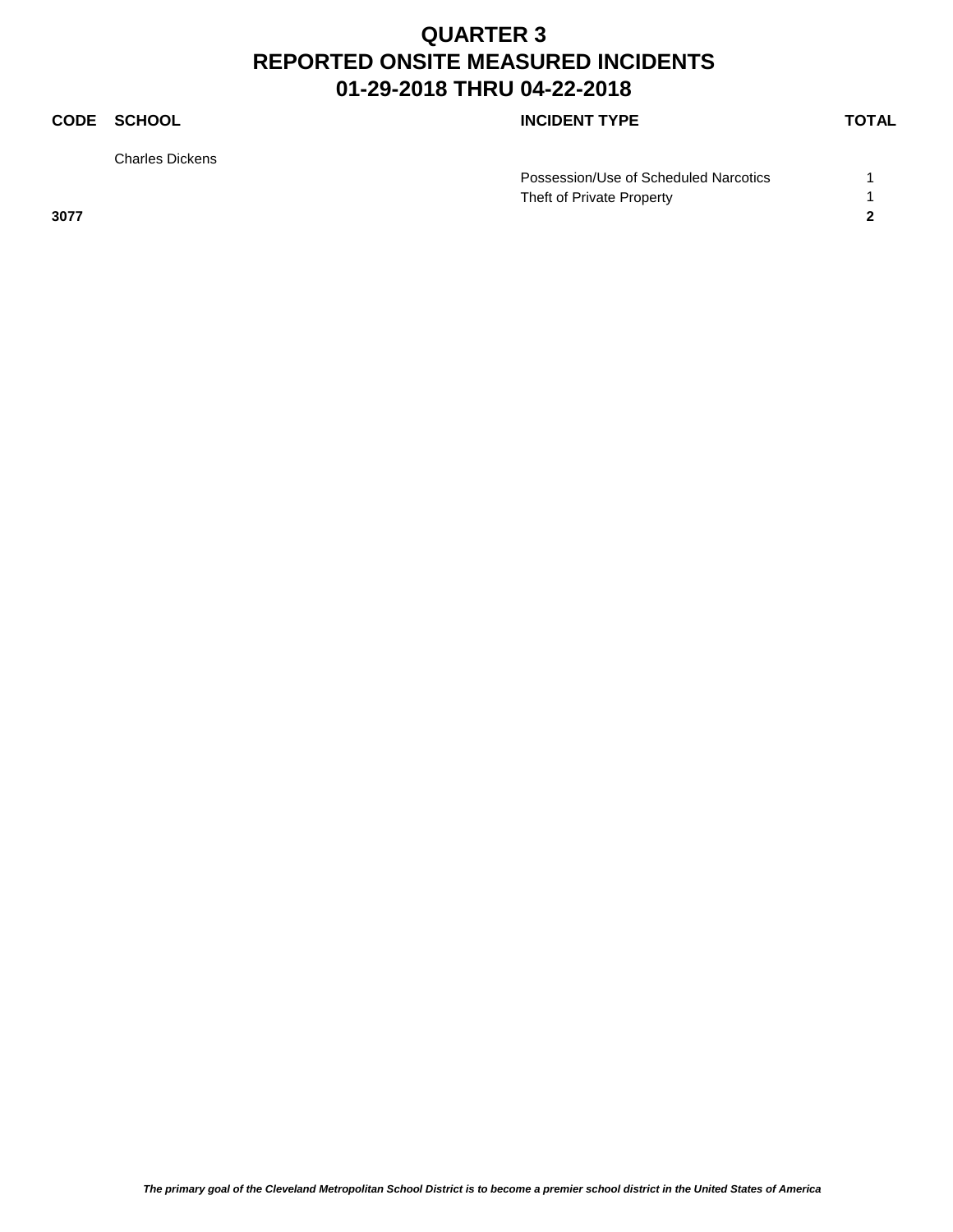Charles Dickens

### **CODE SCHOOL CODE SCHOOL**

| Possession/Use of Scheduled Narcotics |  |
|---------------------------------------|--|
| Theft of Private Property             |  |
| 3077                                  |  |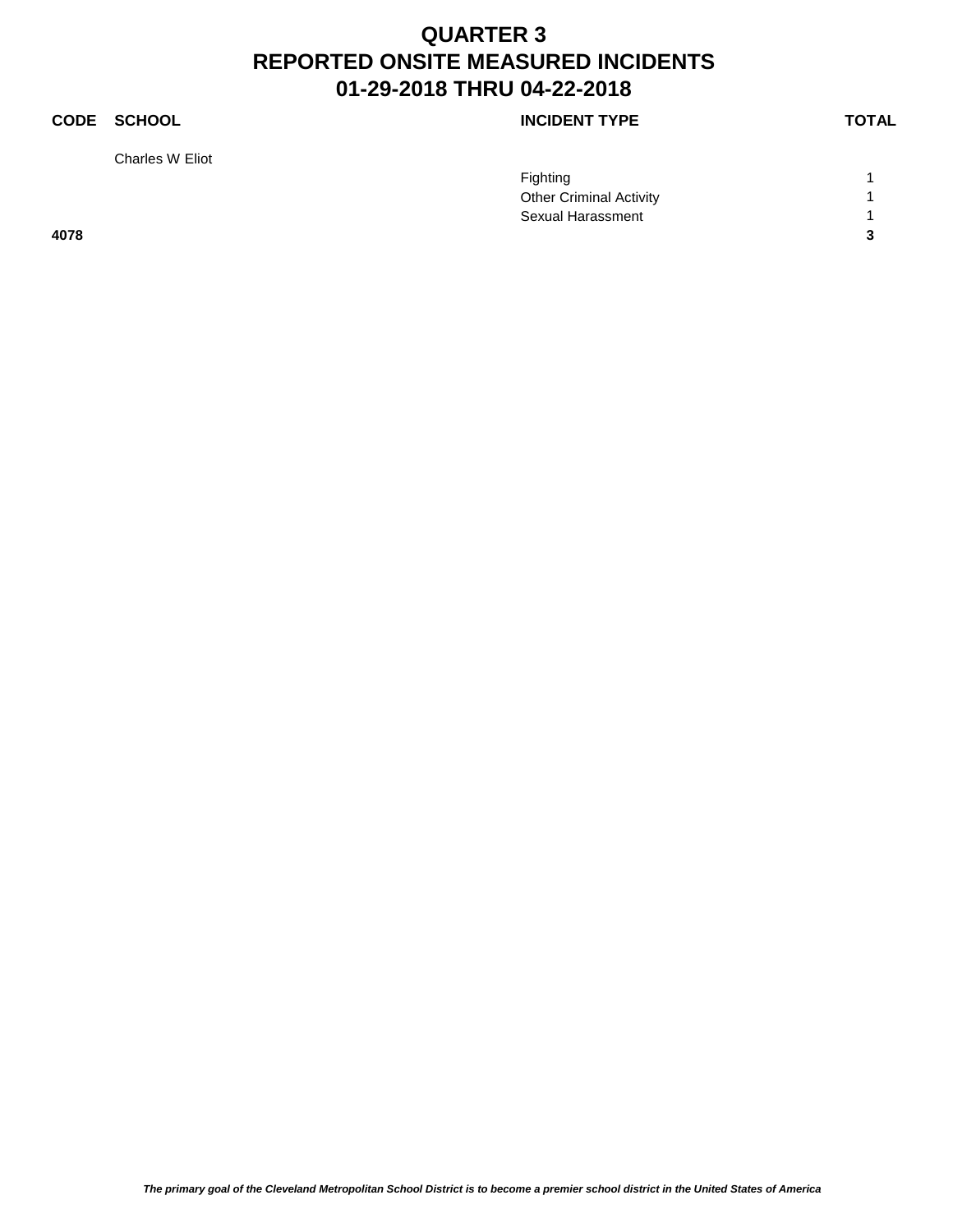### **CODE SCHOOL CODE SCHOOL**

Charles W Eliot

|      | <b>Fighting</b>                |                     |
|------|--------------------------------|---------------------|
|      | <b>Other Criminal Activity</b> |                     |
|      | Sexual Harassment              |                     |
| 4078 |                                | $\mathbf{r}$<br>- 1 |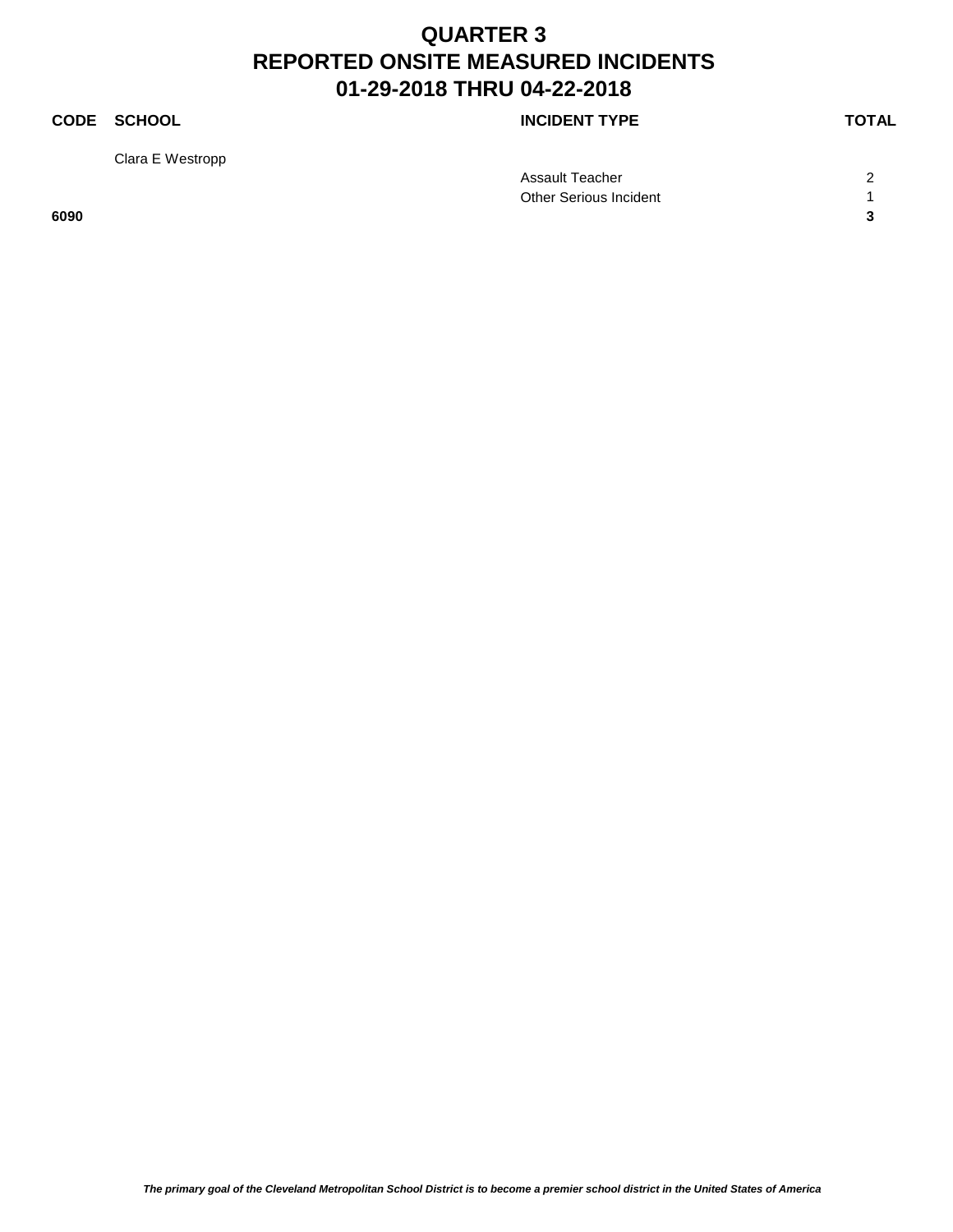Clara E Westropp

**CODE SCHOOL CODE SCHOOL** 

|      | Assault Teacher        | ⌒                        |
|------|------------------------|--------------------------|
|      | Other Serious Incident |                          |
| 6090 |                        | $\overline{\phantom{a}}$ |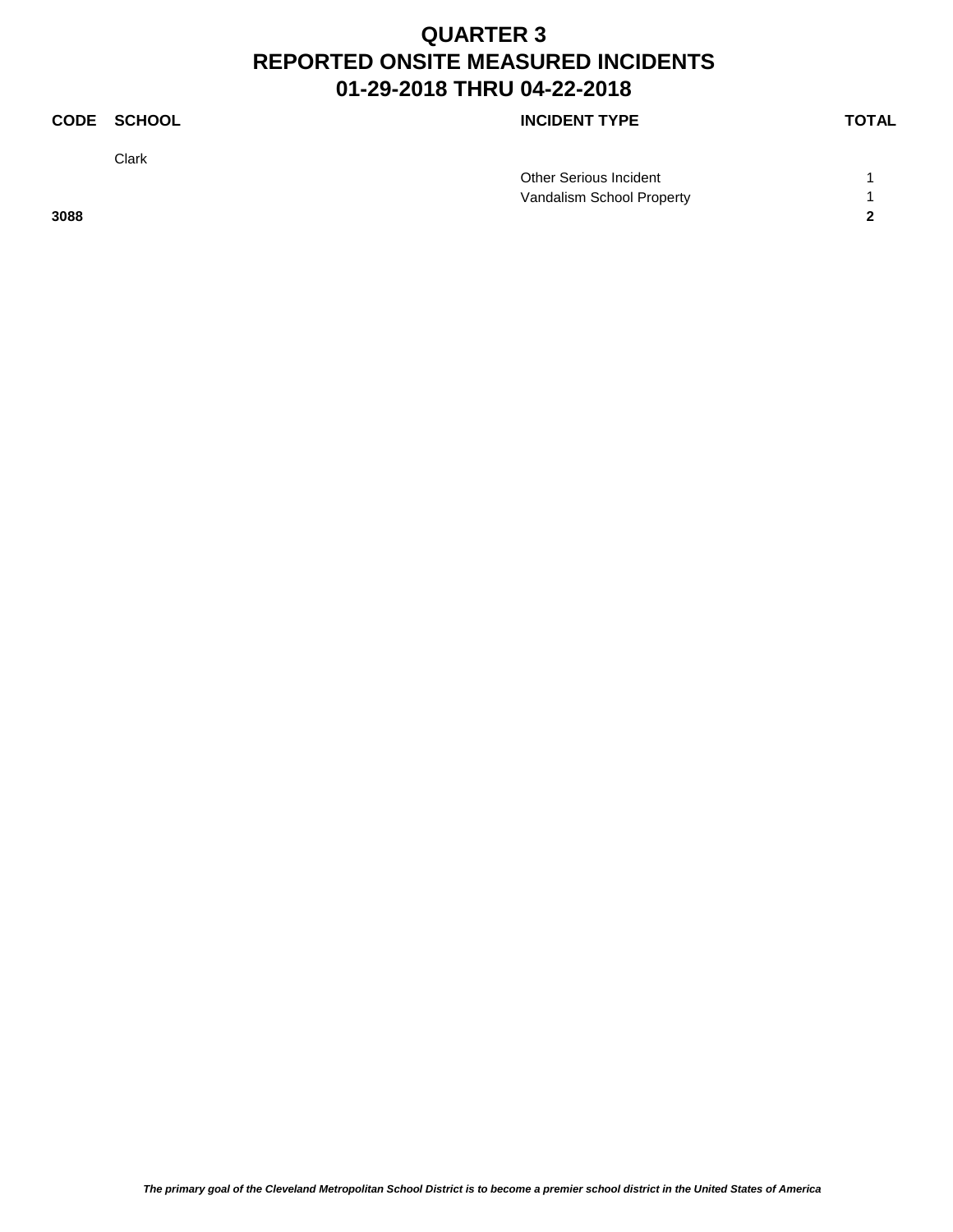Clark

### **CODE SCHOOL CODE SCHOOL**

|      | Other Serious Incident    |  |
|------|---------------------------|--|
|      | Vandalism School Property |  |
| 3088 |                           |  |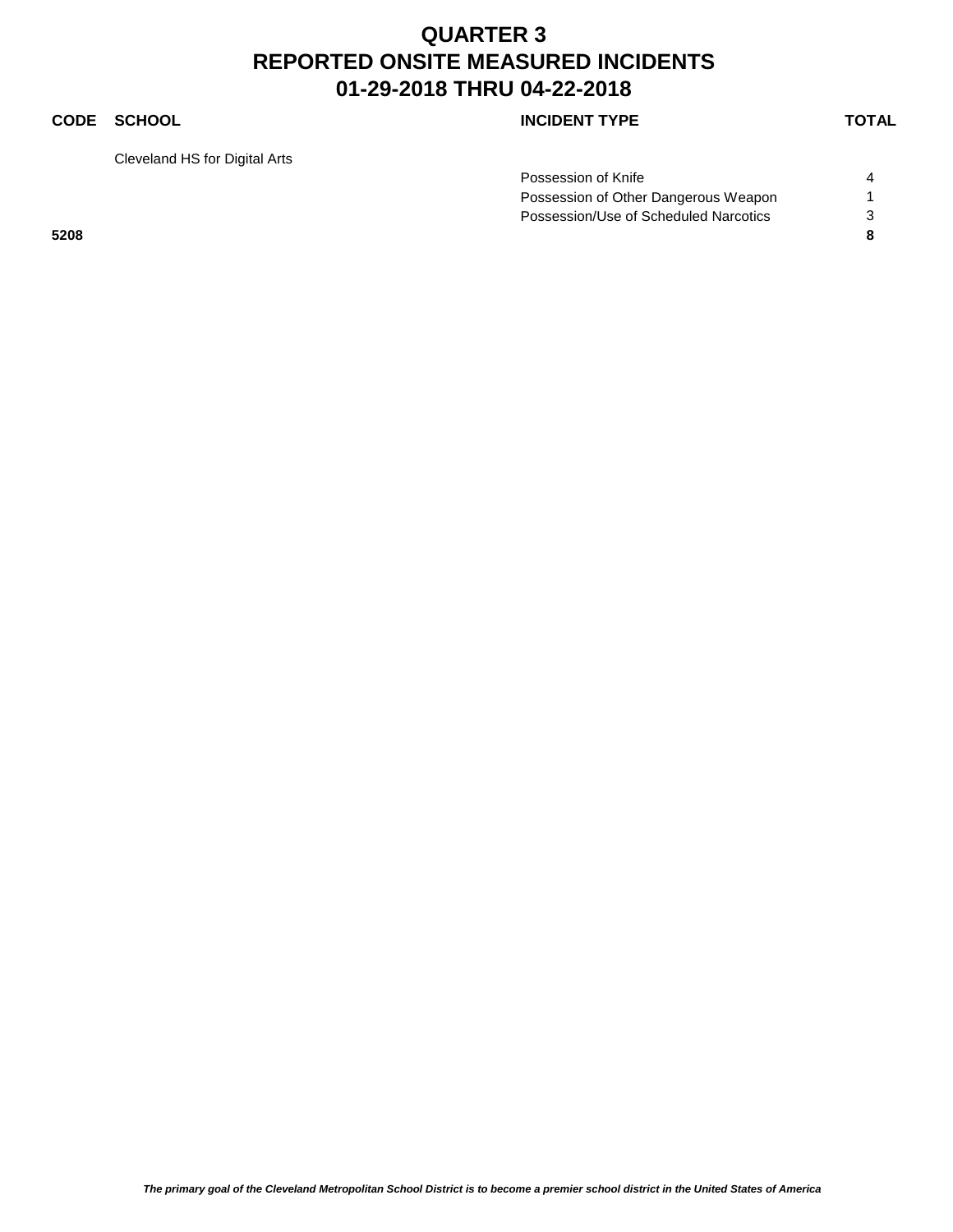### **CODE SCHOOL CODE SCHOOL**

Cleveland HS for Digital Arts

| Possession of Knife                   |  |
|---------------------------------------|--|
| Possession of Other Dangerous Weapon  |  |
| Possession/Use of Scheduled Narcotics |  |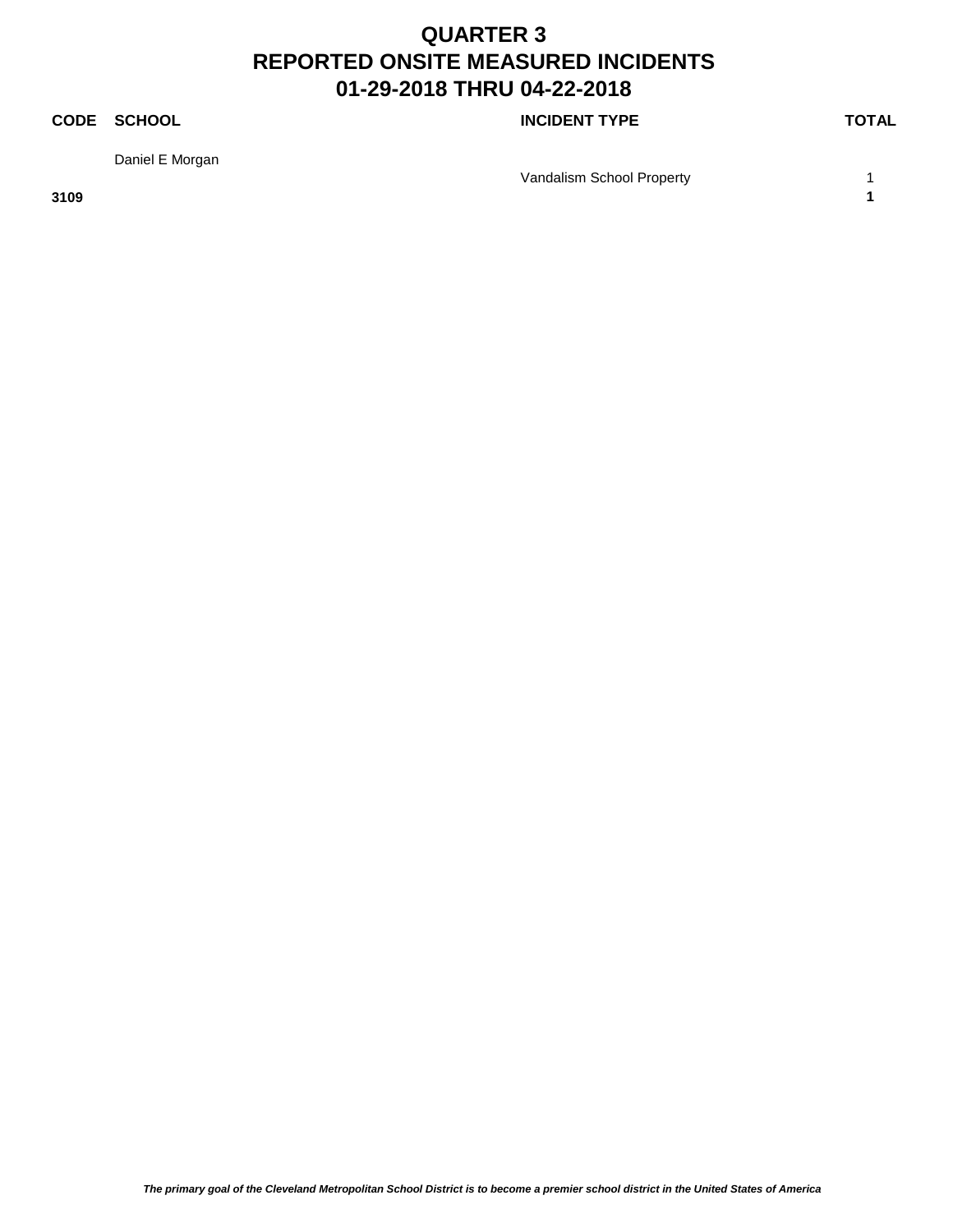### **CODE SCHOOL CODE SCHOOL**

Daniel E Morgan

Vandalism School Property 1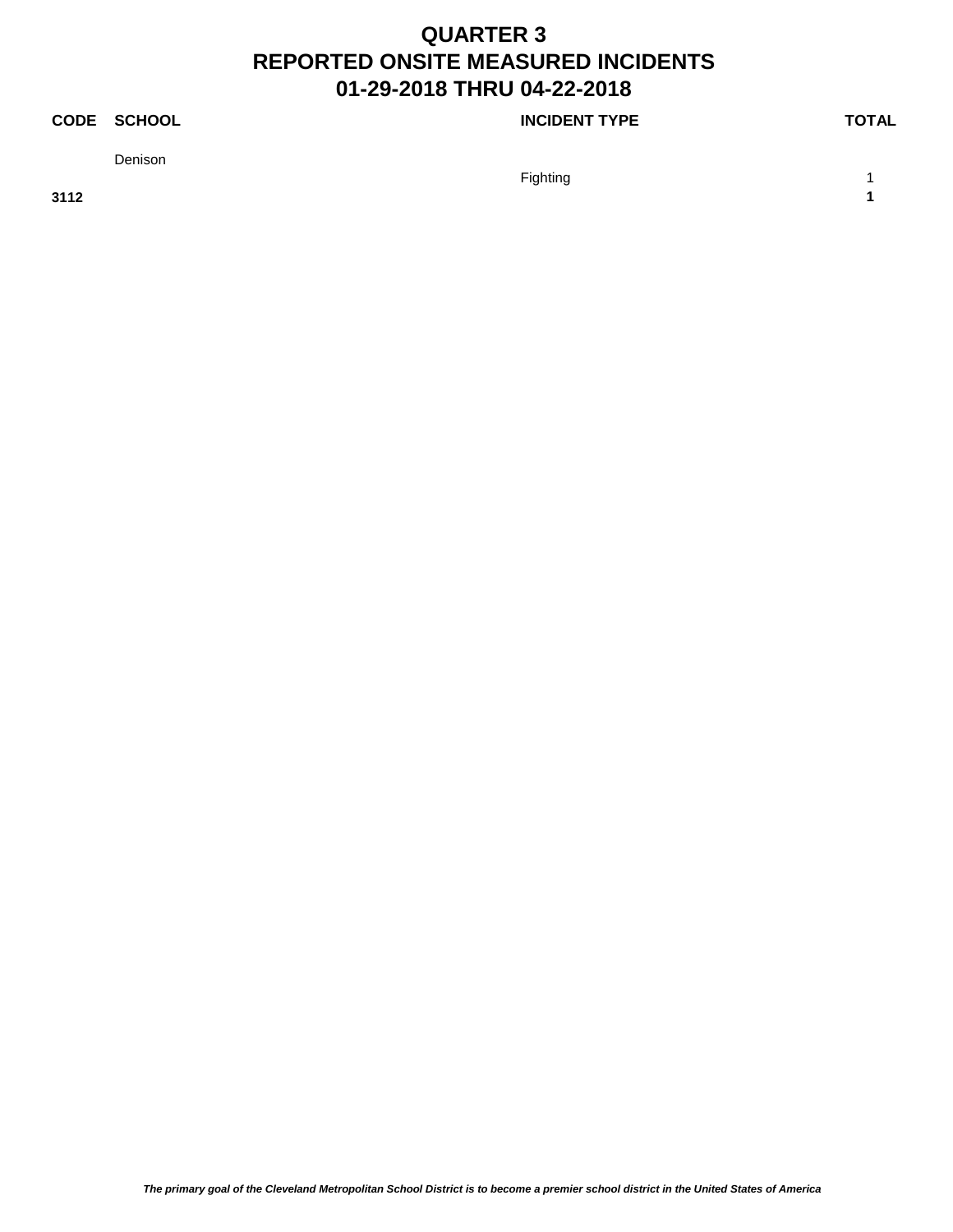### **CODE SCHOOL CODE SCHOOL**

Denison

Fighting the contract of the contract of the contract of the contract of the contract of the contract of the contract of the contract of the contract of the contract of the contract of the contract of the contract of the c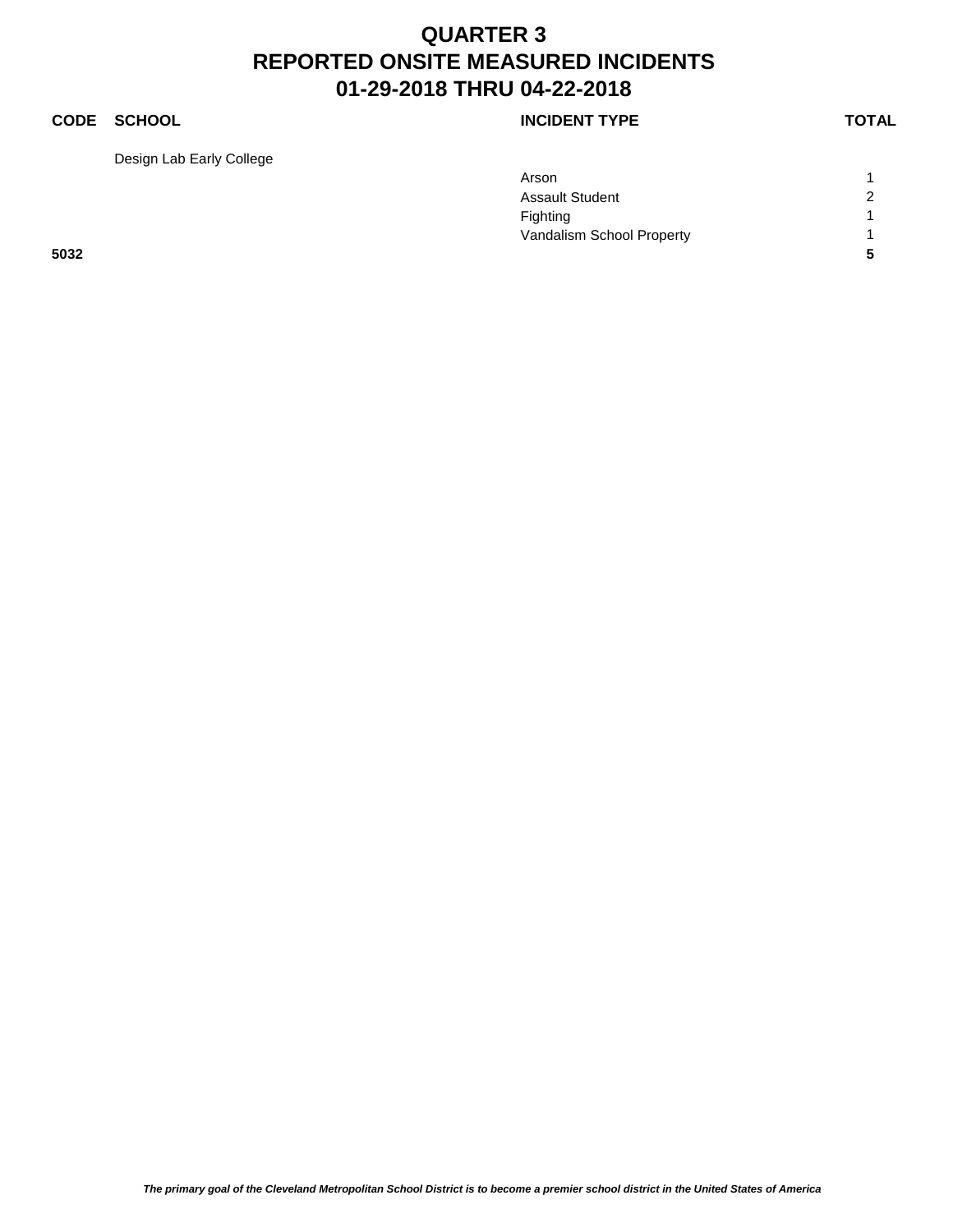### **CODE SCHOOL CODE SCHOOL**

Design Lab Early College

|      | Arson                     |                |
|------|---------------------------|----------------|
|      | <b>Assault Student</b>    | $\overline{2}$ |
|      | Fighting                  |                |
|      | Vandalism School Property |                |
| 5032 |                           | 5              |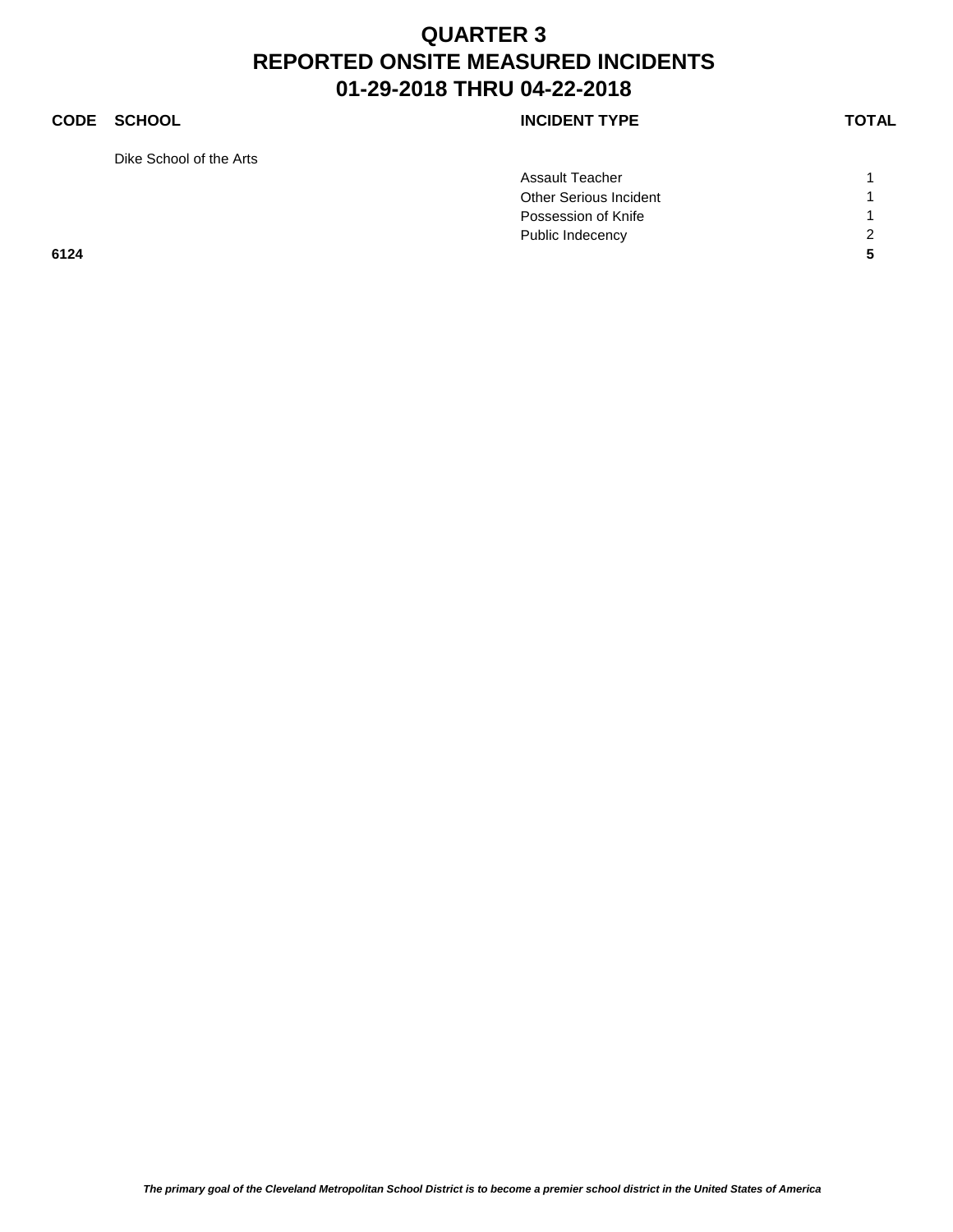### **CODE SCHOOL CODE SCHOOL**

Dike School of the Arts

| <b>INCIDENT TYPE</b> |  |
|----------------------|--|
|----------------------|--|

|      | Assault Teacher               |   |
|------|-------------------------------|---|
|      | <b>Other Serious Incident</b> |   |
|      | Possession of Knife           |   |
|      | Public Indecency              | 2 |
| 6124 |                               |   |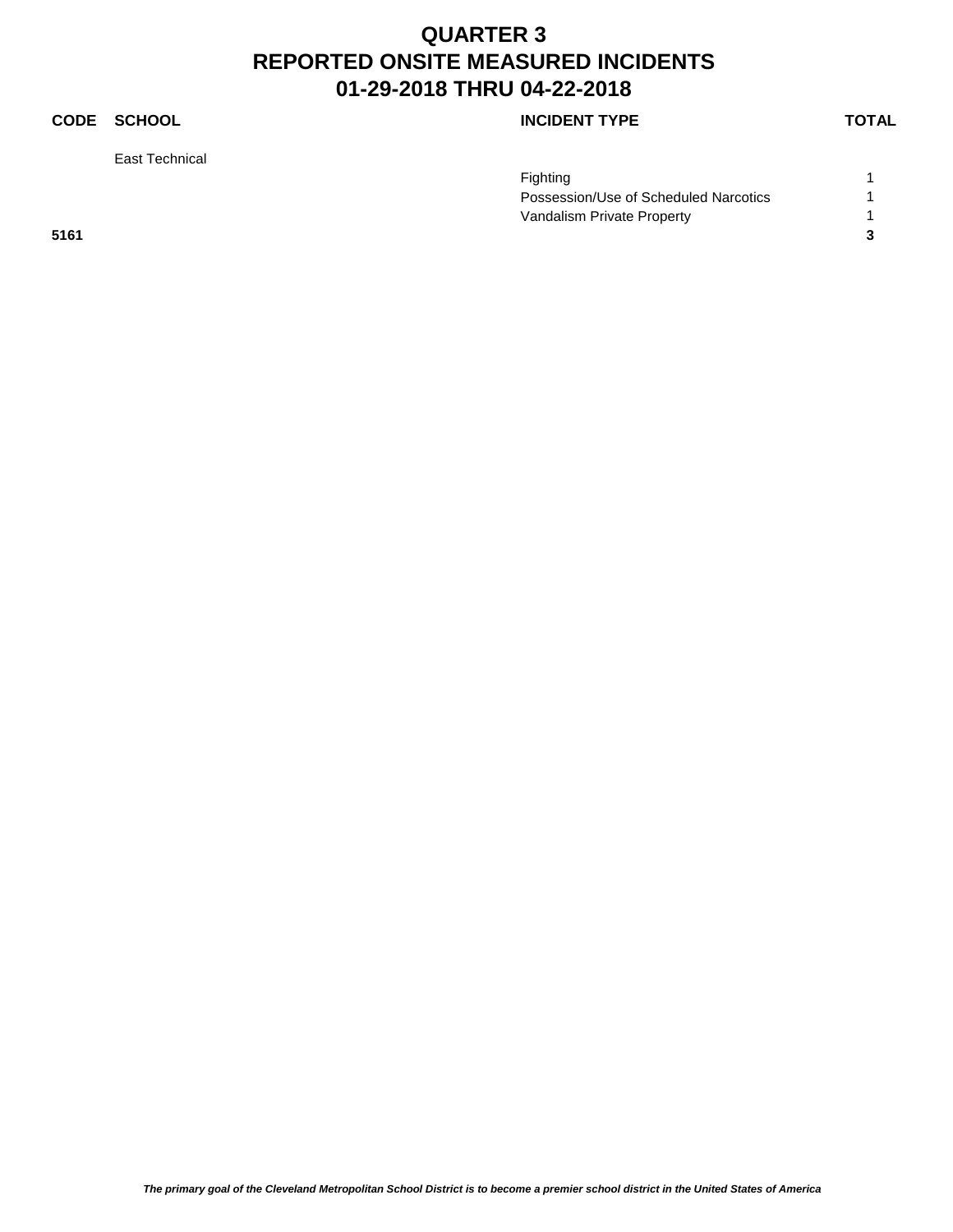### **CODE SCHOOL CODE SCHOOL**

East Technical

|      | Fighting                              |  |
|------|---------------------------------------|--|
|      | Possession/Use of Scheduled Narcotics |  |
|      | Vandalism Private Property            |  |
| 5161 |                                       |  |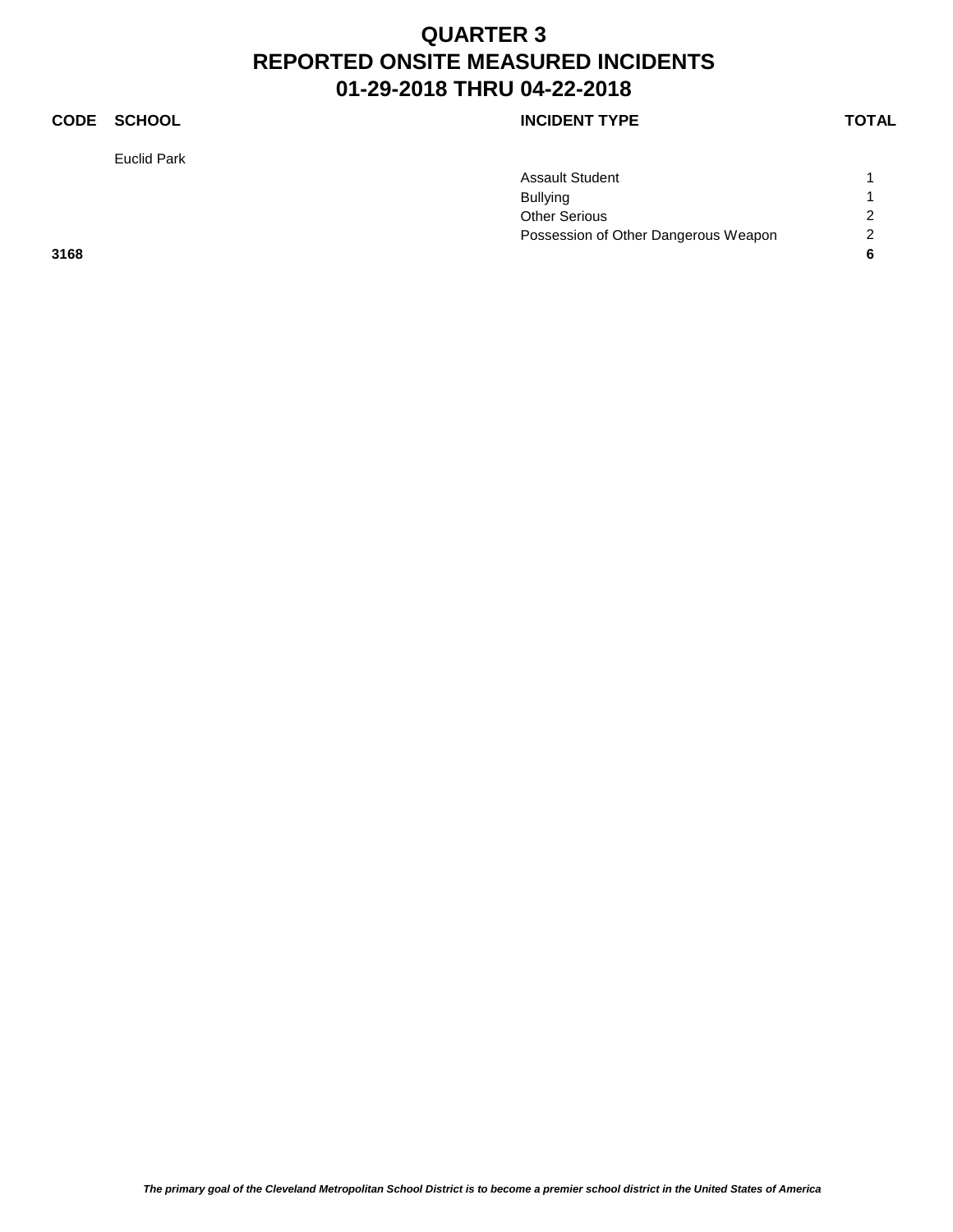### **CODE SCHOOL CODE SCHOOL**

Euclid Park

|      | <b>Assault Student</b>               |                |
|------|--------------------------------------|----------------|
|      | <b>Bullying</b>                      |                |
|      | <b>Other Serious</b>                 | $\overline{2}$ |
|      | Possession of Other Dangerous Weapon | 2              |
| 3168 |                                      | c              |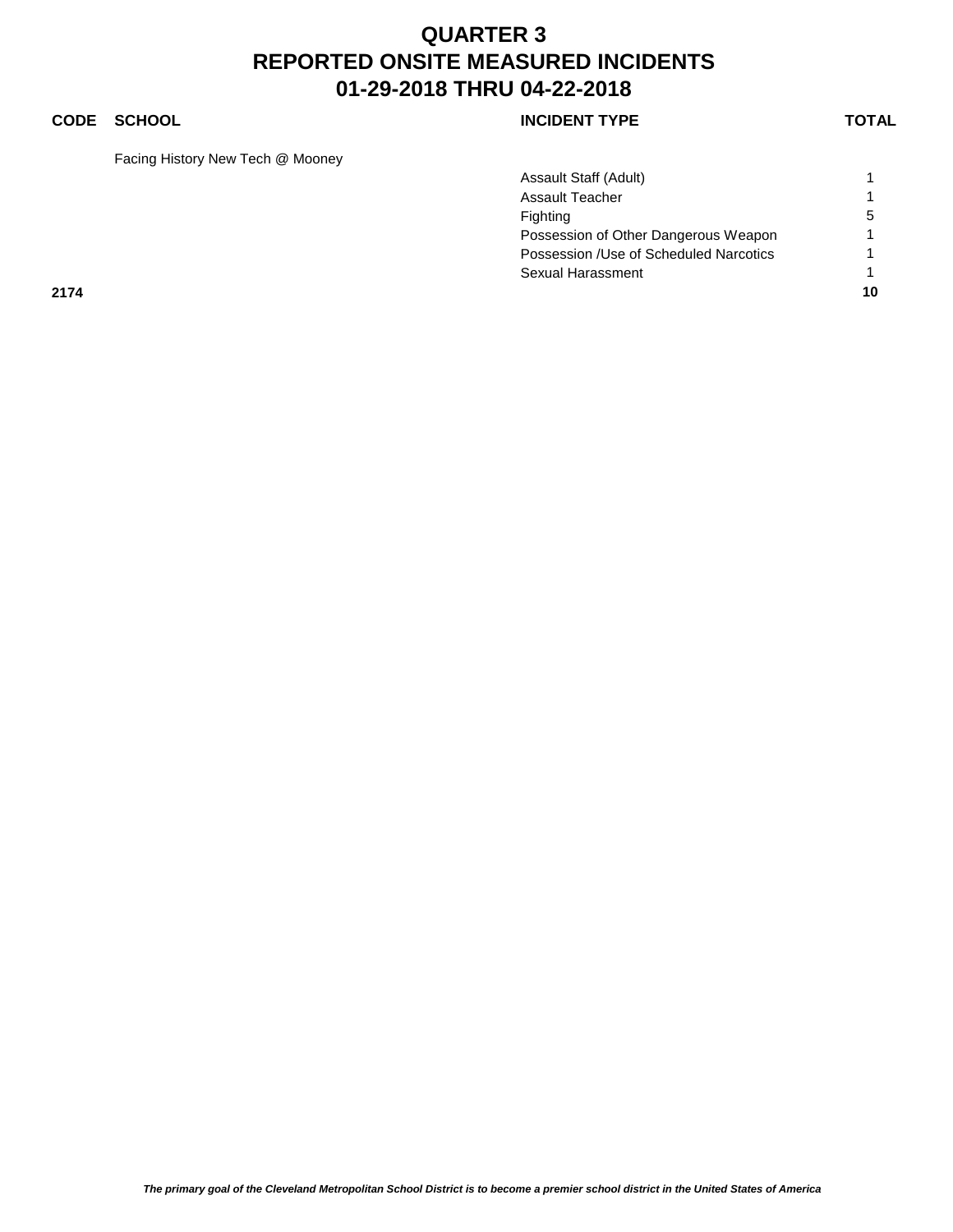### **CODE SCHOOL CODE SCHOOL**

Facing History New Tech @ Mooney

|      | Assault Staff (Adult)                   |    |
|------|-----------------------------------------|----|
|      | <b>Assault Teacher</b>                  |    |
|      | Fighting                                | 5  |
|      | Possession of Other Dangerous Weapon    |    |
|      | Possession / Use of Scheduled Narcotics |    |
|      | Sexual Harassment                       |    |
| 2174 |                                         | 10 |
|      |                                         |    |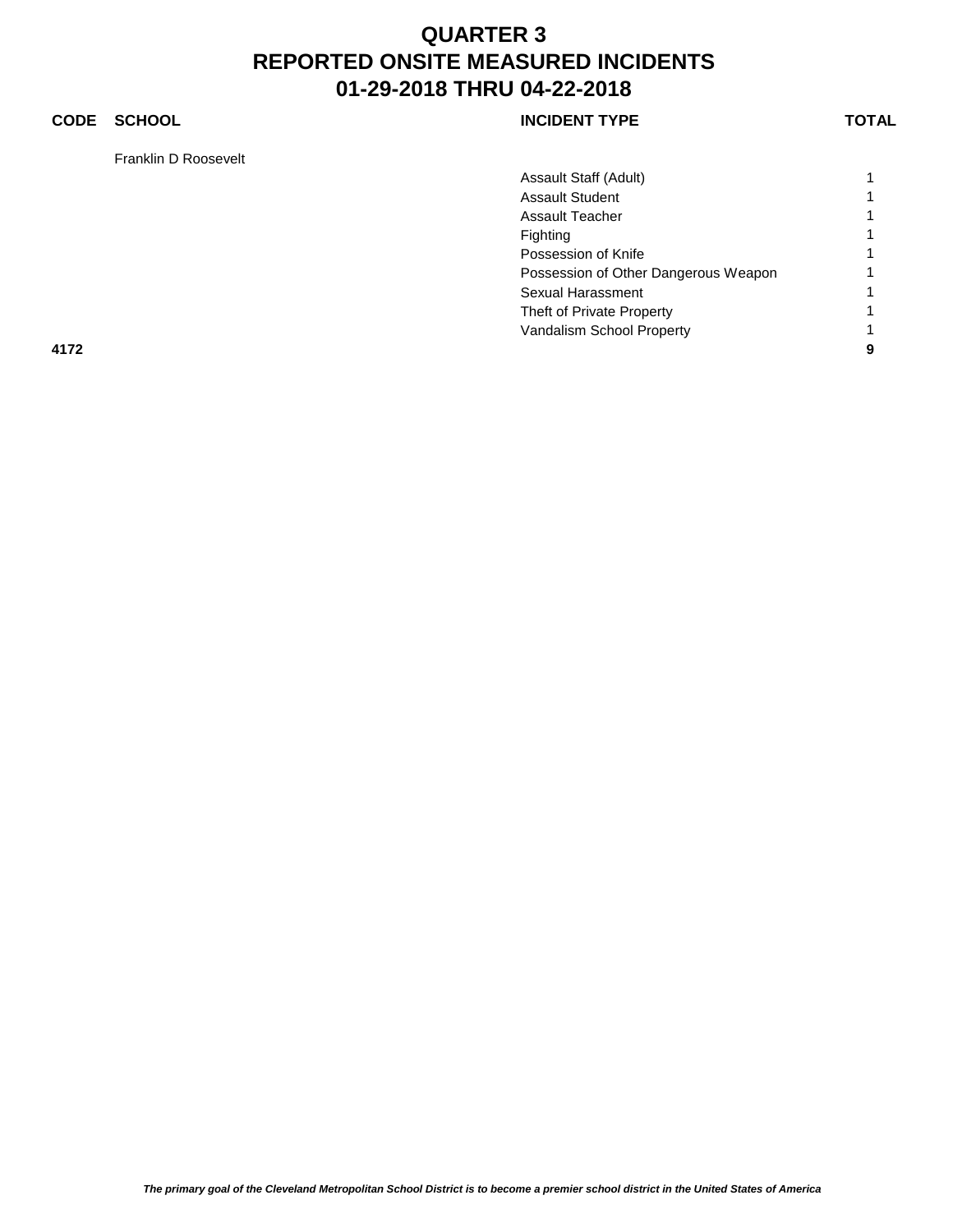### **CODE SCHOOL CODE SCHOOL**

Franklin D Roosevelt

|      | Assault Staff (Adult)                |   |
|------|--------------------------------------|---|
|      | <b>Assault Student</b>               |   |
|      | <b>Assault Teacher</b>               |   |
|      | Fighting                             |   |
|      | Possession of Knife                  |   |
|      | Possession of Other Dangerous Weapon |   |
|      | Sexual Harassment                    |   |
|      | Theft of Private Property            |   |
|      | Vandalism School Property            |   |
| 4172 |                                      | 9 |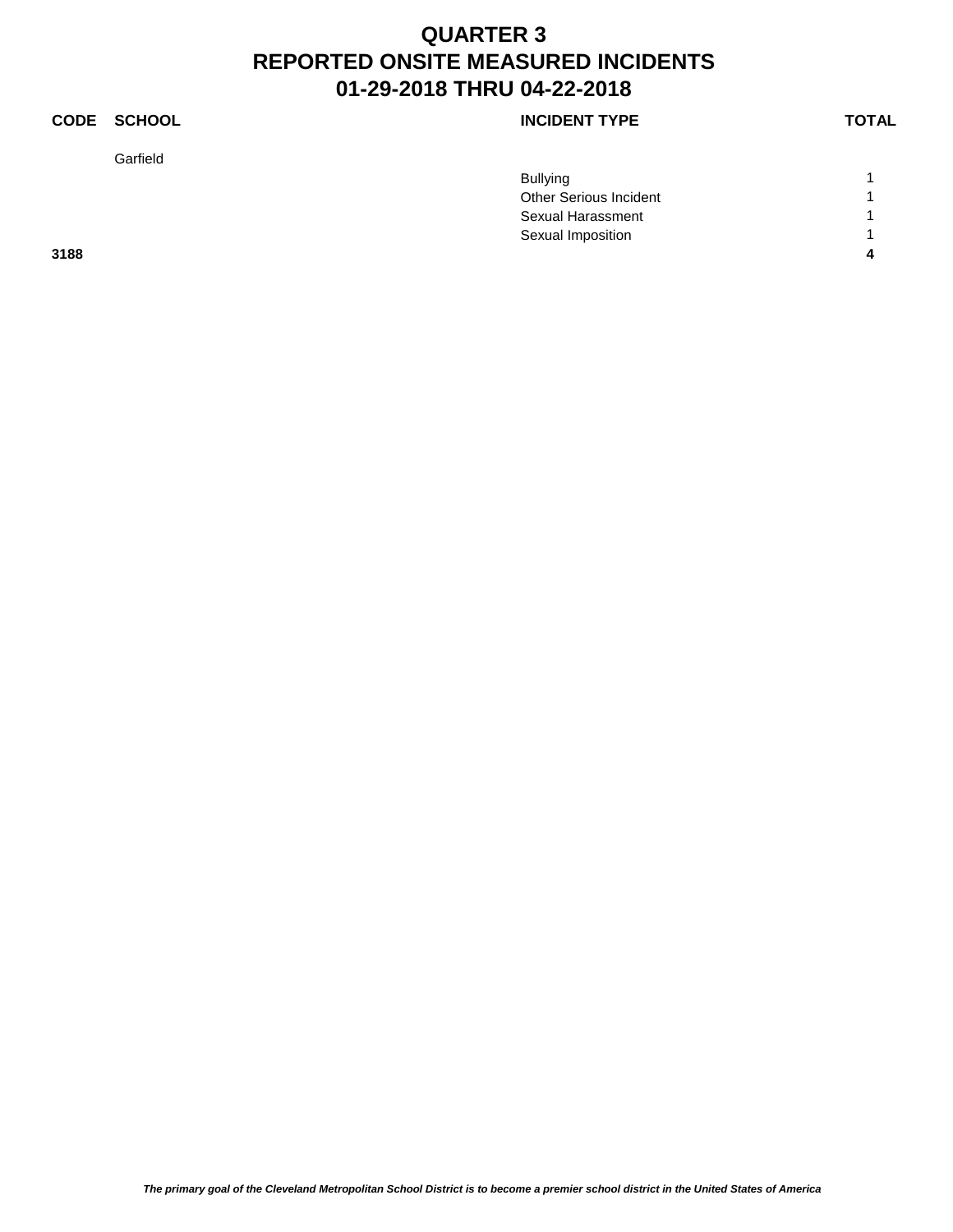### **CODE SCHOOL CODE SCHOOL**

Garfield

|      | <b>Bullying</b>        |  |
|------|------------------------|--|
|      | Other Serious Incident |  |
|      | Sexual Harassment      |  |
|      | Sexual Imposition      |  |
| 3188 |                        |  |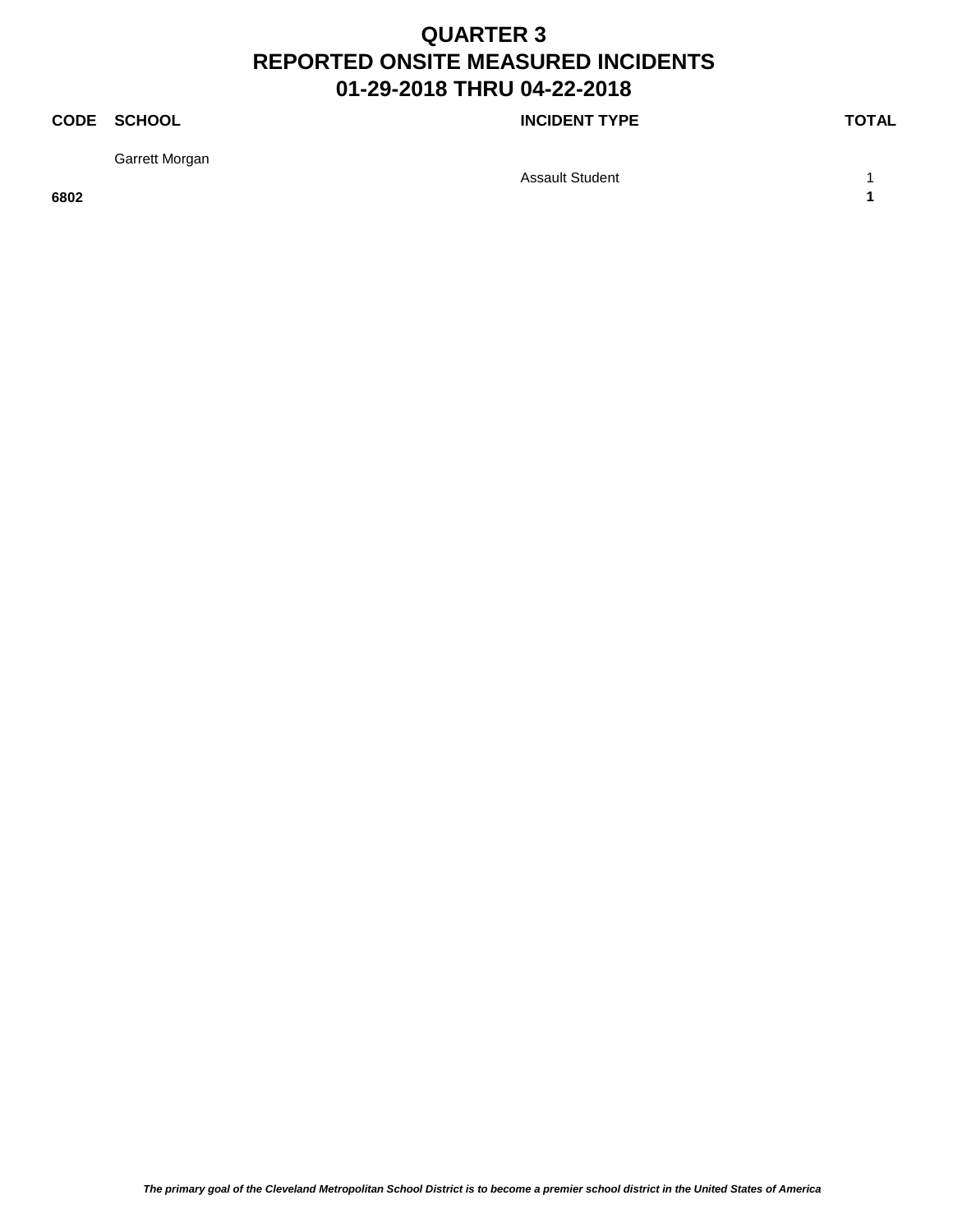### **CODE SCHOOL CODE SCHOOL**

Garrett Morgan

Assault Student 1 1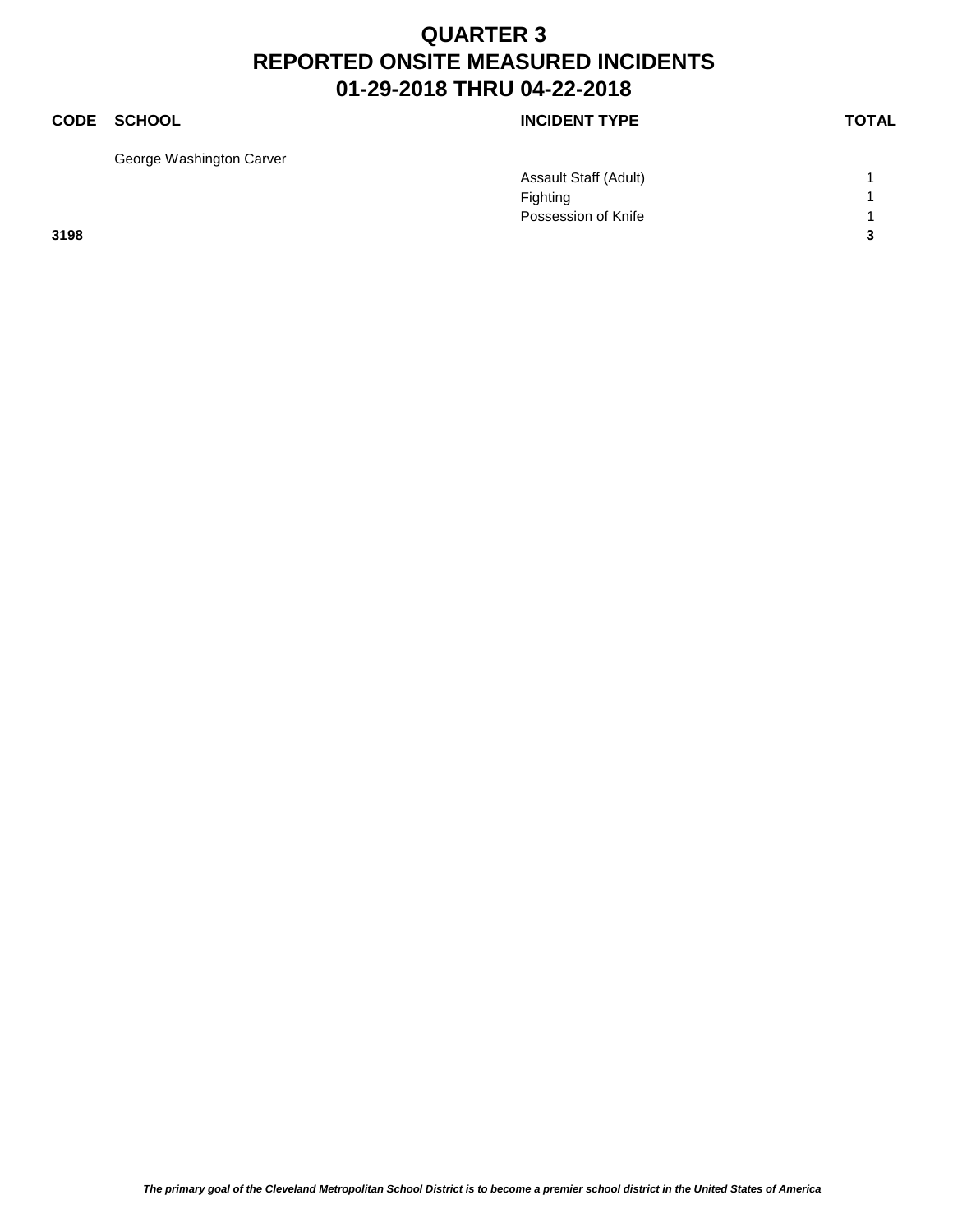### **CODE SCHOOL CODE SCHOOL**

George Washington Carver

|      | Assault Staff (Adult) |   |
|------|-----------------------|---|
|      | Fighting              |   |
|      | Possession of Knife   |   |
| 3198 |                       | ົ |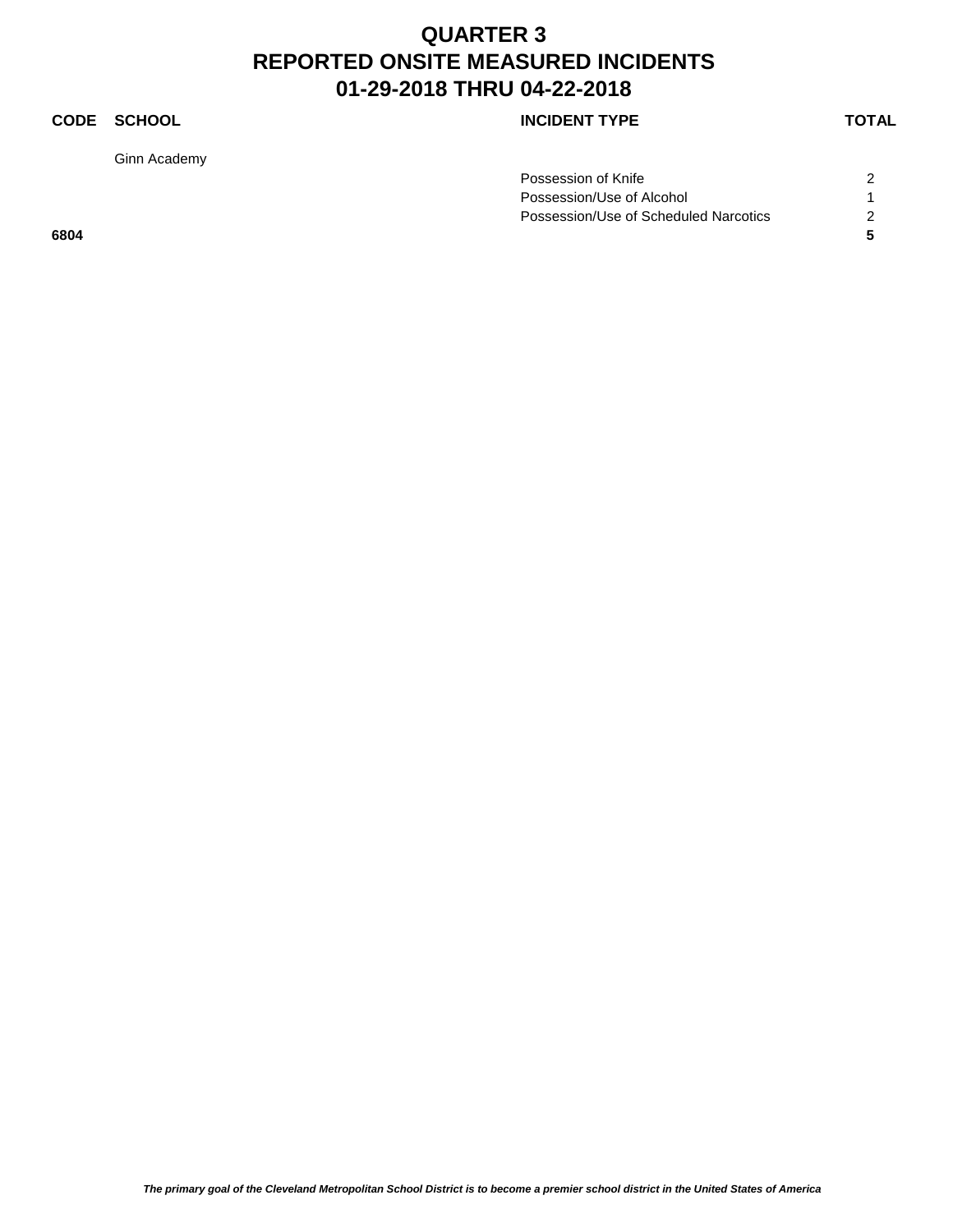### **CODE SCHOOL CODE SCHOOL**

Ginn Academy

| Possession of Knife                   |  |
|---------------------------------------|--|
| Possession/Use of Alcohol             |  |
| Possession/Use of Scheduled Narcotics |  |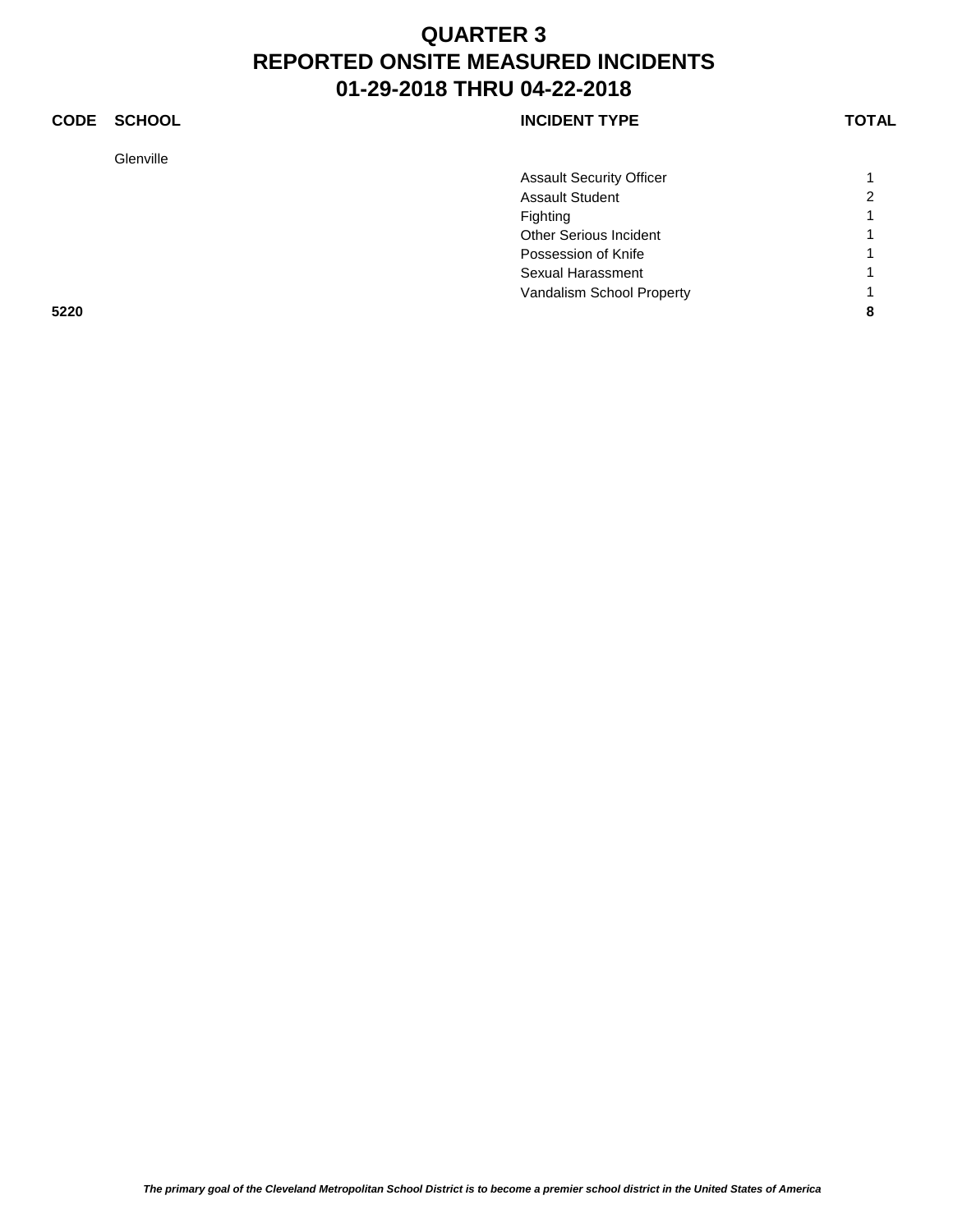### **CODE SCHOOL CODE SCHOOL**

Glenville

|      | <b>Assault Security Officer</b> |   |
|------|---------------------------------|---|
|      | <b>Assault Student</b>          | 2 |
|      | Fighting                        | и |
|      | Other Serious Incident          |   |
|      | Possession of Knife             |   |
|      | Sexual Harassment               |   |
|      | Vandalism School Property       |   |
| 5220 |                                 | 8 |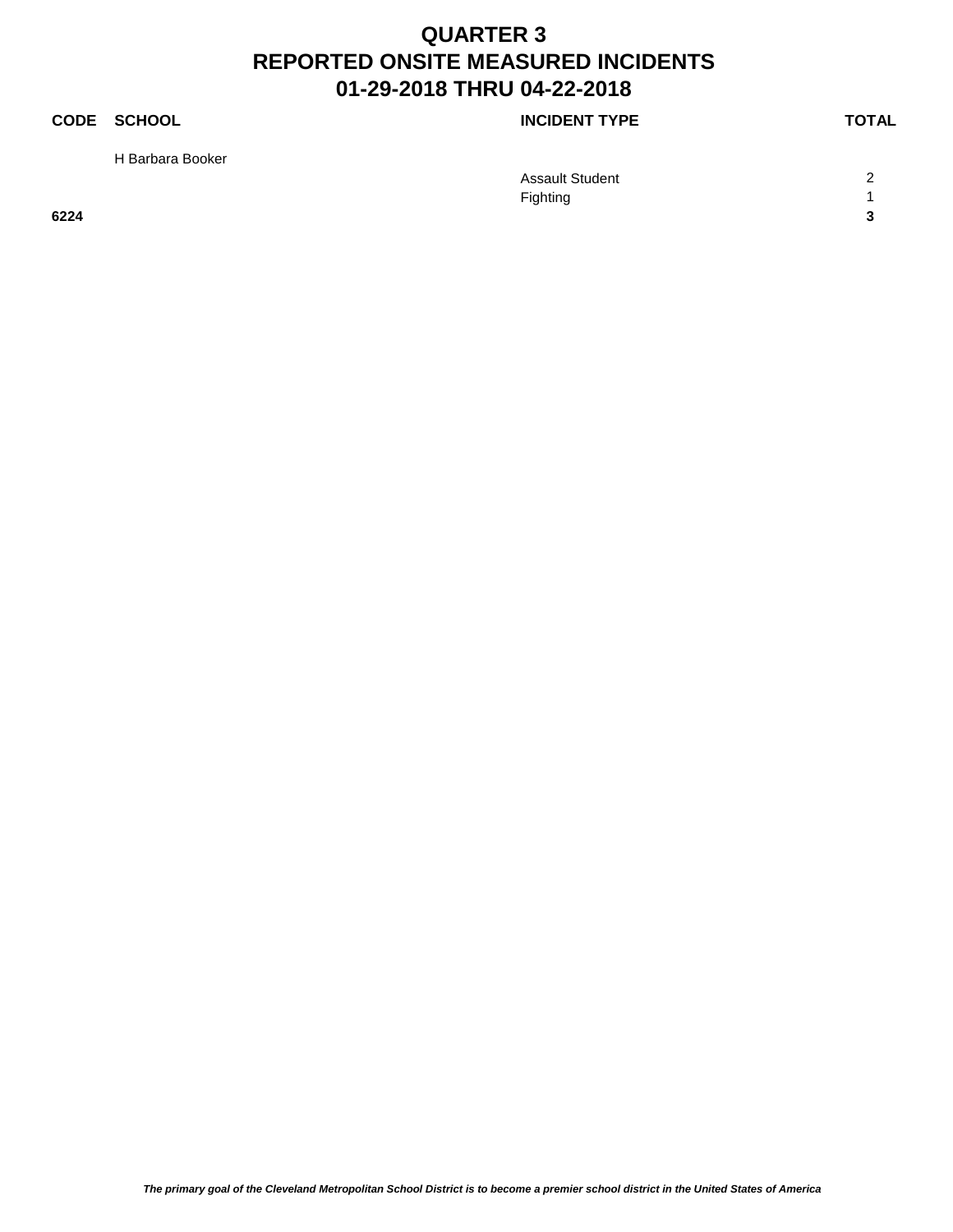H Barbara Booker

### **CODE SCHOOL CODE SCHOOL**

|      | <b>Assault Student</b> | $\sim$               |
|------|------------------------|----------------------|
|      | Fighting               |                      |
| 6224 |                        | $\ddot{\phantom{0}}$ |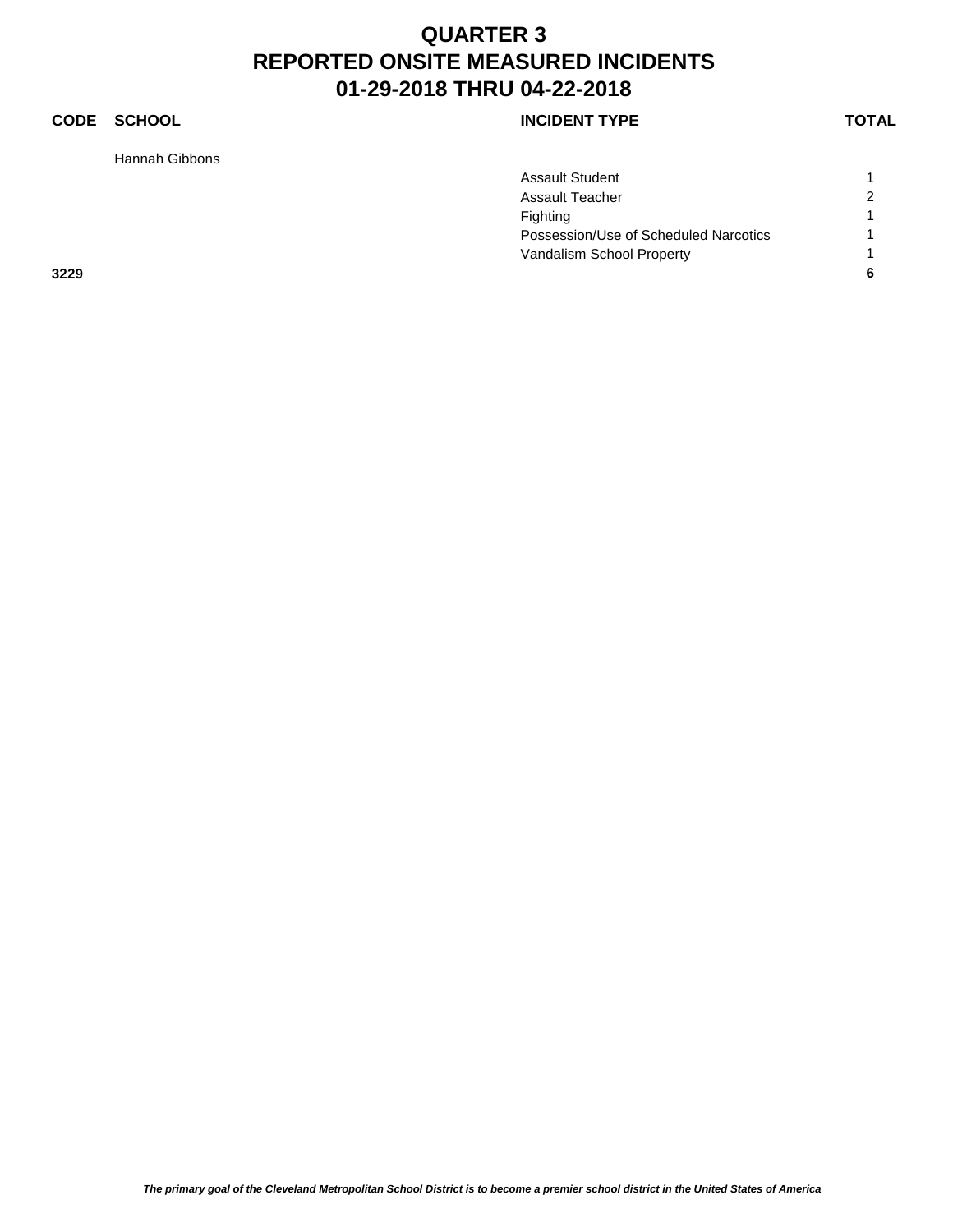### **CODE SCHOOL CODE SCHOOL**

Hannah Gibbons

|      | <b>Assault Student</b>                |                |
|------|---------------------------------------|----------------|
|      | <b>Assault Teacher</b>                | $\overline{2}$ |
|      | Fighting                              |                |
|      | Possession/Use of Scheduled Narcotics |                |
|      | Vandalism School Property             |                |
| 3229 |                                       | 6              |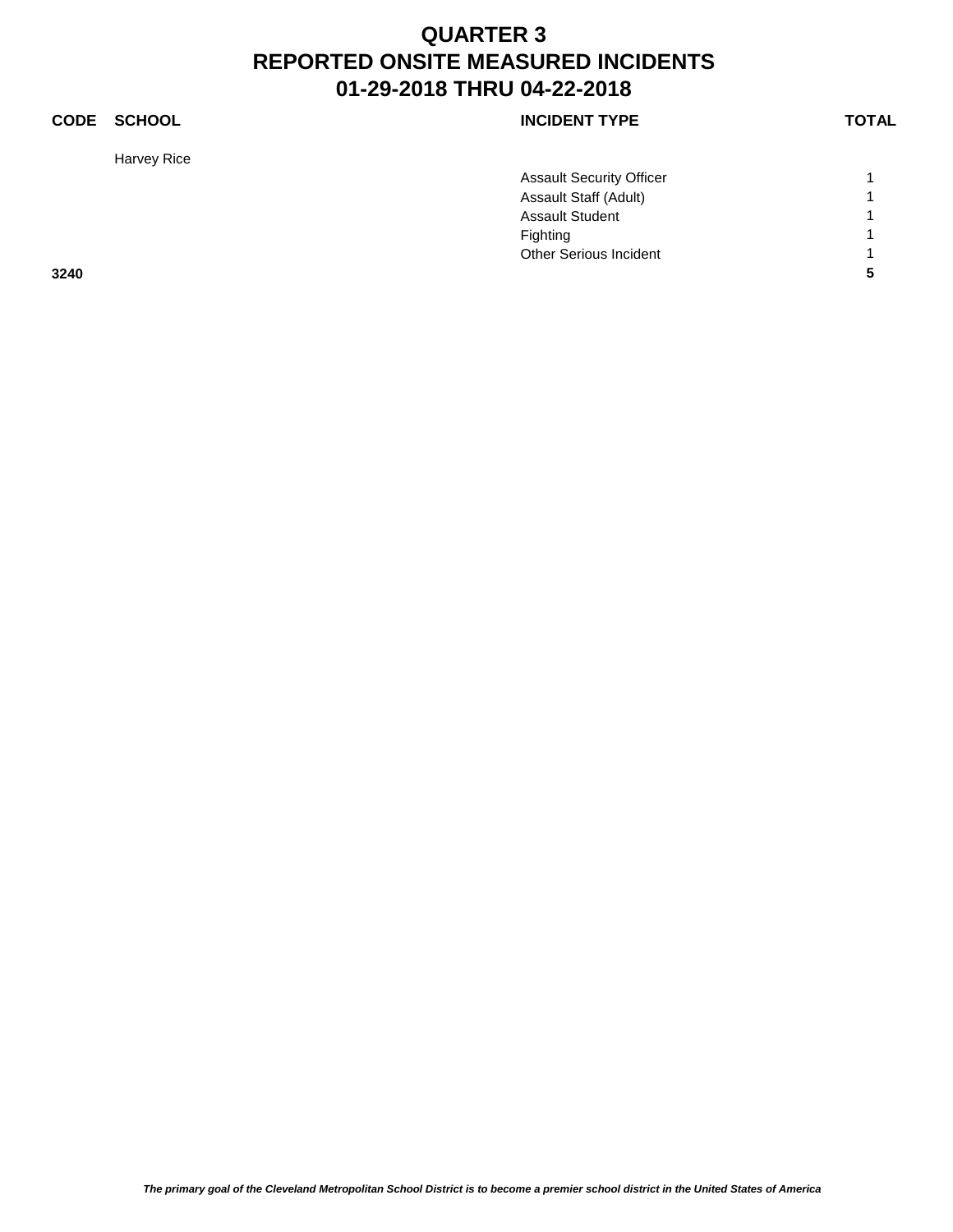### **CODE SCHOOL CODE SCHOOL**

Harvey Rice

|      | <b>Assault Security Officer</b> |   |
|------|---------------------------------|---|
|      | Assault Staff (Adult)           |   |
|      | <b>Assault Student</b>          |   |
|      | Fighting                        | - |
|      | <b>Other Serious Incident</b>   |   |
| 3240 |                                 |   |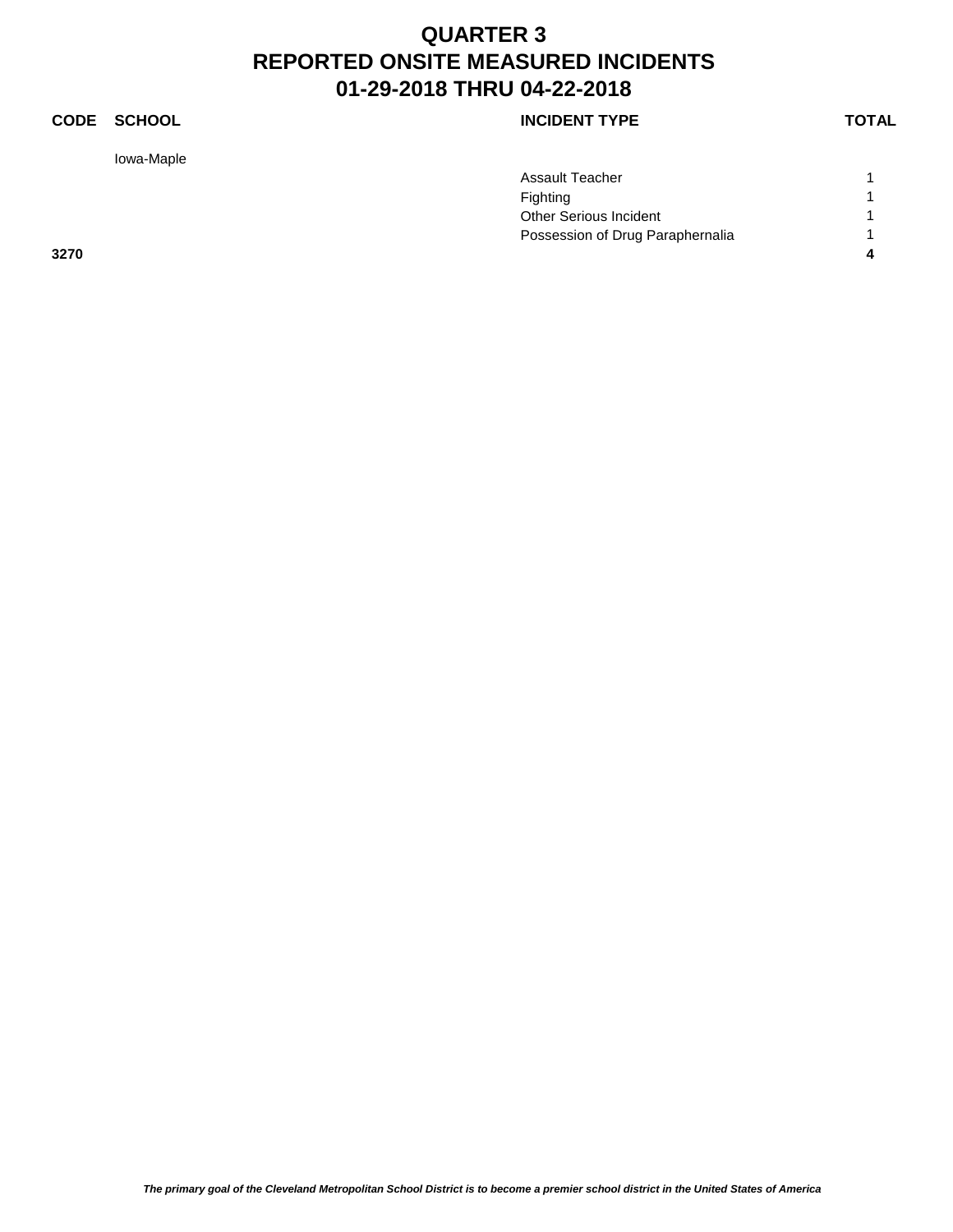### **CODE SCHOOL CODE SCHOOL**

Iowa-Maple

|      | <b>Assault Teacher</b>           |  |
|------|----------------------------------|--|
|      | Fighting                         |  |
|      | Other Serious Incident           |  |
|      | Possession of Drug Paraphernalia |  |
| 3270 |                                  |  |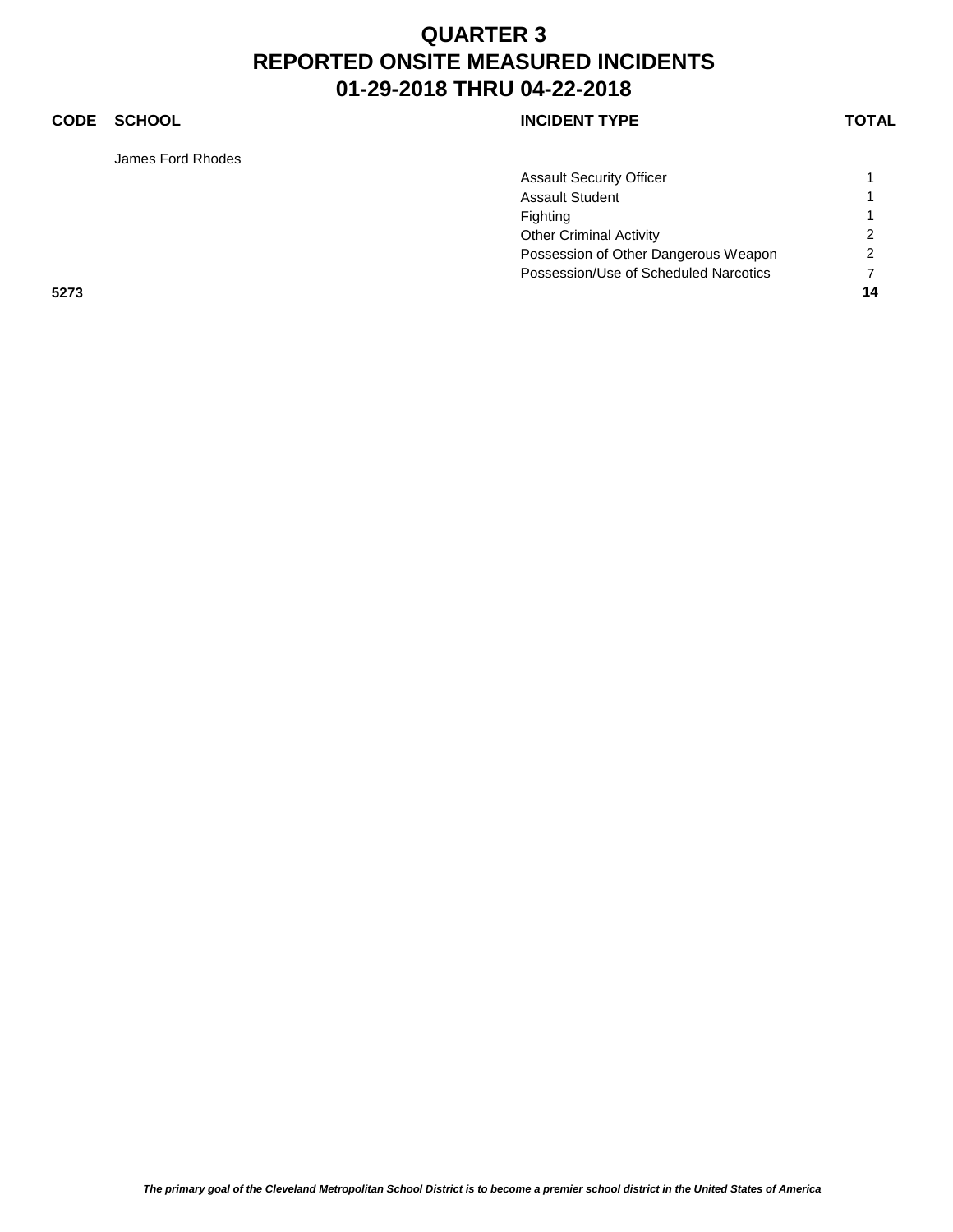### **CODE SCHOOL CODE SCHOOL**

James Ford Rhodes

|      | <b>Assault Security Officer</b>       |               |
|------|---------------------------------------|---------------|
|      | <b>Assault Student</b>                |               |
|      | Fighting                              |               |
|      | <b>Other Criminal Activity</b>        | $\mathcal{P}$ |
|      | Possession of Other Dangerous Weapon  | 2             |
|      | Possession/Use of Scheduled Narcotics |               |
| 5273 |                                       | 14            |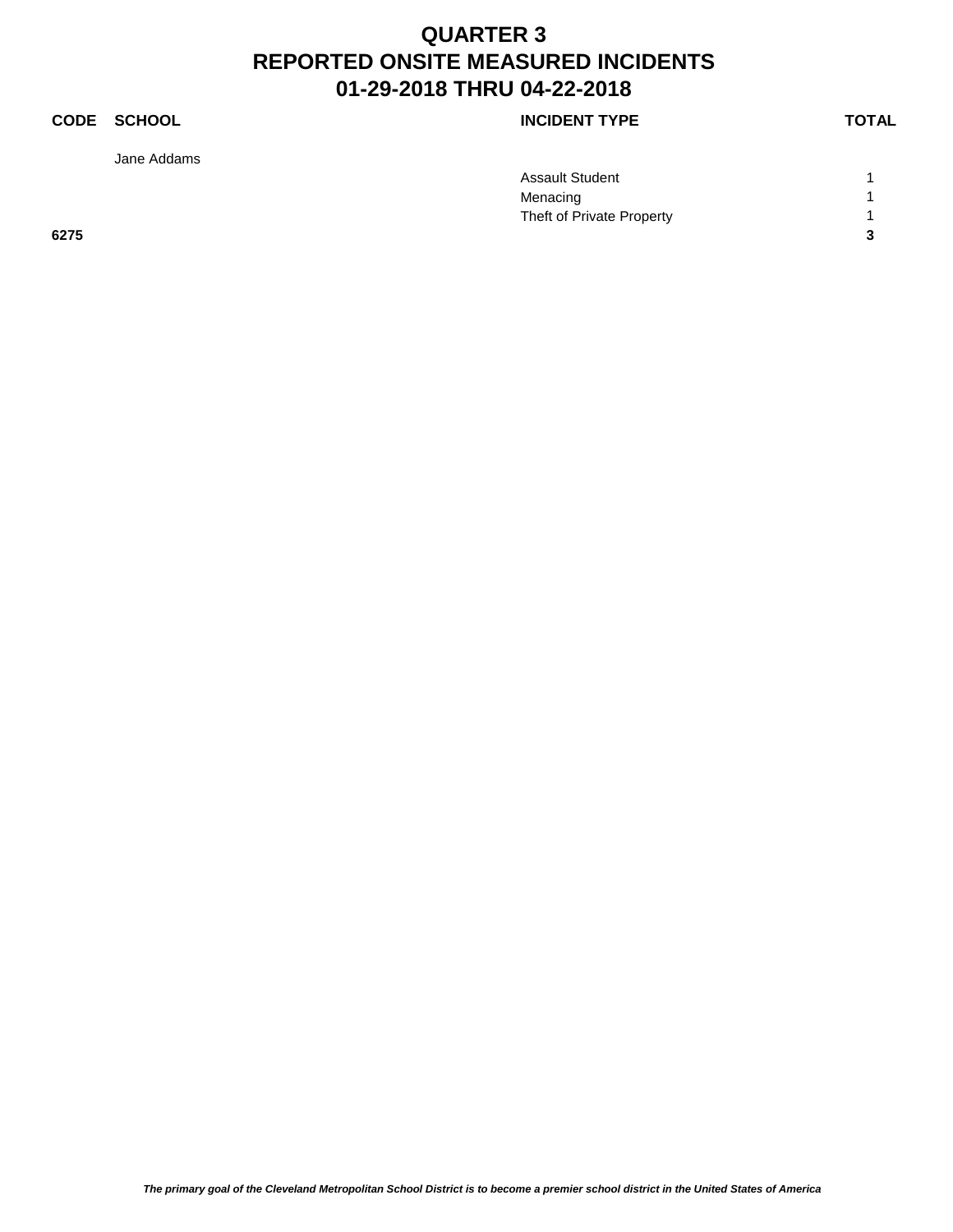### **CODE SCHOOL CODE SCHOOL**

Jane Addams

|      | <b>Assault Student</b>    |   |
|------|---------------------------|---|
|      | Menacing                  |   |
|      | Theft of Private Property |   |
| 6275 |                           | ◠ |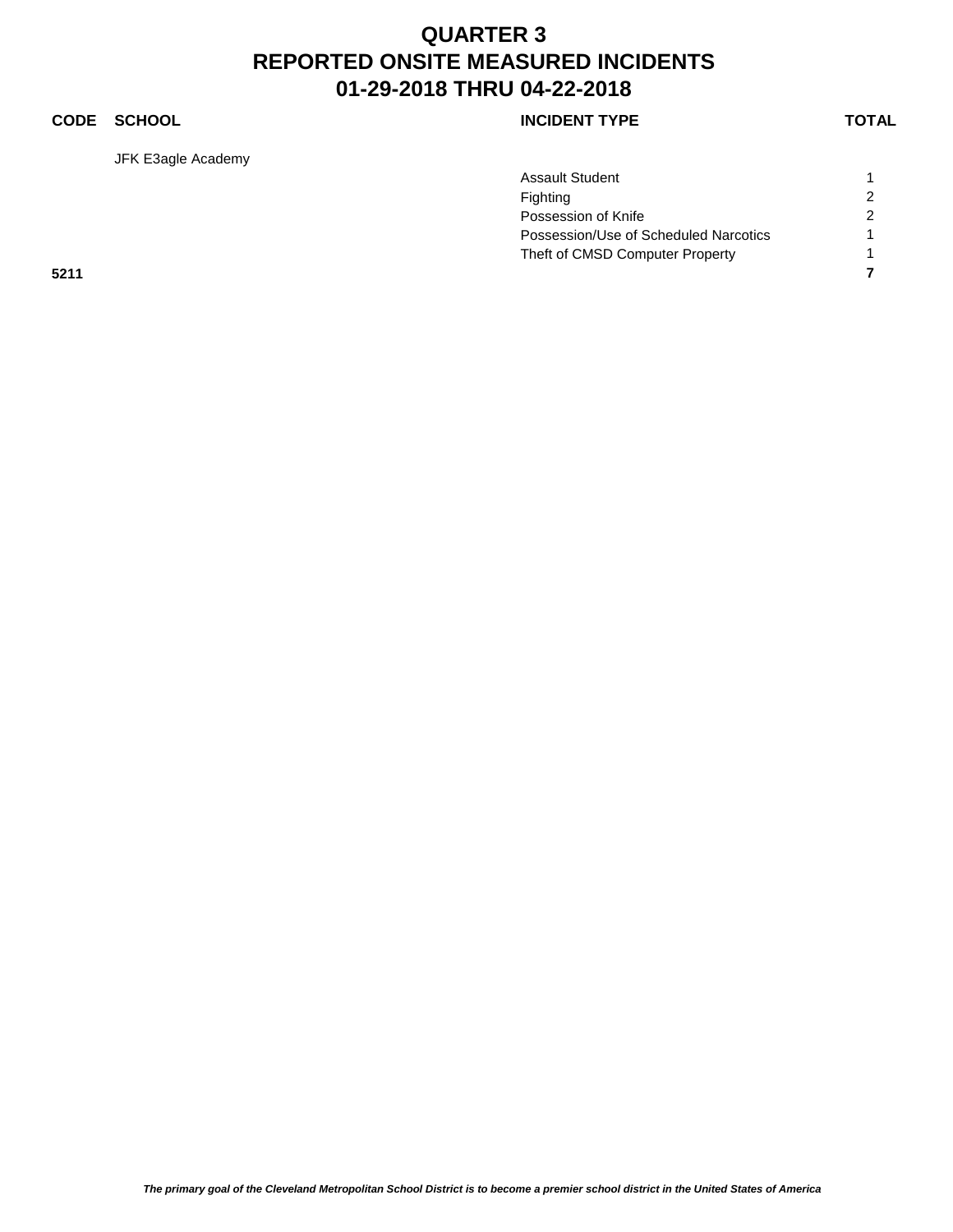### **CODE SCHOOL CODE SCHOOL**

JFK E3agle Academy

|      |  | <b>Assault Student</b>                |                |
|------|--|---------------------------------------|----------------|
|      |  | Fighting                              | $\overline{2}$ |
|      |  | Possession of Knife                   | $\overline{2}$ |
|      |  | Possession/Use of Scheduled Narcotics |                |
|      |  | Theft of CMSD Computer Property       |                |
| 5211 |  |                                       |                |
|      |  |                                       |                |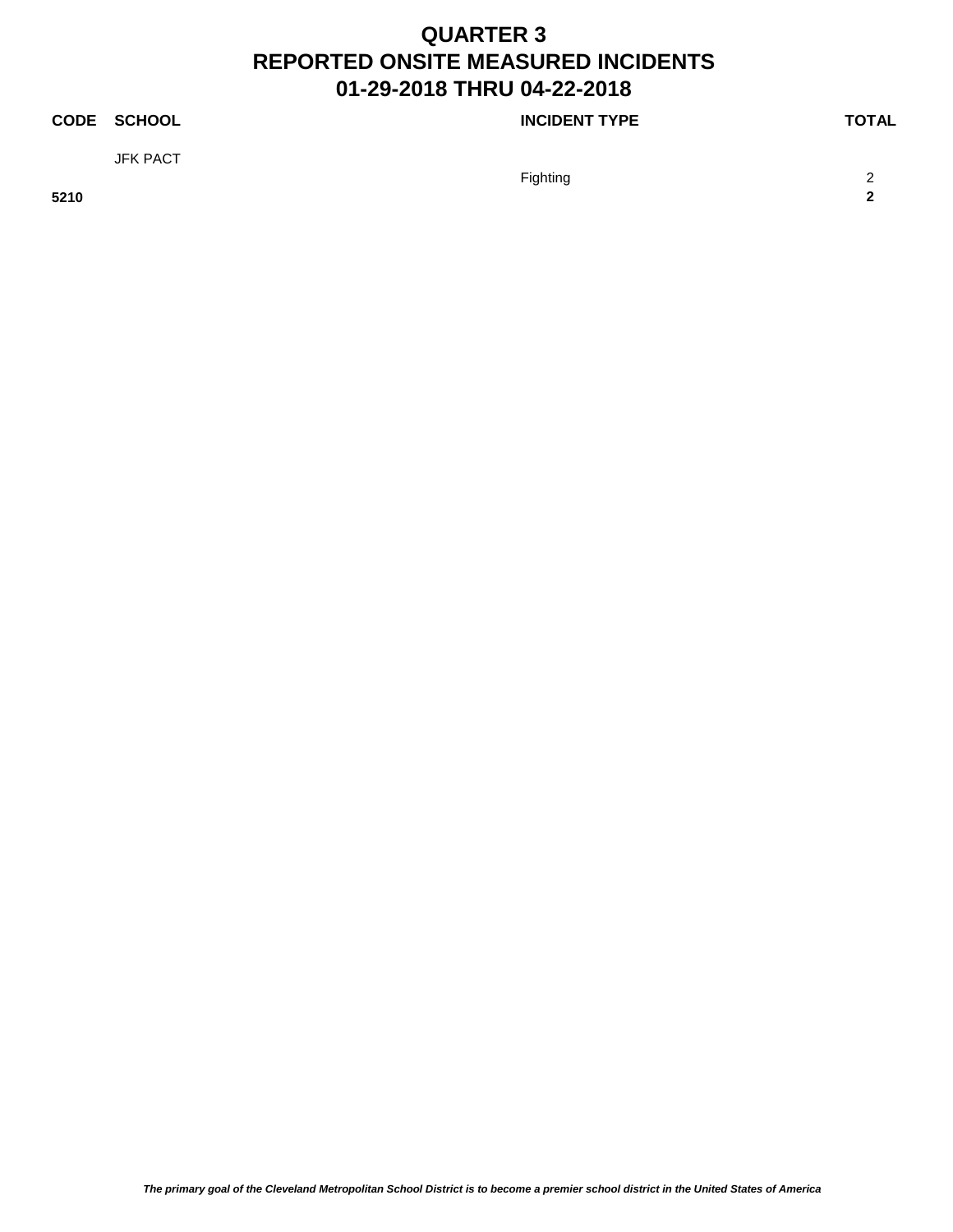### **CODE SCHOOL CODE SCHOOL**

JFK PACT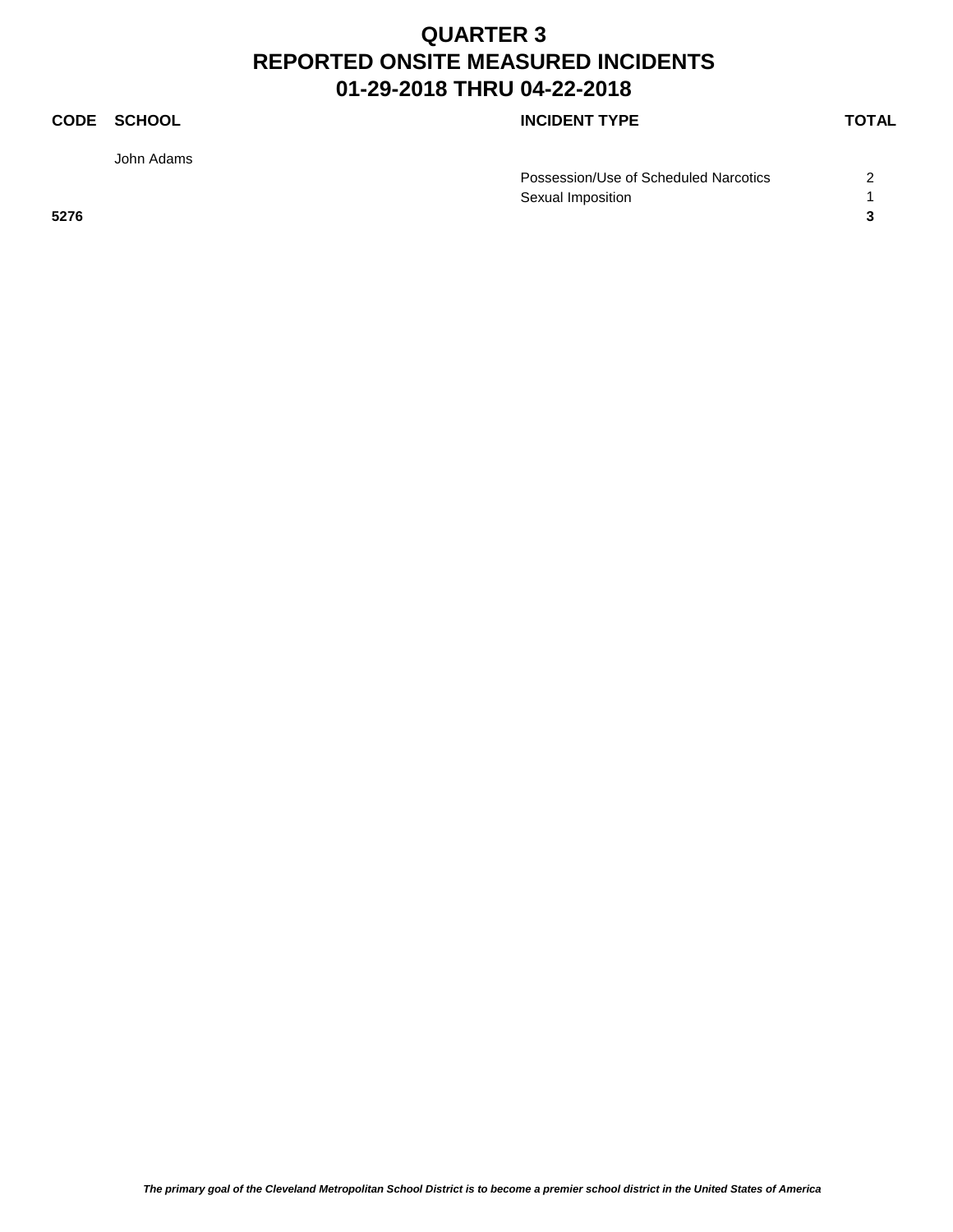John Adams

**CODE SCHOOL CODE SCHOOL** 

|      | Possession/Use of Scheduled Narcotics |  |
|------|---------------------------------------|--|
|      | Sexual Imposition                     |  |
| 5276 |                                       |  |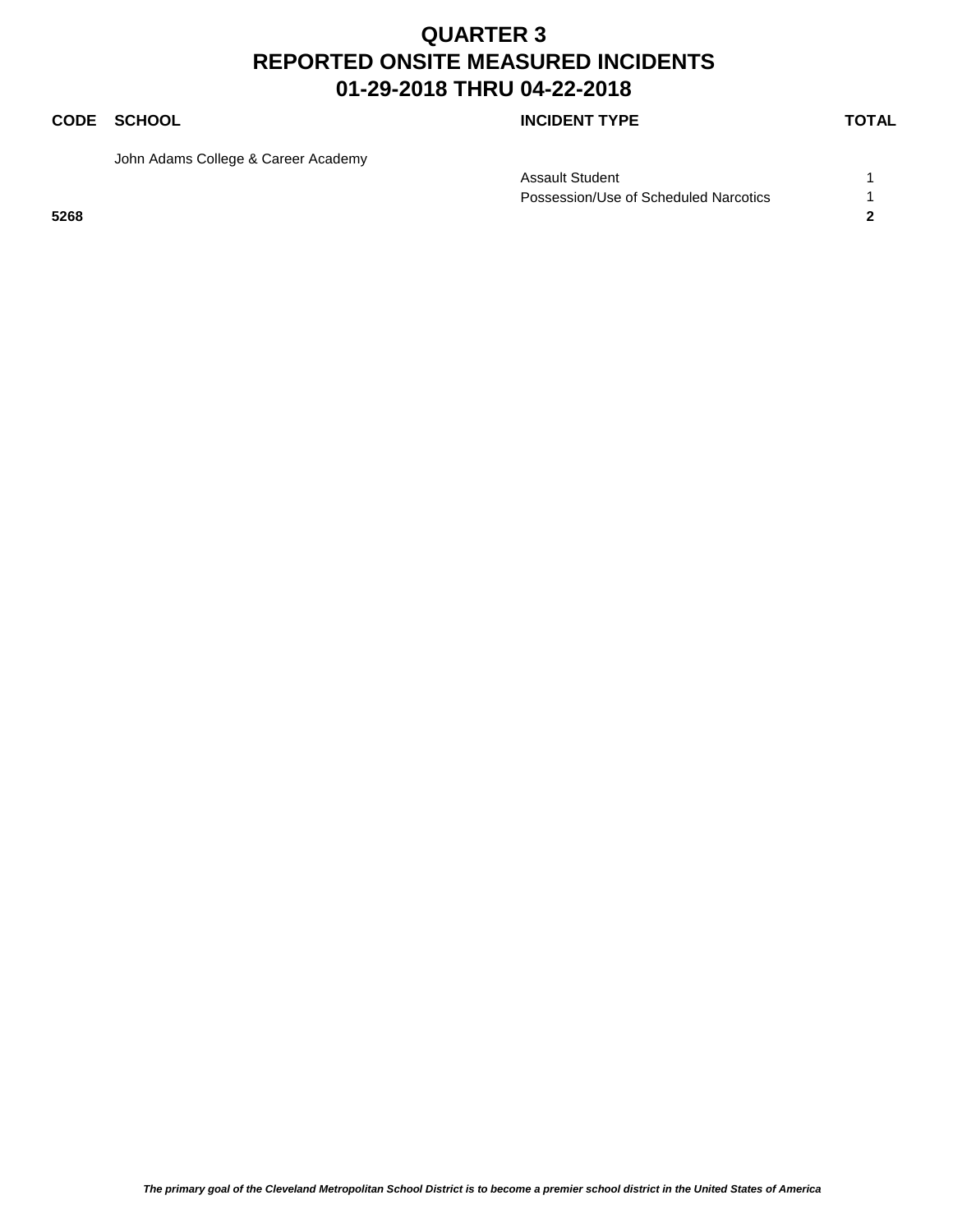### **CODE SCHOOL CODE SCHOOL**

John Adams College & Career Academy

Assault Student 1 Possession/Use of Scheduled Narcotics 1 **5268 2**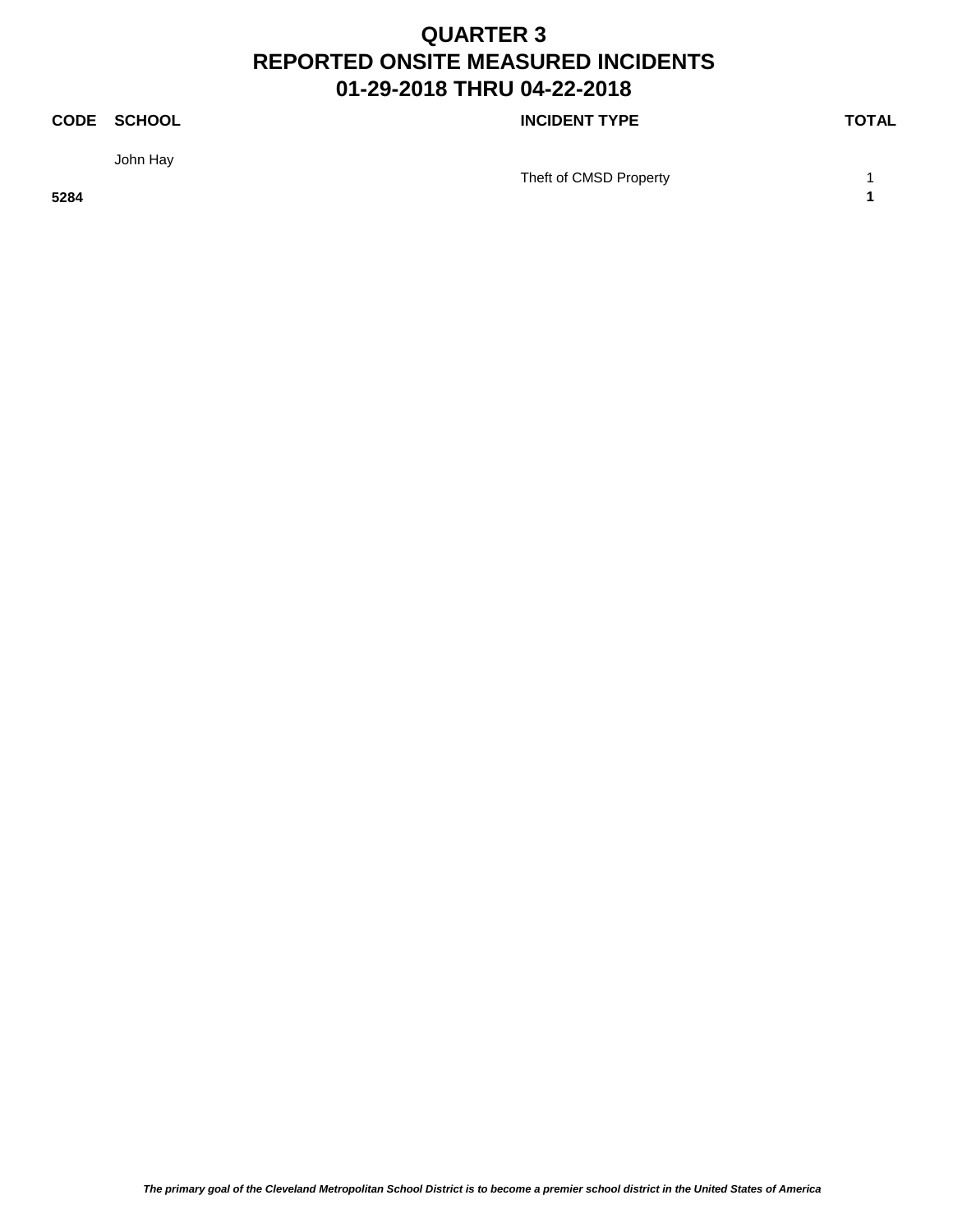John Hay

**CODE SCHOOL CODE SCHOOL** 

Theft of CMSD Property 1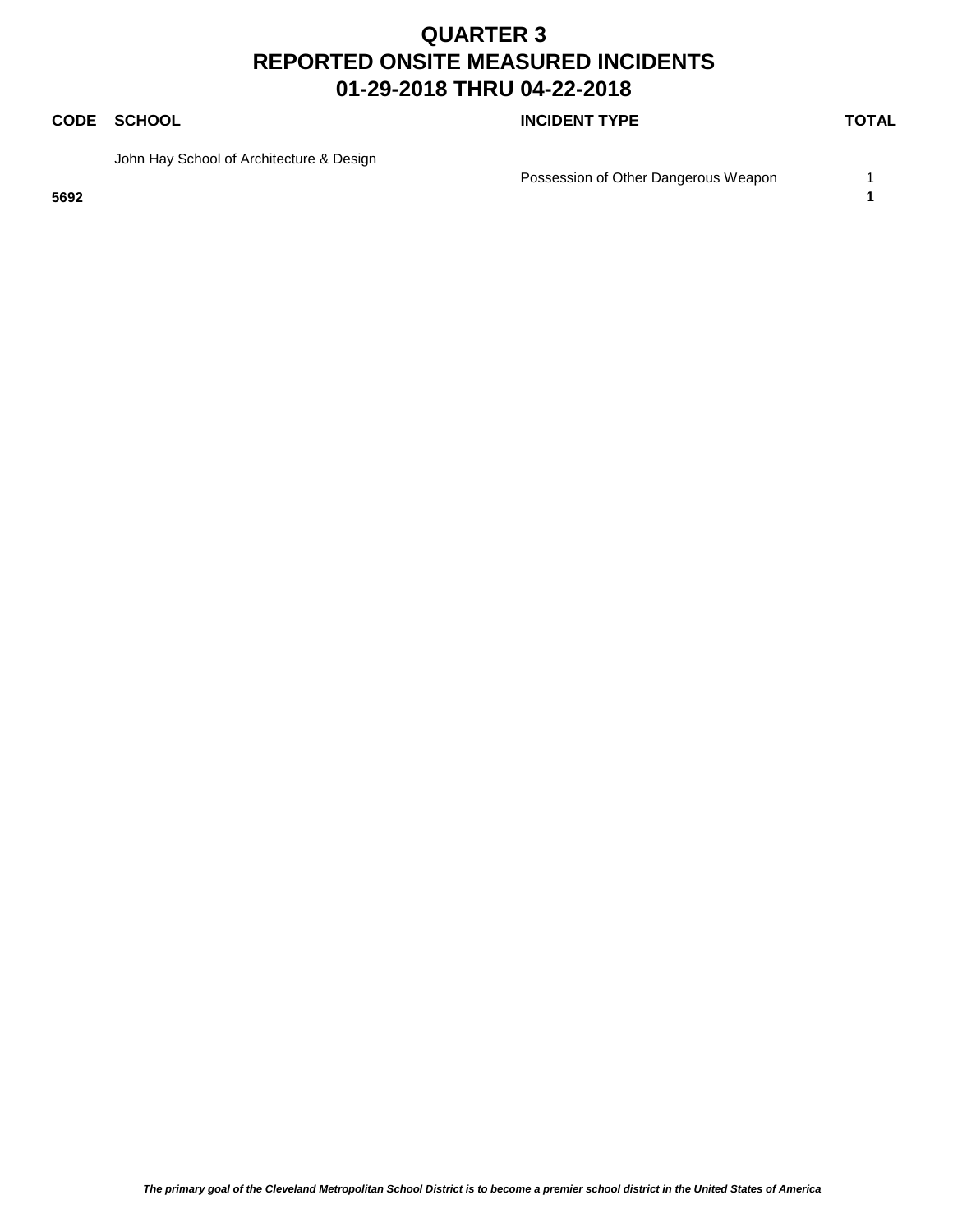### **CODE SCHOOL CODE SCHOOL**

John Hay School of Architecture & Design

**5692 1**

Possession of Other Dangerous Weapon 1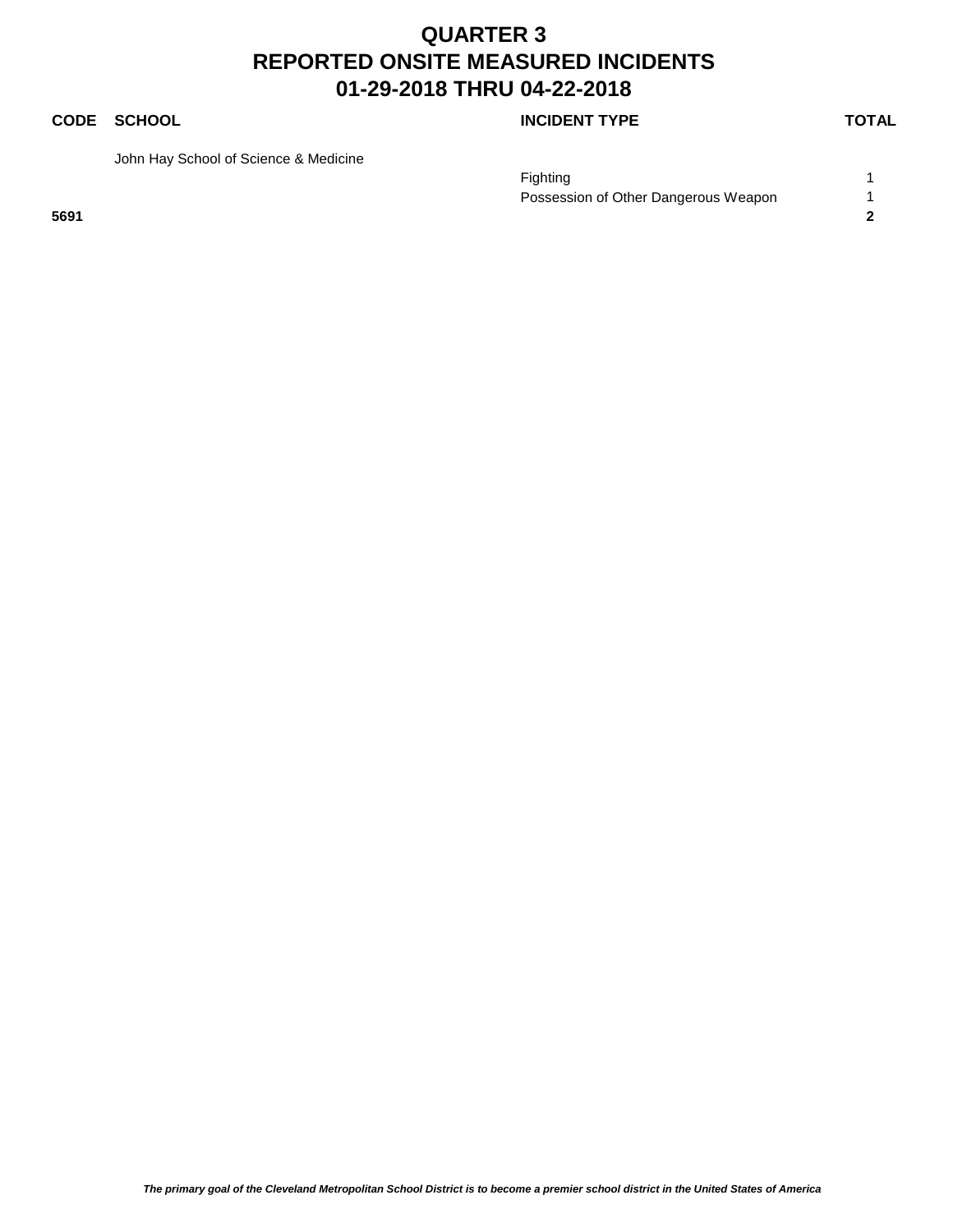### **CODE SCHOOL CODE SCHOOL**

John Hay School of Science & Medicine

Fighting the contract of the contract of the contract of the contract of the contract of the contract of the contract of the contract of the contract of the contract of the contract of the contract of the contract of the c Possession of Other Dangerous Weapon 1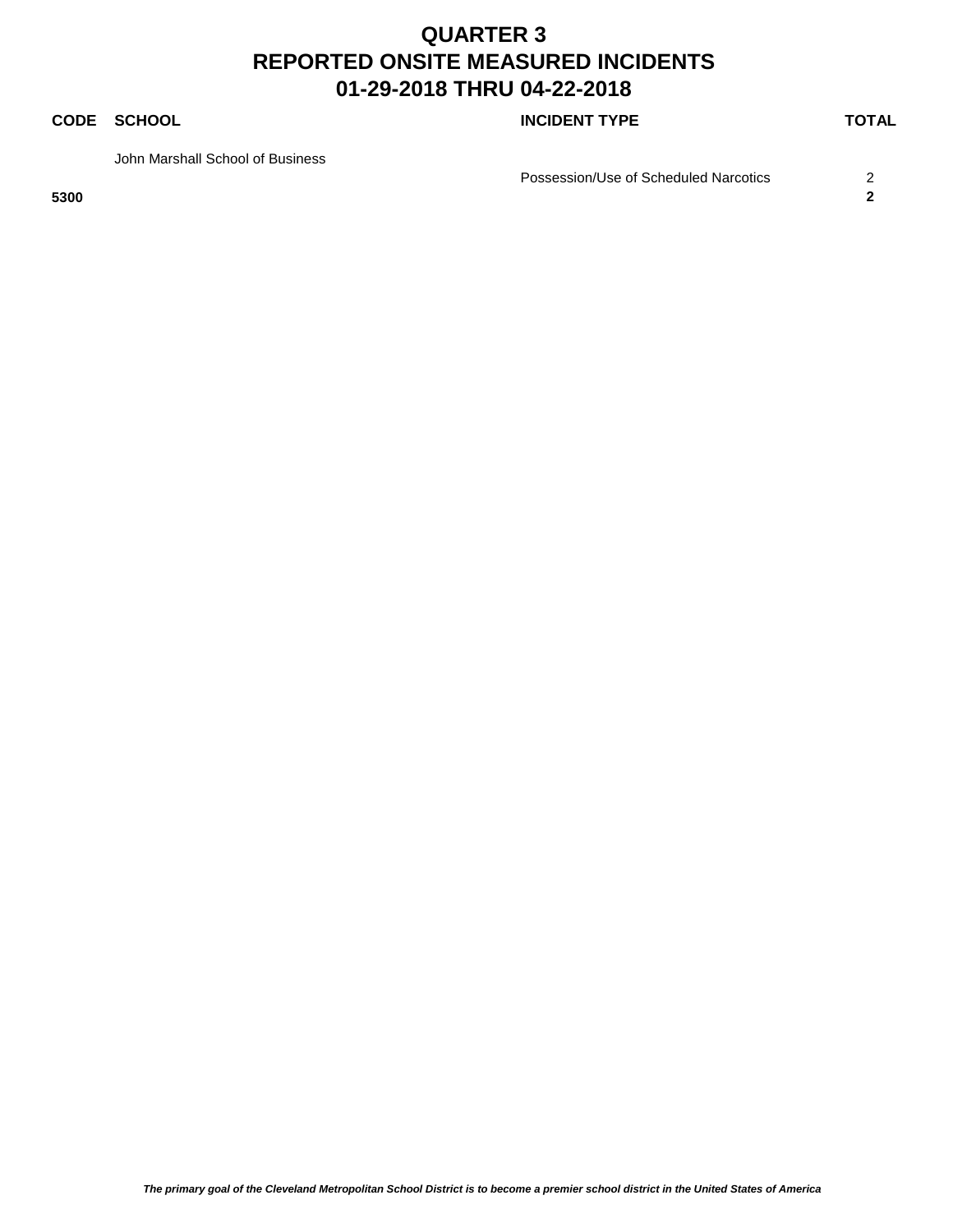**CODE SCHOOL CODE SCHOOL** 

John Marshall School of Business

Possession/Use of Scheduled Narcotics 2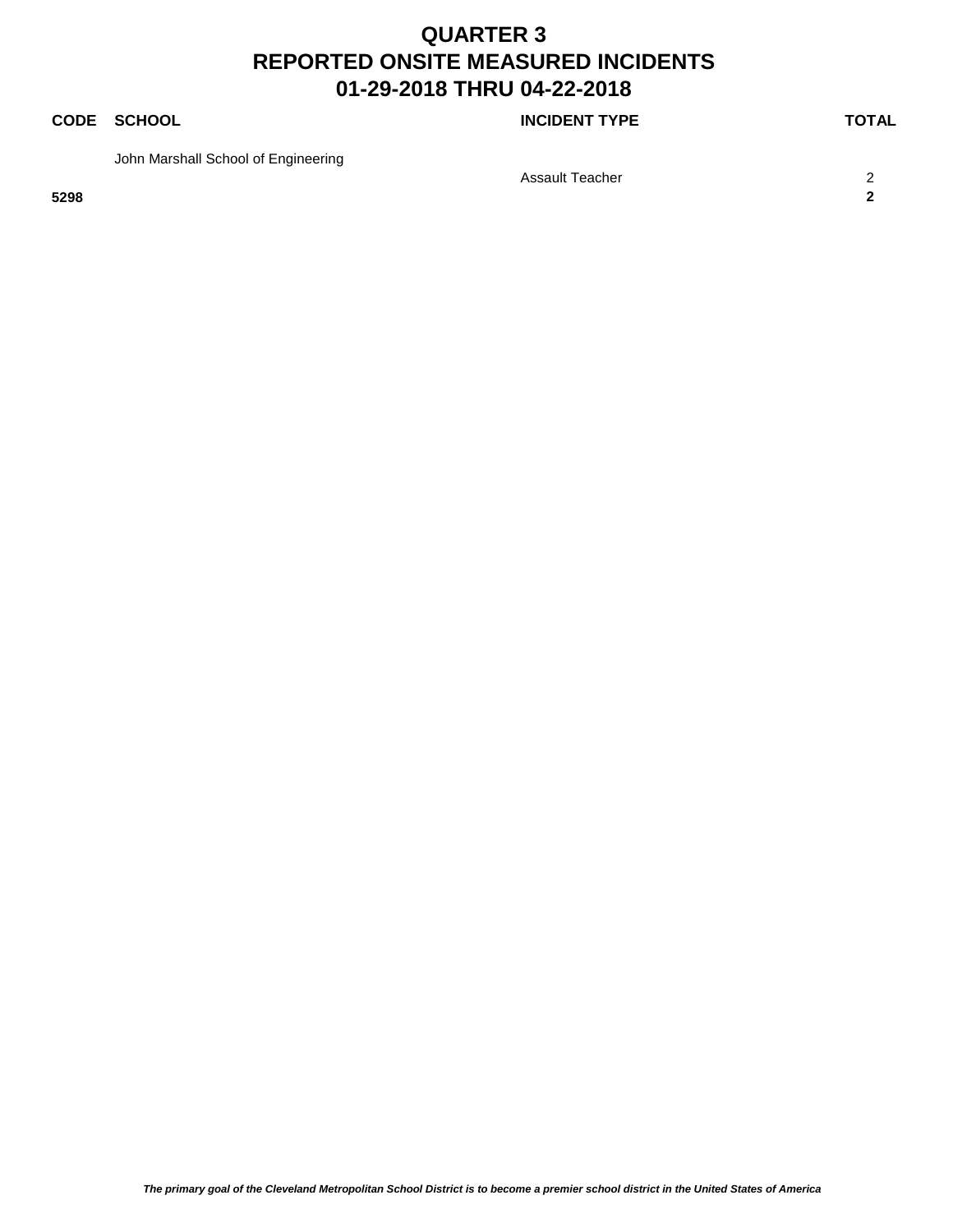### **CODE SCHOOL CODE SCHOOL**

John Marshall School of Engineering

Assault Teacher 2008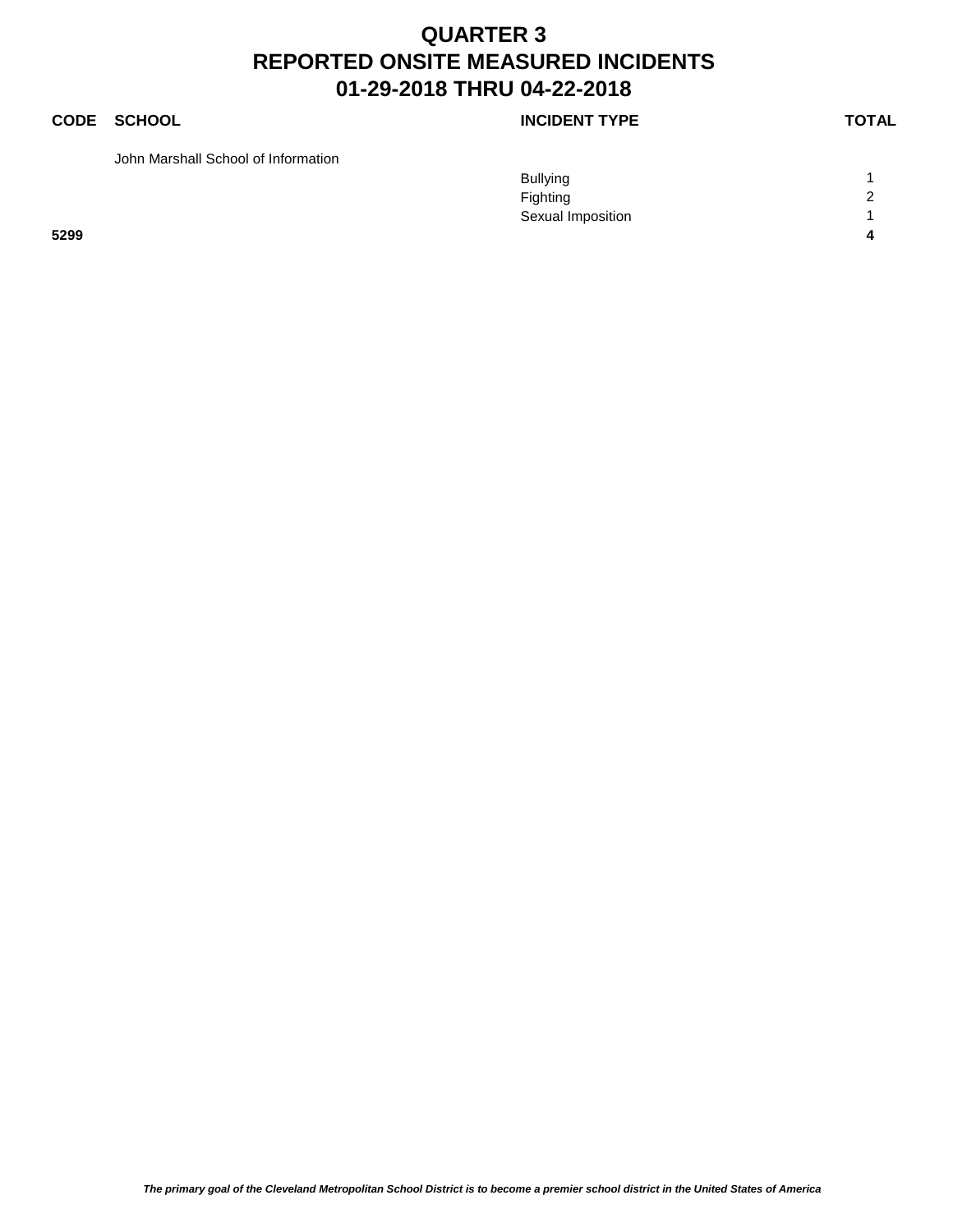### **CODE SCHOOL CODE SCHOOL**

John Marshall School of Information

|      | <b>Bullying</b>   |        |
|------|-------------------|--------|
|      | Fighting          | $\sim$ |
|      | Sexual Imposition |        |
| 5299 |                   |        |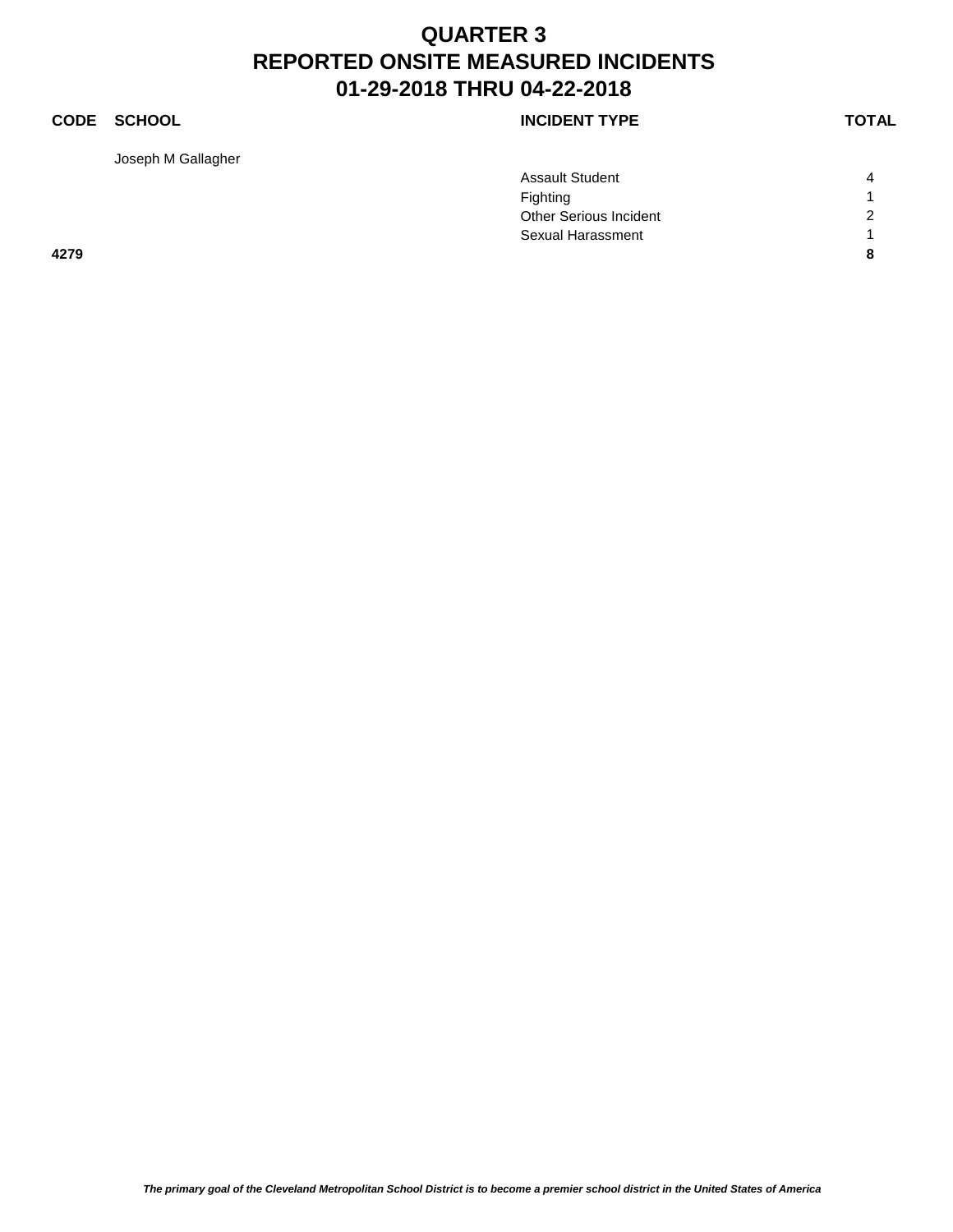### **CODE SCHOOL CODE SCHOOL**

Joseph M Gallagher

|      | <b>Assault Student</b> | Λ              |
|------|------------------------|----------------|
|      | Fighting               |                |
|      | Other Serious Incident | $\overline{2}$ |
|      | Sexual Harassment      |                |
| 4279 |                        | я              |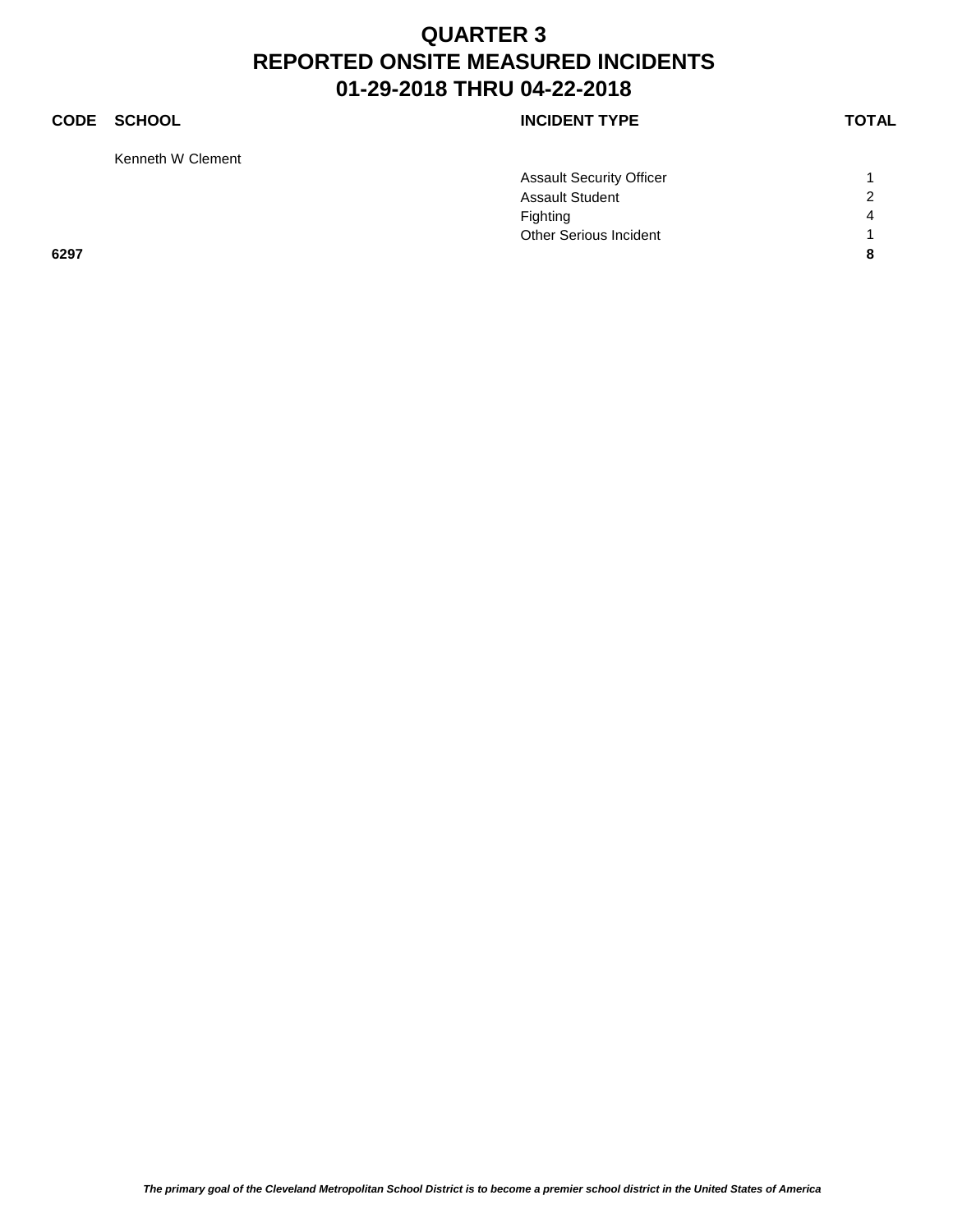Kenneth W Clement

### **CODE SCHOOL CODE SCHOOL**

|      | <b>Assault Security Officer</b> |                |
|------|---------------------------------|----------------|
|      | <b>Assault Student</b>          | $\overline{2}$ |
|      | Fighting                        | $\Delta$       |
|      | Other Serious Incident          |                |
| 6297 |                                 | 8              |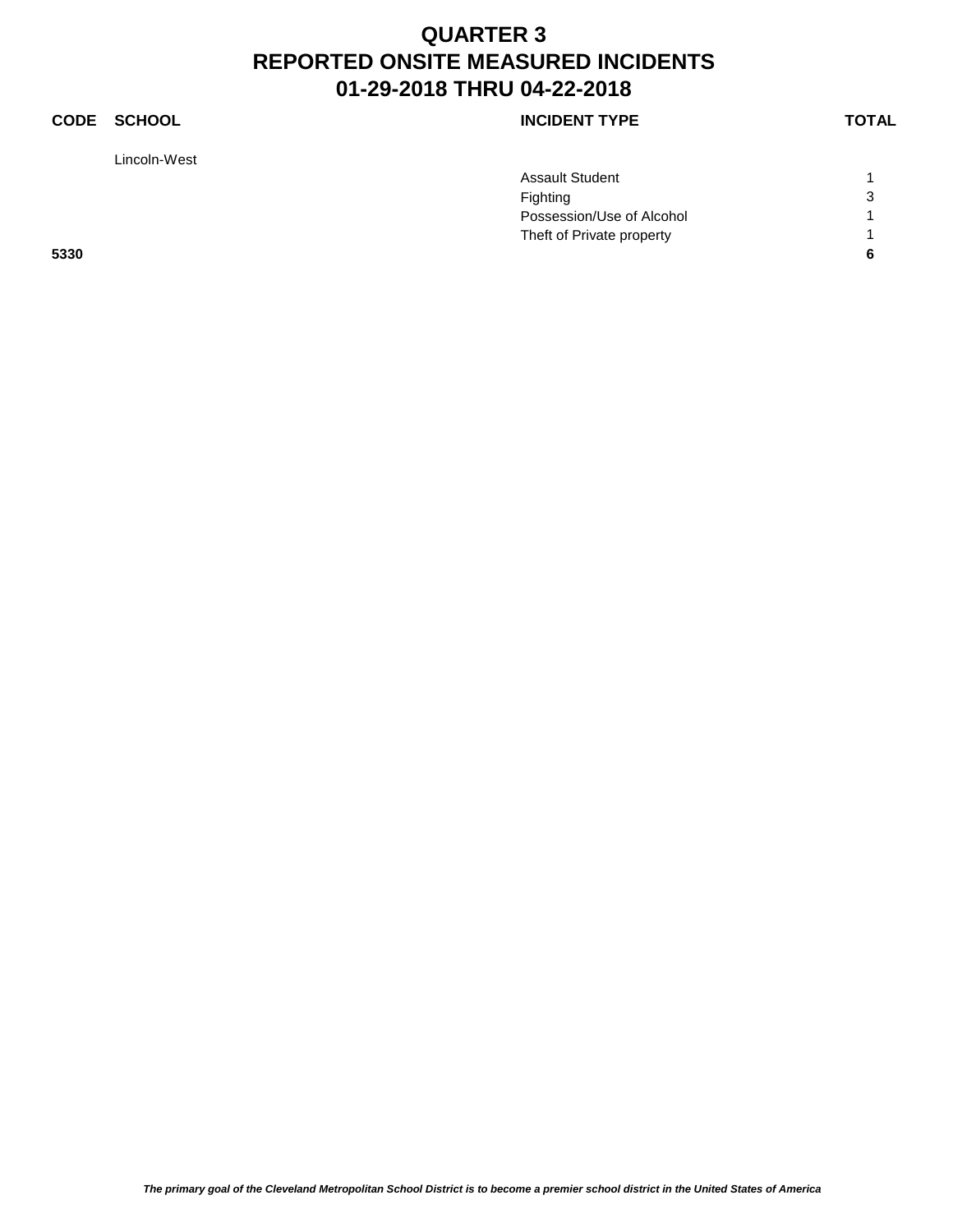### **CODE SCHOOL CODE SCHOOL**

Lincoln-West

|      | <b>Assault Student</b>    |   |
|------|---------------------------|---|
|      | Fighting                  | 3 |
|      | Possession/Use of Alcohol |   |
|      | Theft of Private property |   |
| 5330 |                           | c |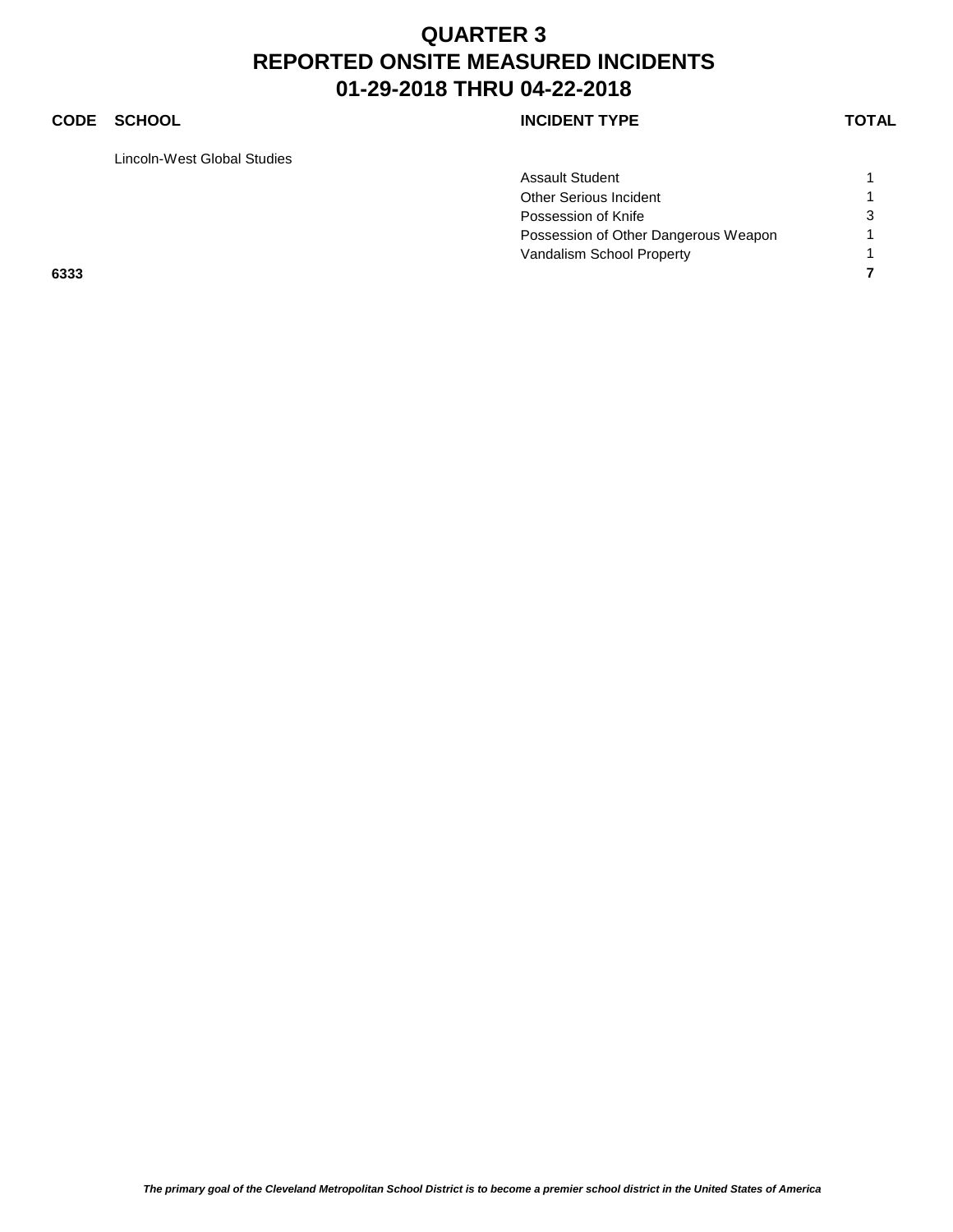### **CODE SCHOOL CODE SCHOOL**

Lincoln-West Global Studies

|      | <b>Assault Student</b>               |   |
|------|--------------------------------------|---|
|      | Other Serious Incident               |   |
|      | Possession of Knife                  | 3 |
|      | Possession of Other Dangerous Weapon |   |
|      | Vandalism School Property            |   |
| 6333 |                                      |   |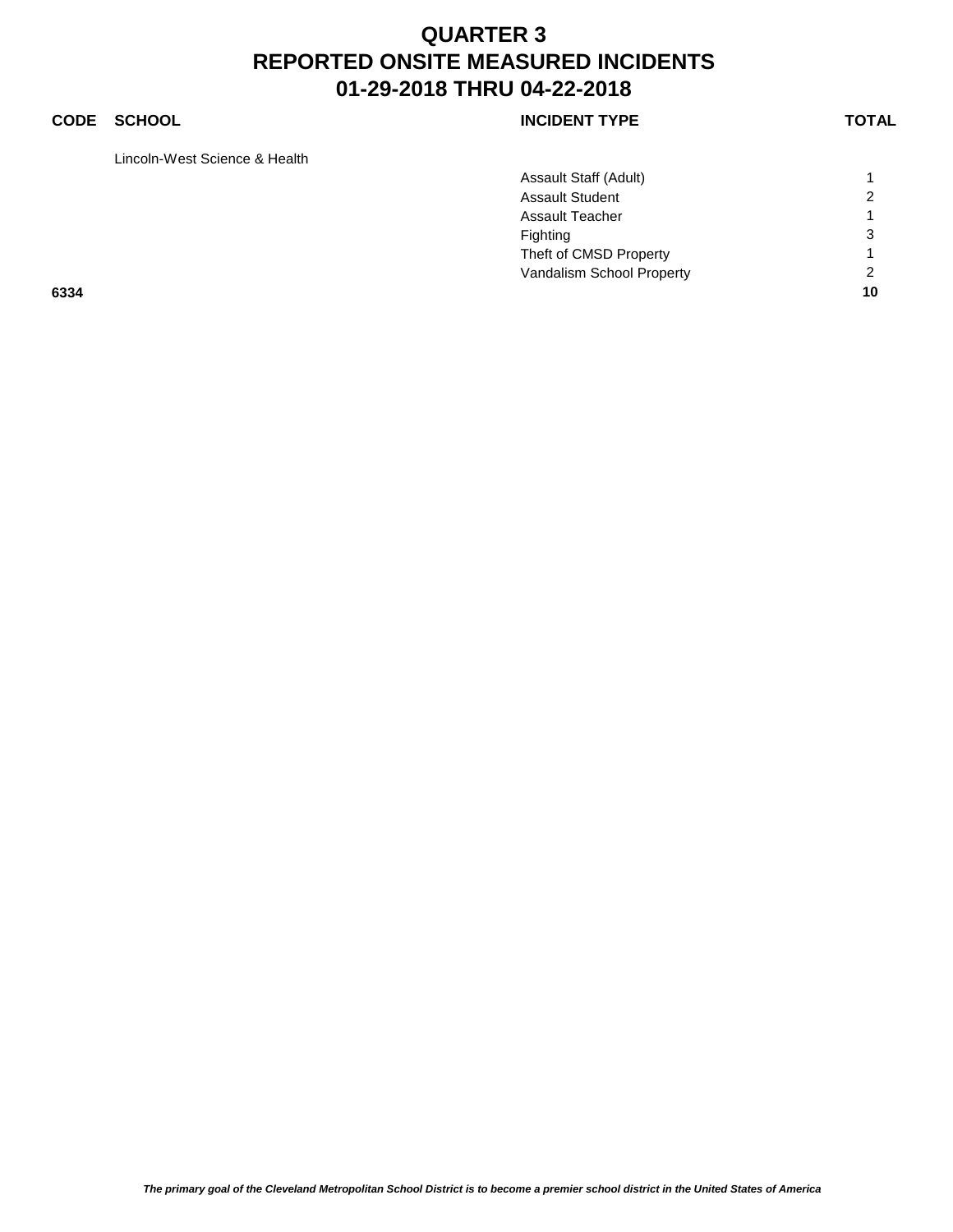### **CODE SCHOOL CODE SCHOOL**

Lincoln-West Science & Health

|      | Assault Staff (Adult)     |                |
|------|---------------------------|----------------|
|      | <b>Assault Student</b>    | 2              |
|      | <b>Assault Teacher</b>    | 1              |
|      | Fighting                  | 3              |
|      | Theft of CMSD Property    |                |
|      | Vandalism School Property | $\overline{2}$ |
| 6334 |                           | 10             |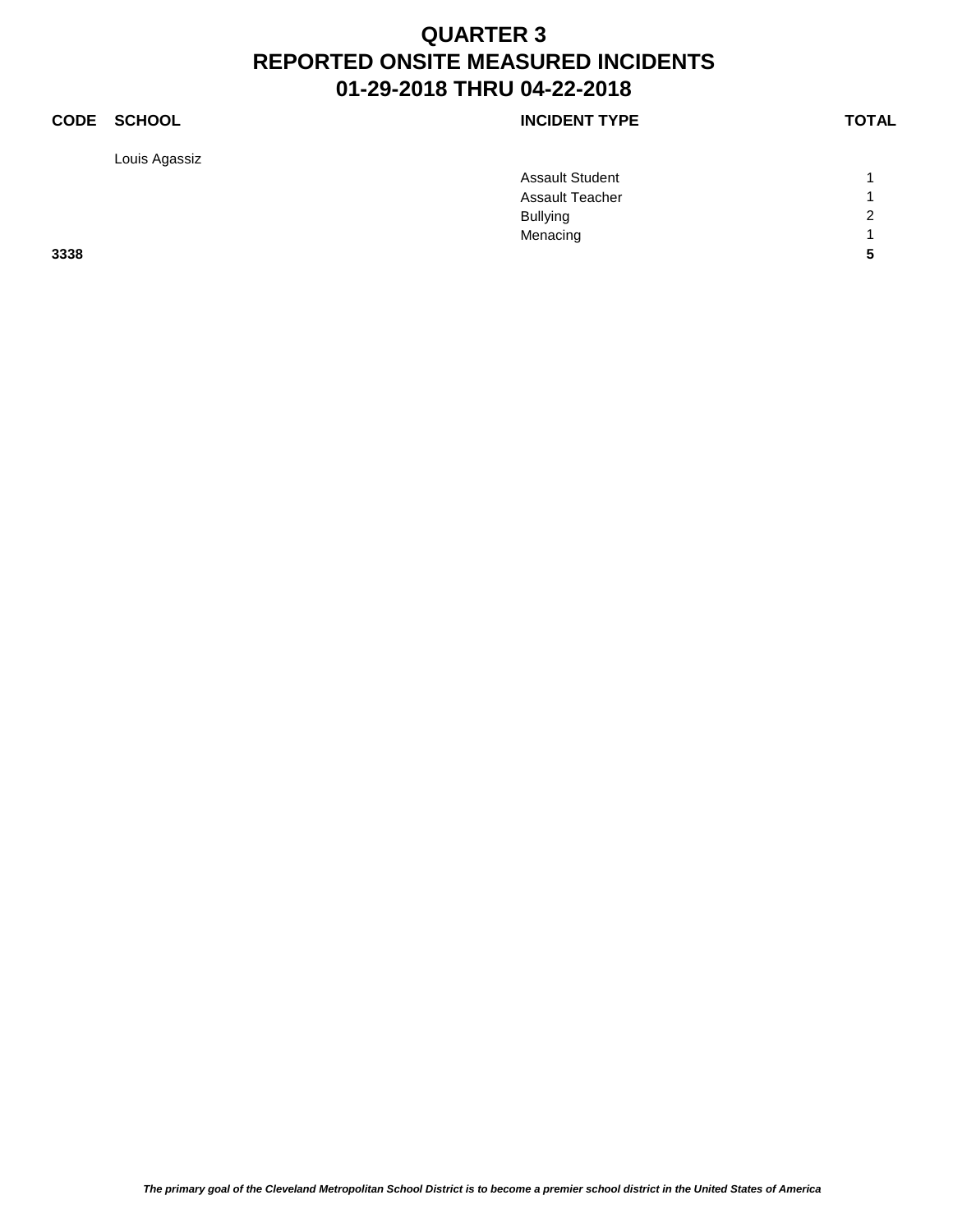Louis Agassiz

### **CODE SCHOOL CODE SCHOOL**

|      | <b>Assault Student</b> |                |
|------|------------------------|----------------|
|      | <b>Assault Teacher</b> |                |
|      | <b>Bullying</b>        | $\overline{2}$ |
|      | Menacing               | $\overline{A}$ |
| 3338 |                        | 5              |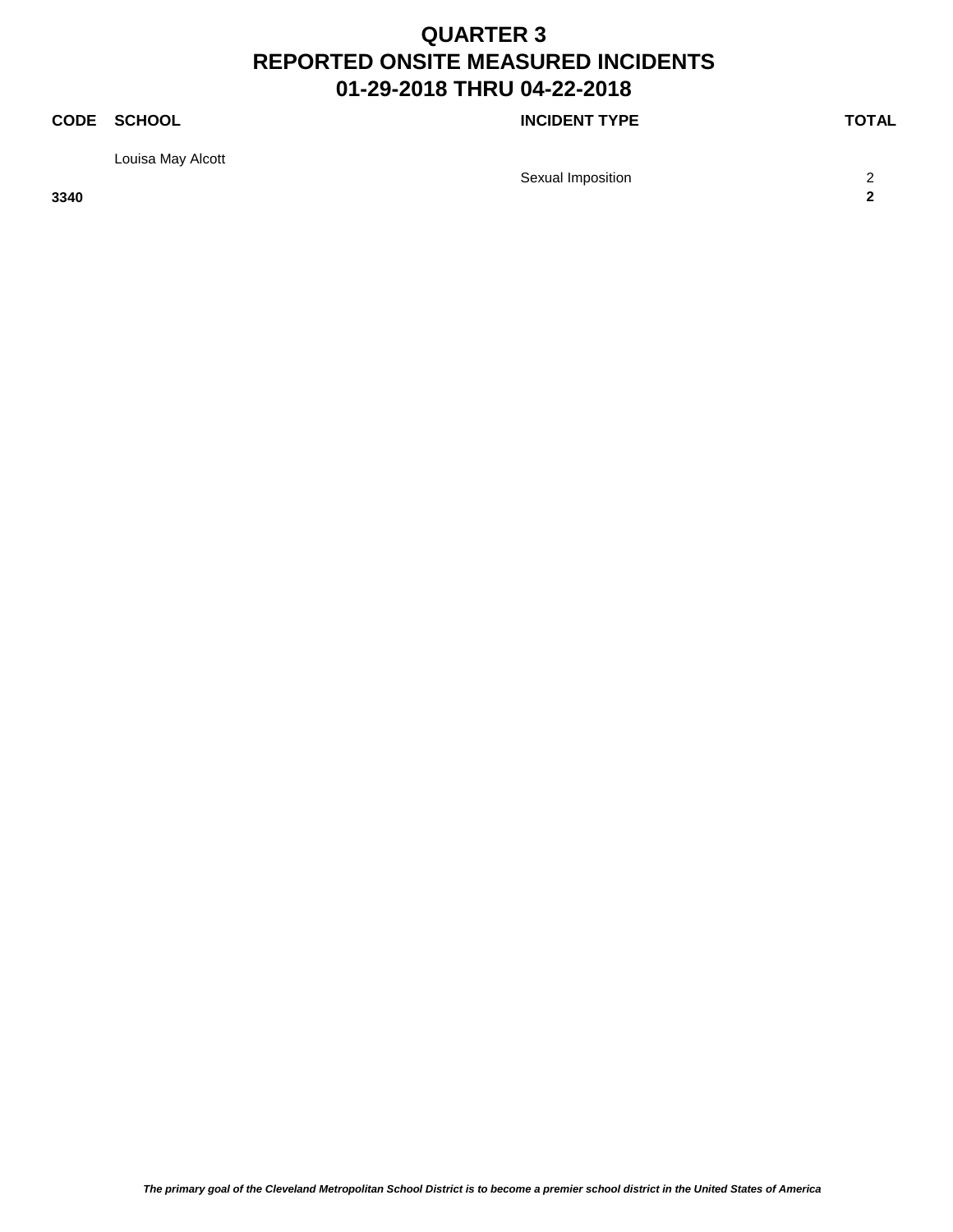### **CODE SCHOOL CODE SCHOOL**

Louisa May Alcott

Sexual Imposition 2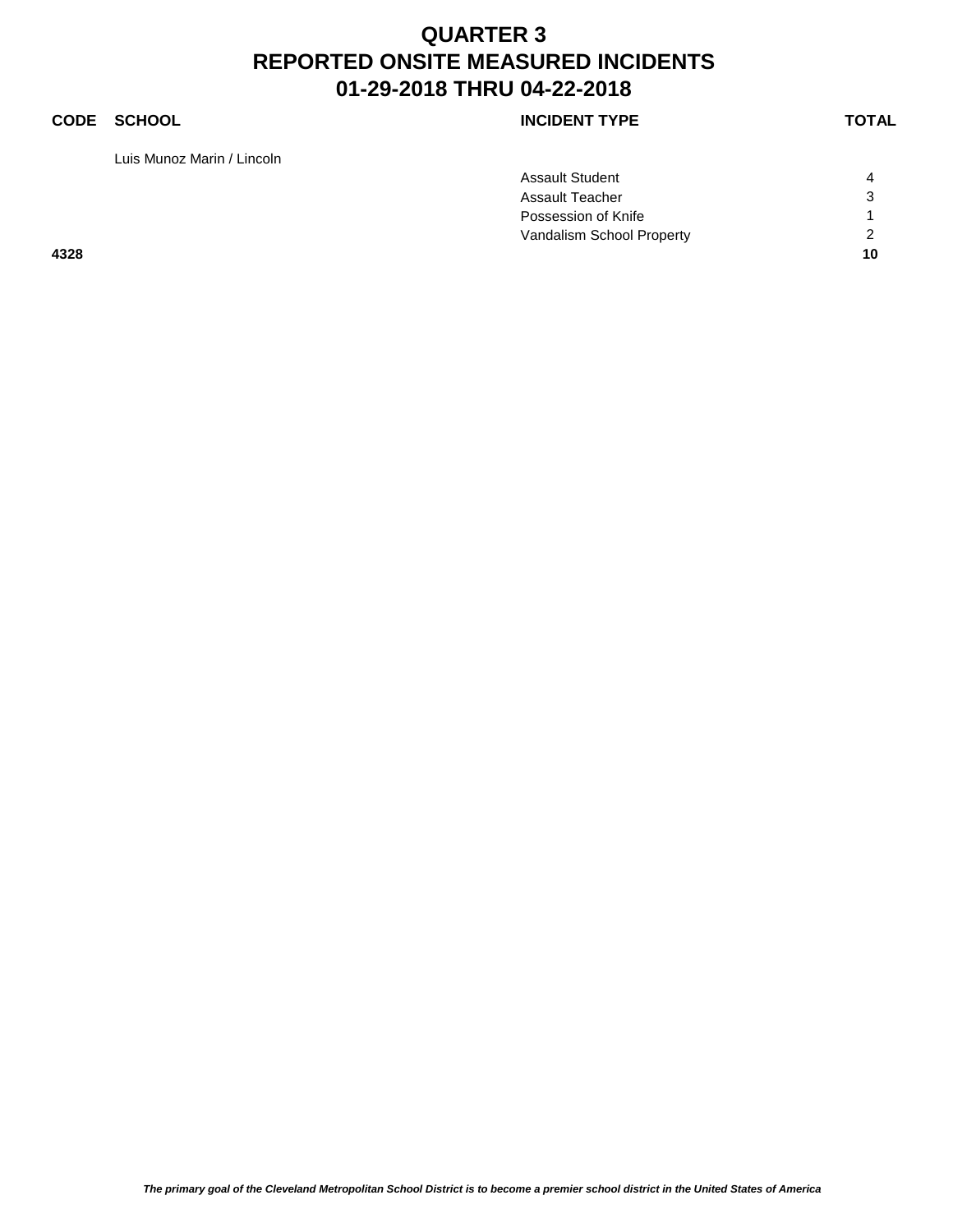### **CODE SCHOOL CODE SCHOOL**

Luis Munoz Marin / Lincoln

| <b>INCIDENT TYPE</b> |  |
|----------------------|--|
|----------------------|--|

|      | <b>Assault Teacher</b>                           | 3  |
|------|--------------------------------------------------|----|
|      | Possession of Knife<br>Vandalism School Property | 2  |
| 4328 |                                                  | 10 |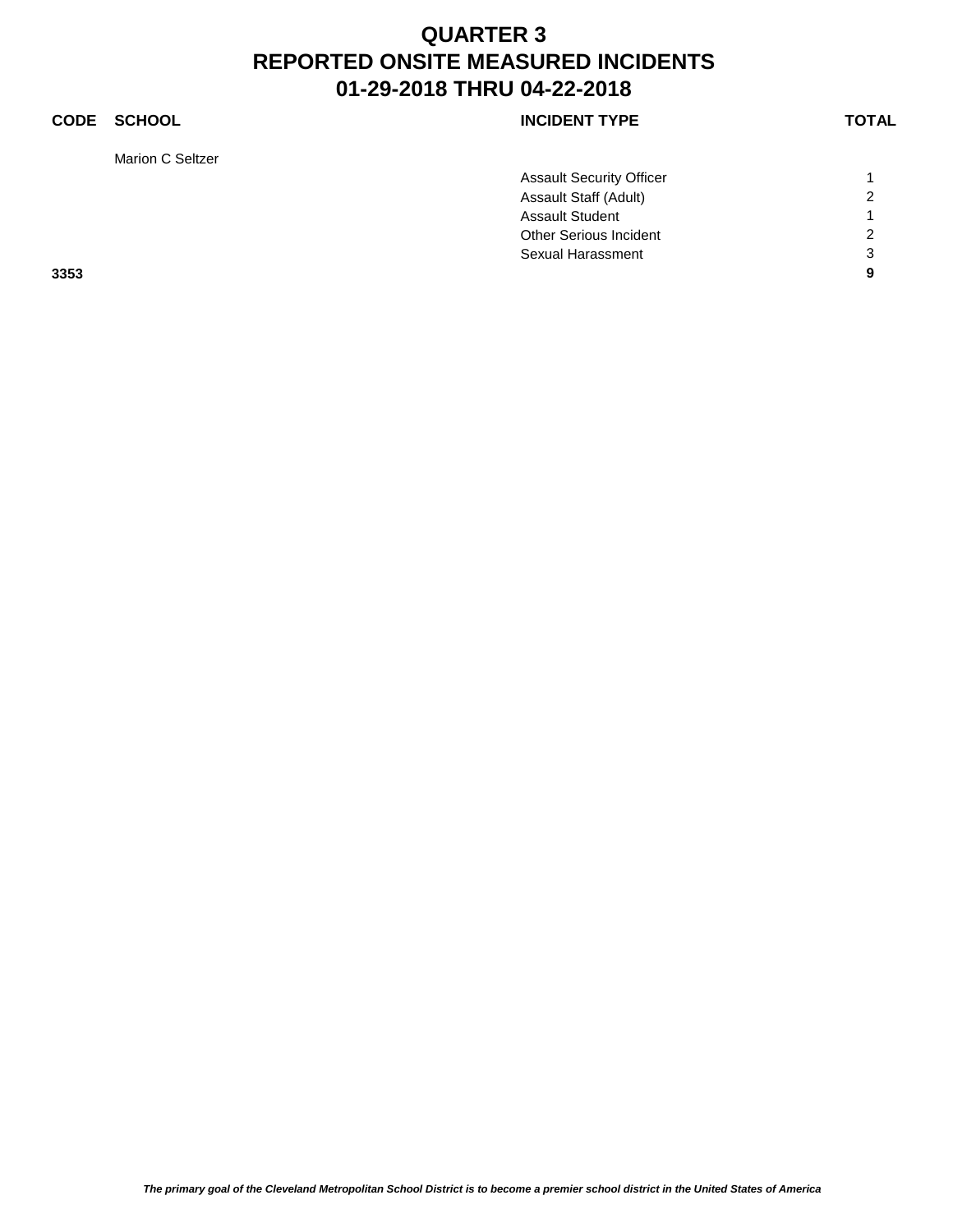### **CODE SCHOOL CODE SCHOOL**

Marion C Seltzer

|      | <b>Assault Security Officer</b> |                |
|------|---------------------------------|----------------|
|      | Assault Staff (Adult)           | $\overline{2}$ |
|      | <b>Assault Student</b>          |                |
|      | Other Serious Incident          | $\overline{2}$ |
|      | Sexual Harassment               | 3              |
| 3353 |                                 | 9              |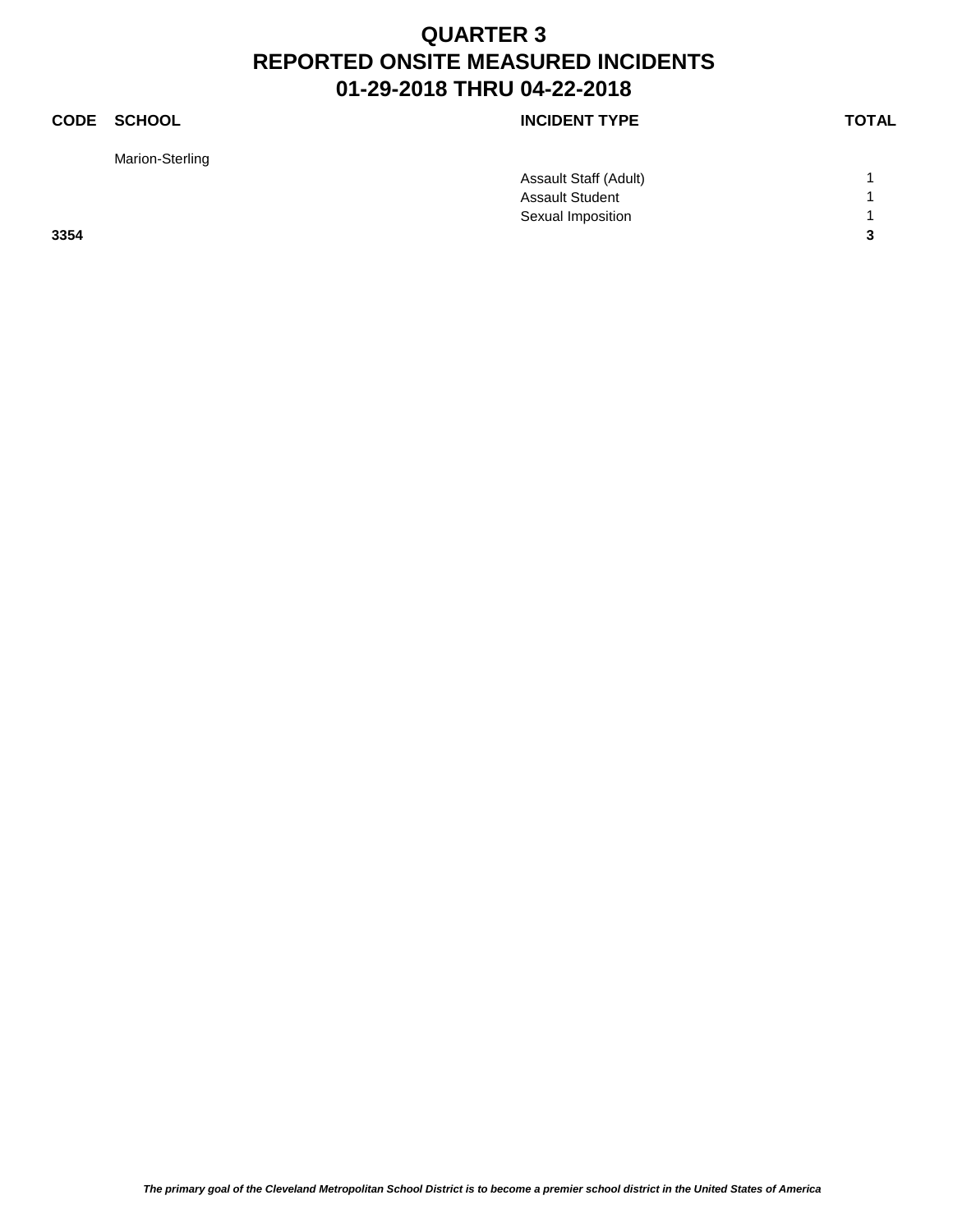Marion-Sterling

### **CODE SCHOOL CODE SCHOOL**

|      | Assault Staff (Adult)  |                |
|------|------------------------|----------------|
|      | <b>Assault Student</b> |                |
|      | Sexual Imposition      |                |
| 3354 |                        | $\overline{3}$ |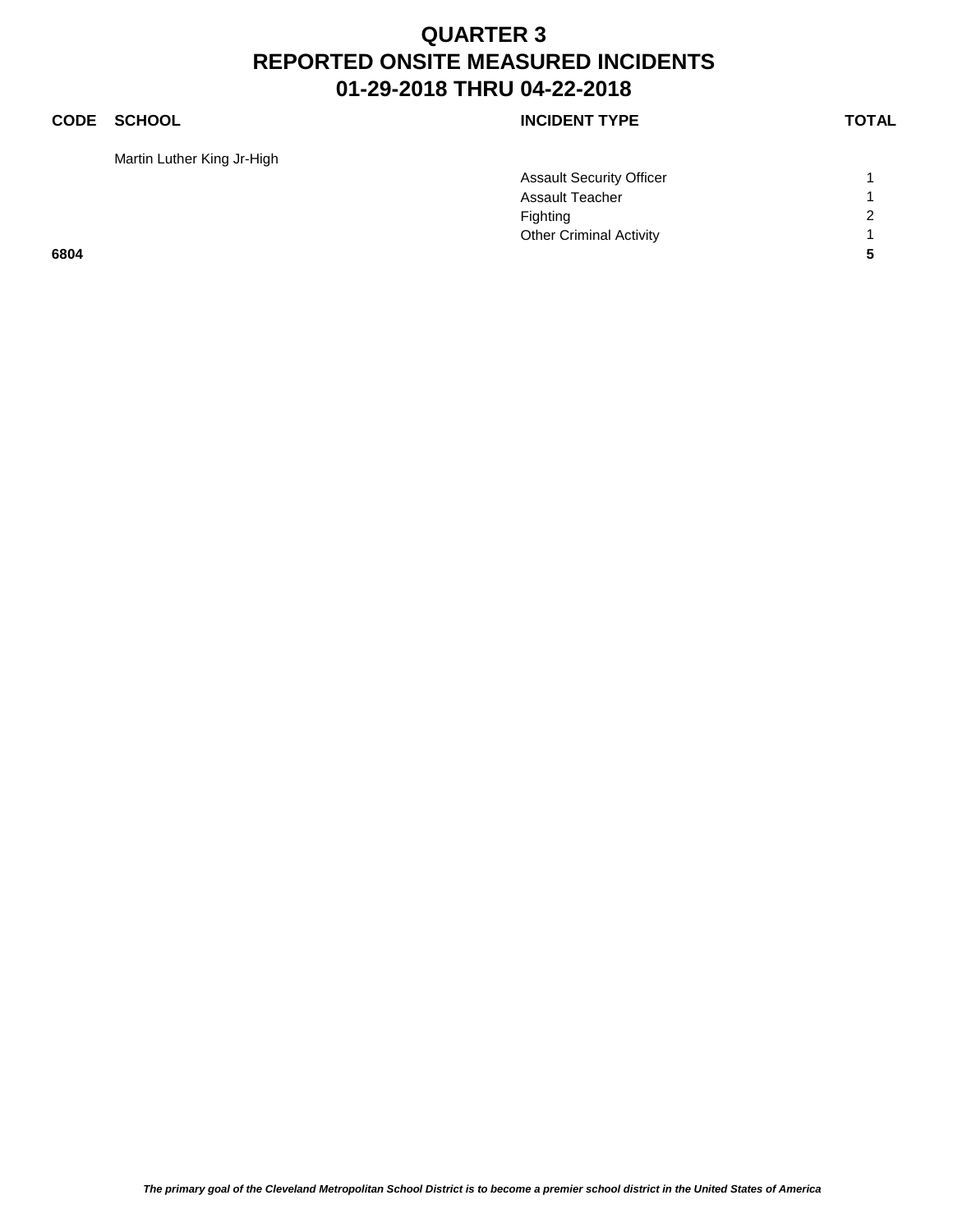Martin Luther King Jr-High

### **CODE SCHOOL CODE SCHOOL**

|      | <b>Assault Security Officer</b> |                |
|------|---------------------------------|----------------|
|      | <b>Assault Teacher</b>          |                |
|      | Fighting                        | $\overline{2}$ |
|      | <b>Other Criminal Activity</b>  |                |
| 6804 |                                 |                |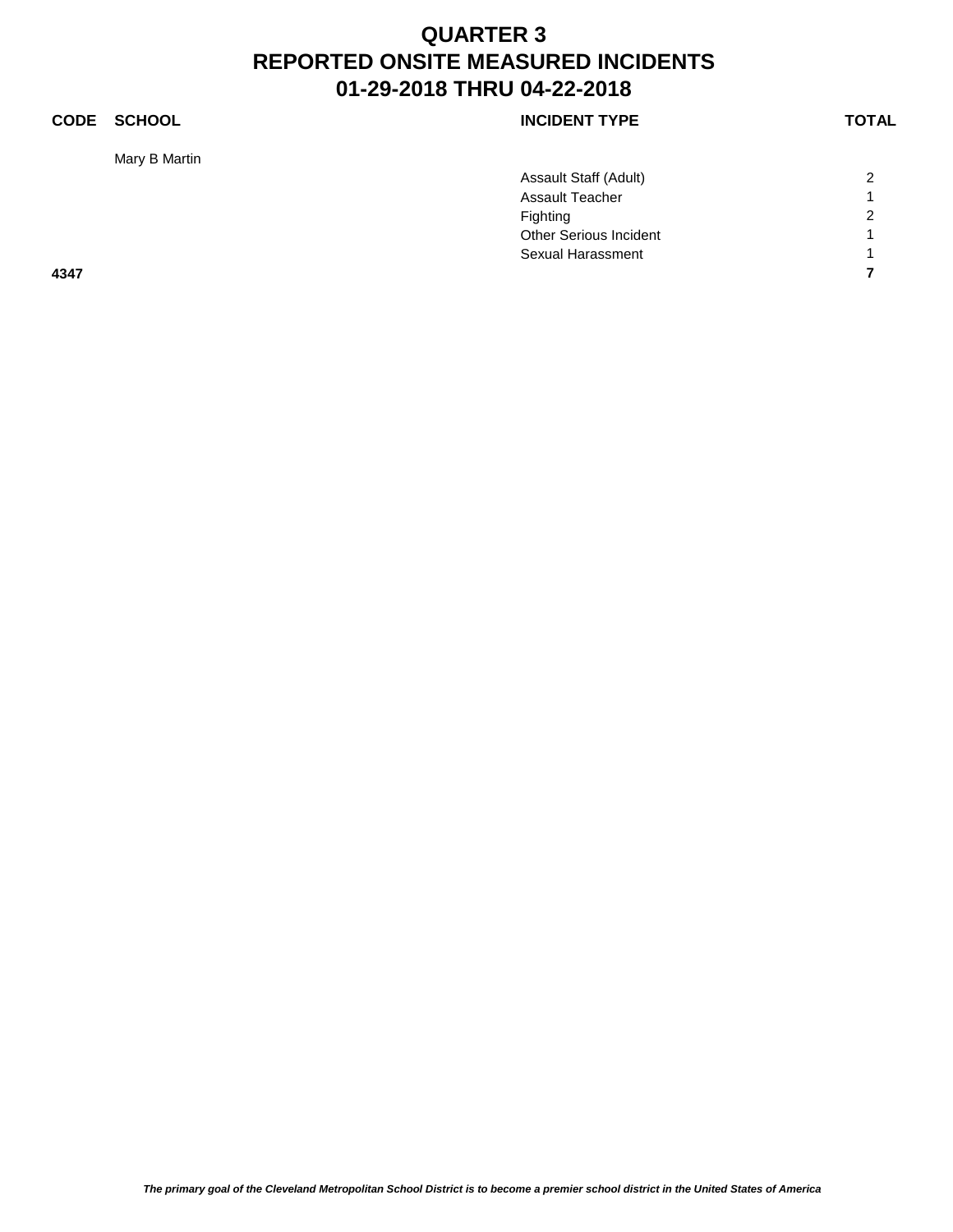### **CODE SCHOOL CODE SCHOOL**

Mary B Martin

|      | Assault Staff (Adult)         | $\overline{2}$ |
|------|-------------------------------|----------------|
|      | <b>Assault Teacher</b>        | $\overline{A}$ |
|      | Fighting                      | $\overline{2}$ |
|      | <b>Other Serious Incident</b> | $\overline{ }$ |
|      | Sexual Harassment             | $\overline{A}$ |
| 4347 |                               | 7              |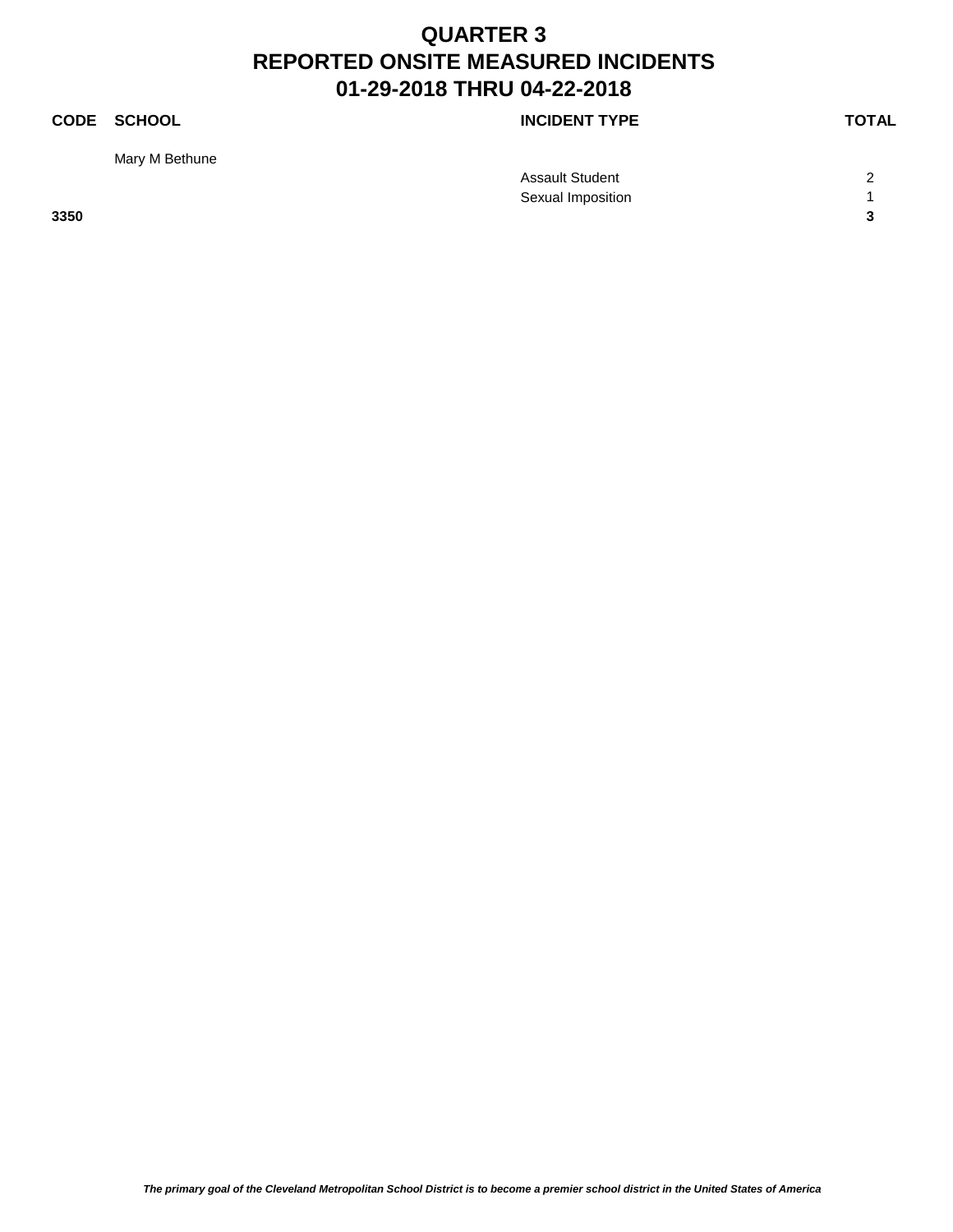Mary M Bethune

**CODE SCHOOL CODE SCHOOL** 

Assault Student 2 Sexual Imposition 1 **3350 3**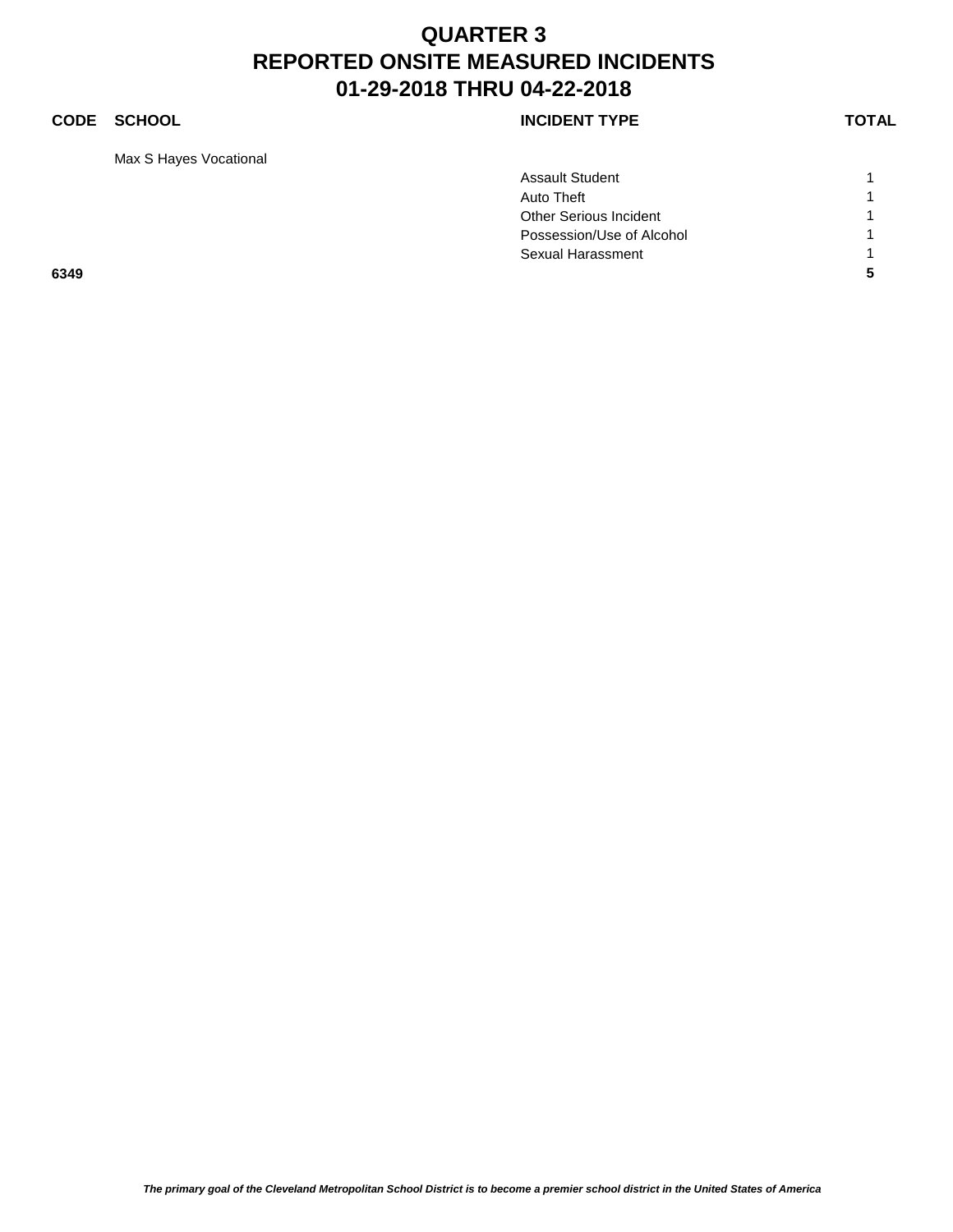### **CODE SCHOOL CODE SCHOOL**

Max S Hayes Vocational

|      | <b>Assault Student</b>    |  |
|------|---------------------------|--|
|      | Auto Theft                |  |
|      | Other Serious Incident    |  |
|      | Possession/Use of Alcohol |  |
|      | Sexual Harassment         |  |
| 6349 |                           |  |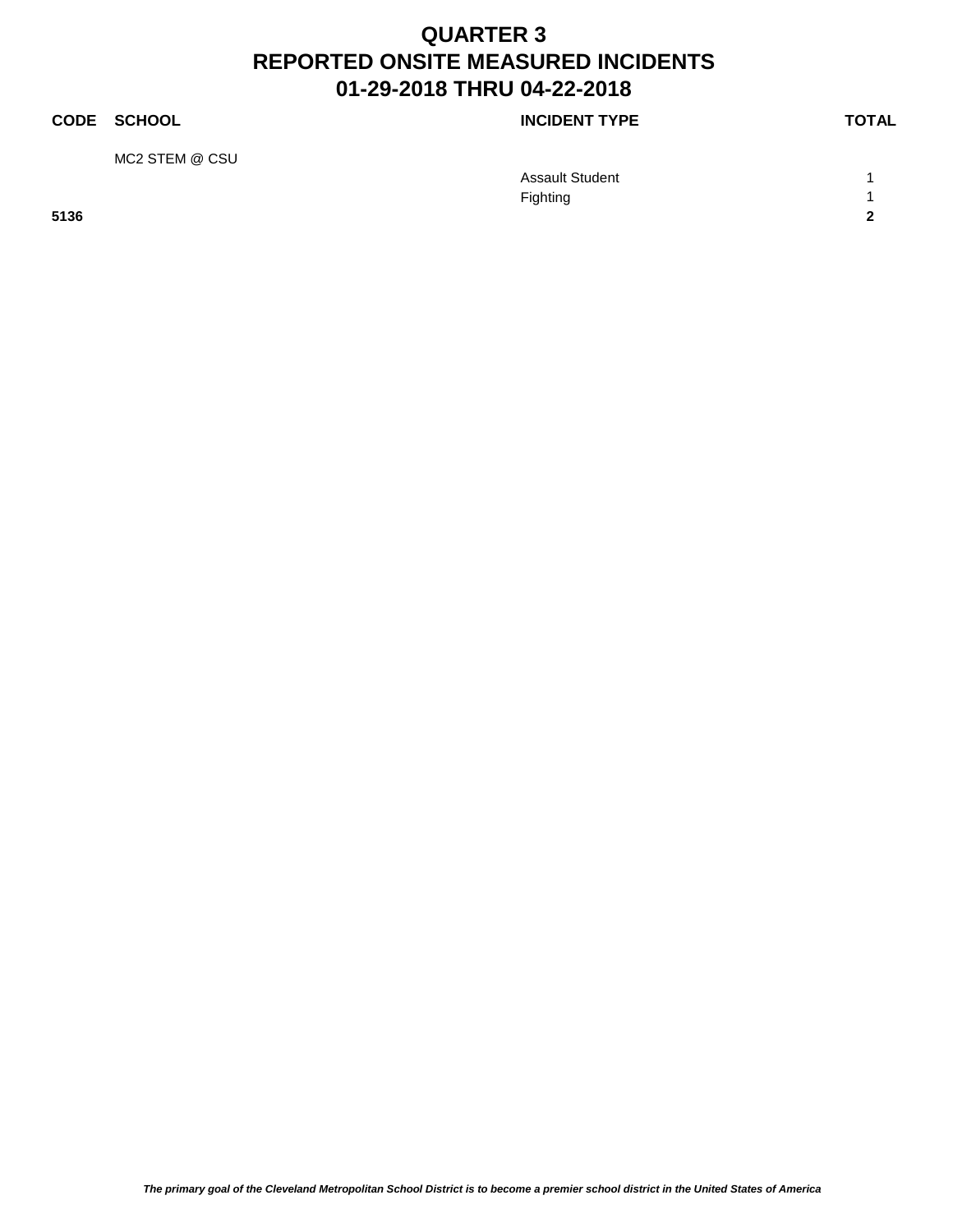### **CODE SCHOOL CODE SCHOOL** MC2 STEM @ CSU Assault Student 1 Fighting 1 and 1 and 1 and 1 and 1 and 1 and 1 and 1 and 1 and 1 and 1 and 1 and 1 and 1 and 1 and 1 and 1 and 1 and 1 and 1 and 1 and 1 and 1 and 1 and 1 and 1 and 1 and 1 and 1 and 1 and 1 and 1 and 1 and 1 and 1 and 1 a **5136 2**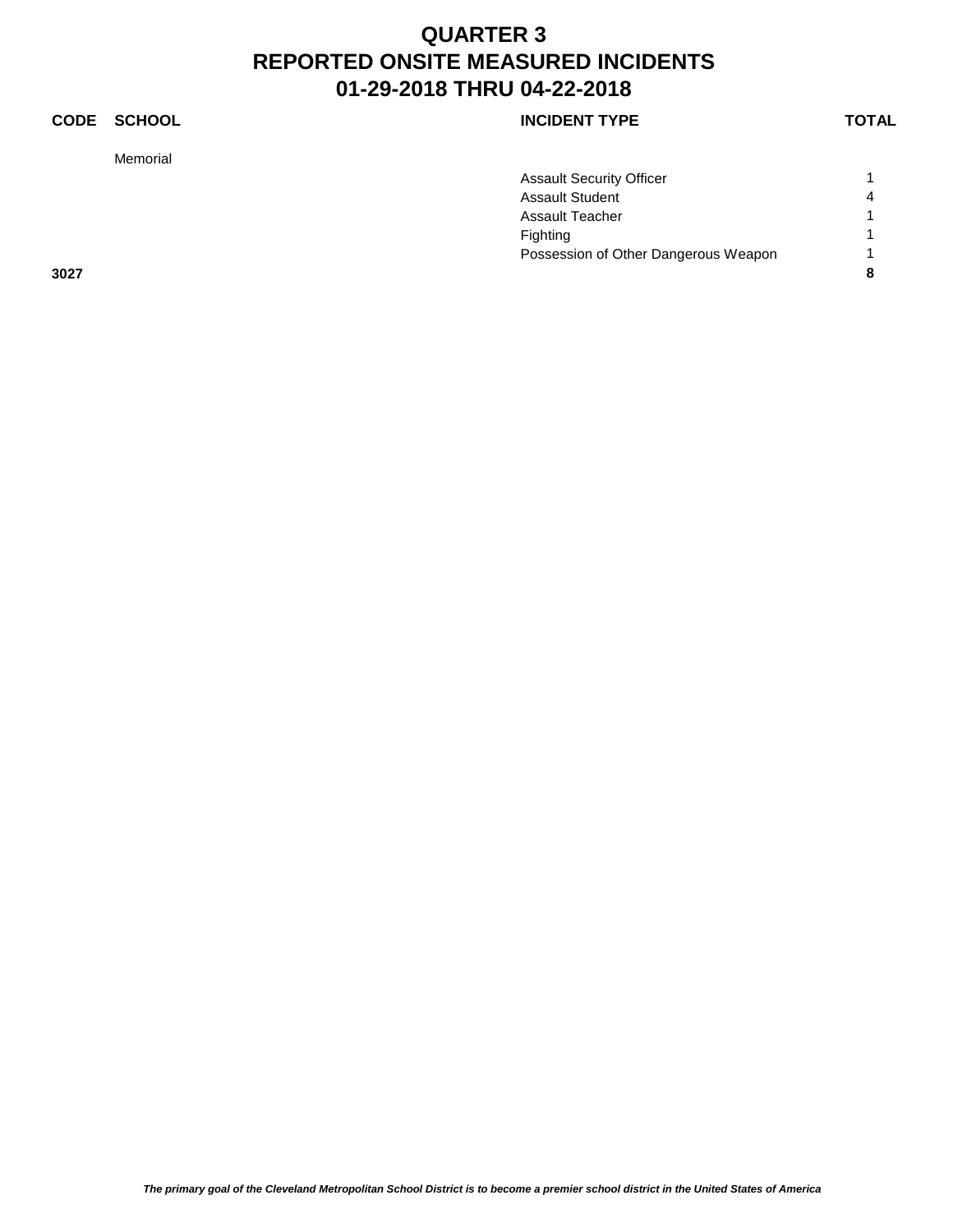### **CODE SCHOOL CODE SCHOOL**

Memorial

|      | <b>Assault Security Officer</b>      |   |
|------|--------------------------------------|---|
|      | <b>Assault Student</b>               | 4 |
|      | <b>Assault Teacher</b>               |   |
|      | Fighting                             |   |
|      | Possession of Other Dangerous Weapon |   |
| 3027 |                                      | 8 |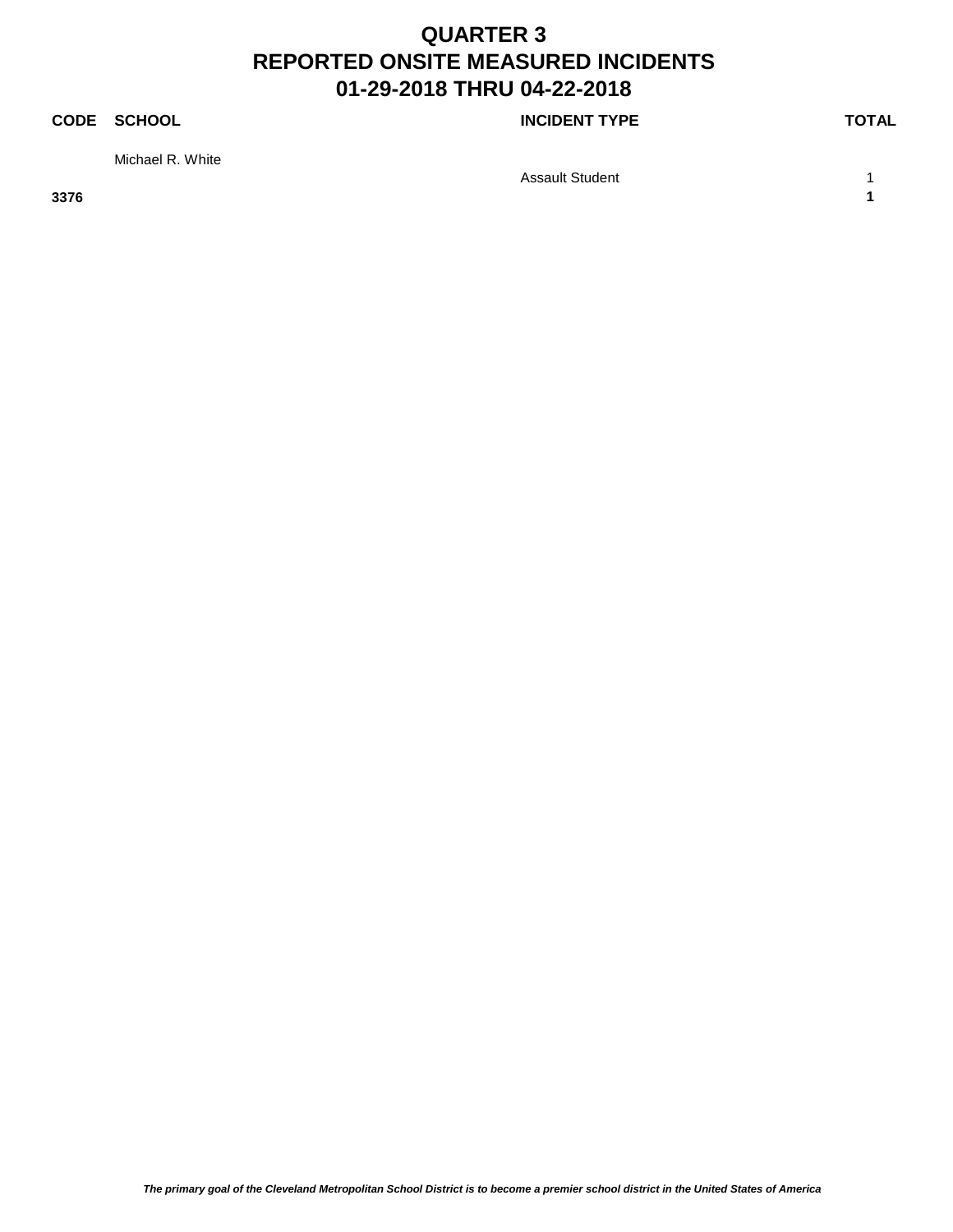### **CODE SCHOOL CODE SCHOOL**

Michael R. White

Assault Student 1 1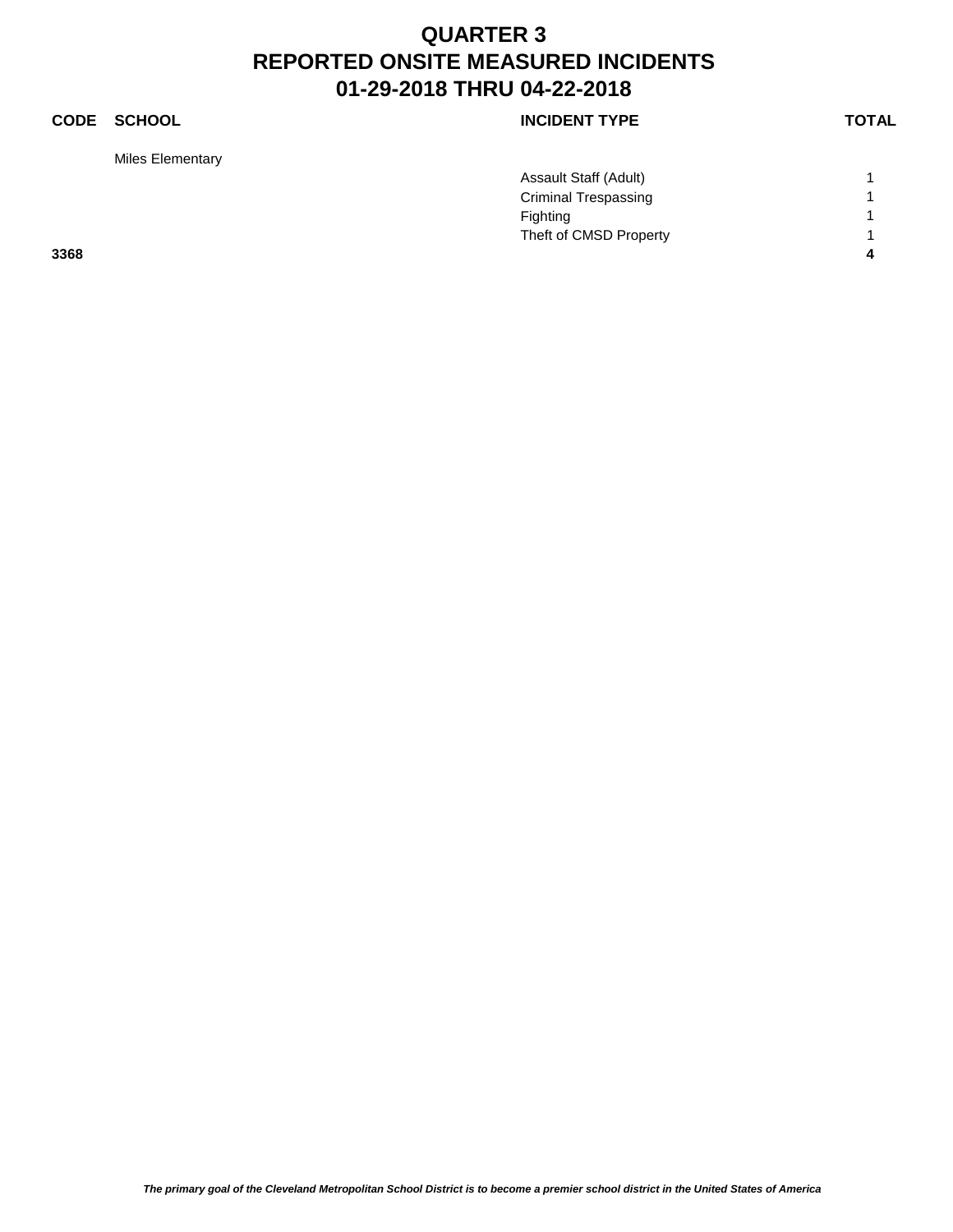Miles Elementary

### **CODE SCHOOL CODE SCHOOL**

|      | Assault Staff (Adult)       |  |
|------|-----------------------------|--|
|      | <b>Criminal Trespassing</b> |  |
|      | Fighting                    |  |
|      | Theft of CMSD Property      |  |
| 3368 |                             |  |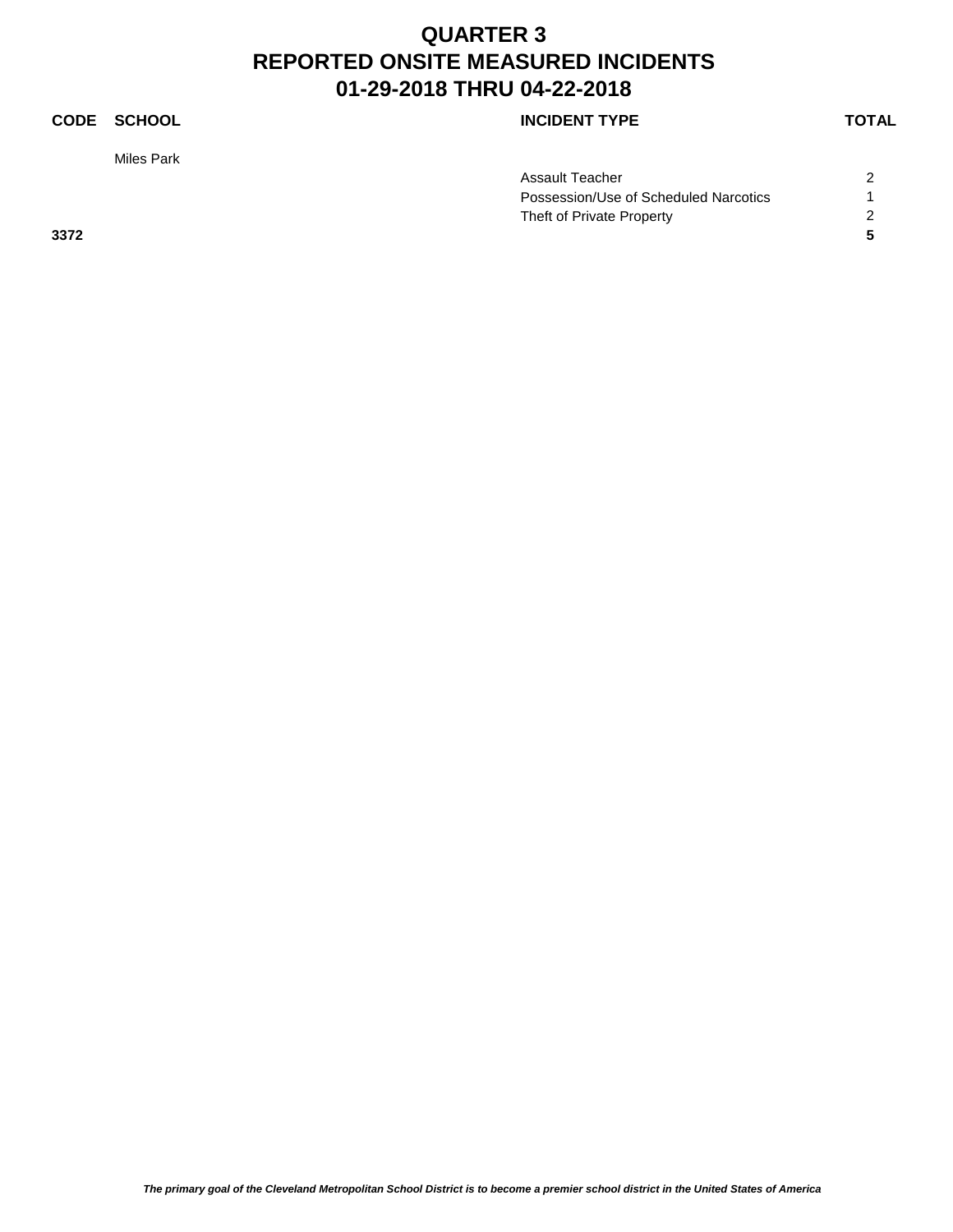### **CODE SCHOOL CODE SCHOOL**

Miles Park

|      | Assault Teacher                       |  |
|------|---------------------------------------|--|
|      | Possession/Use of Scheduled Narcotics |  |
|      | Theft of Private Property             |  |
| 3372 |                                       |  |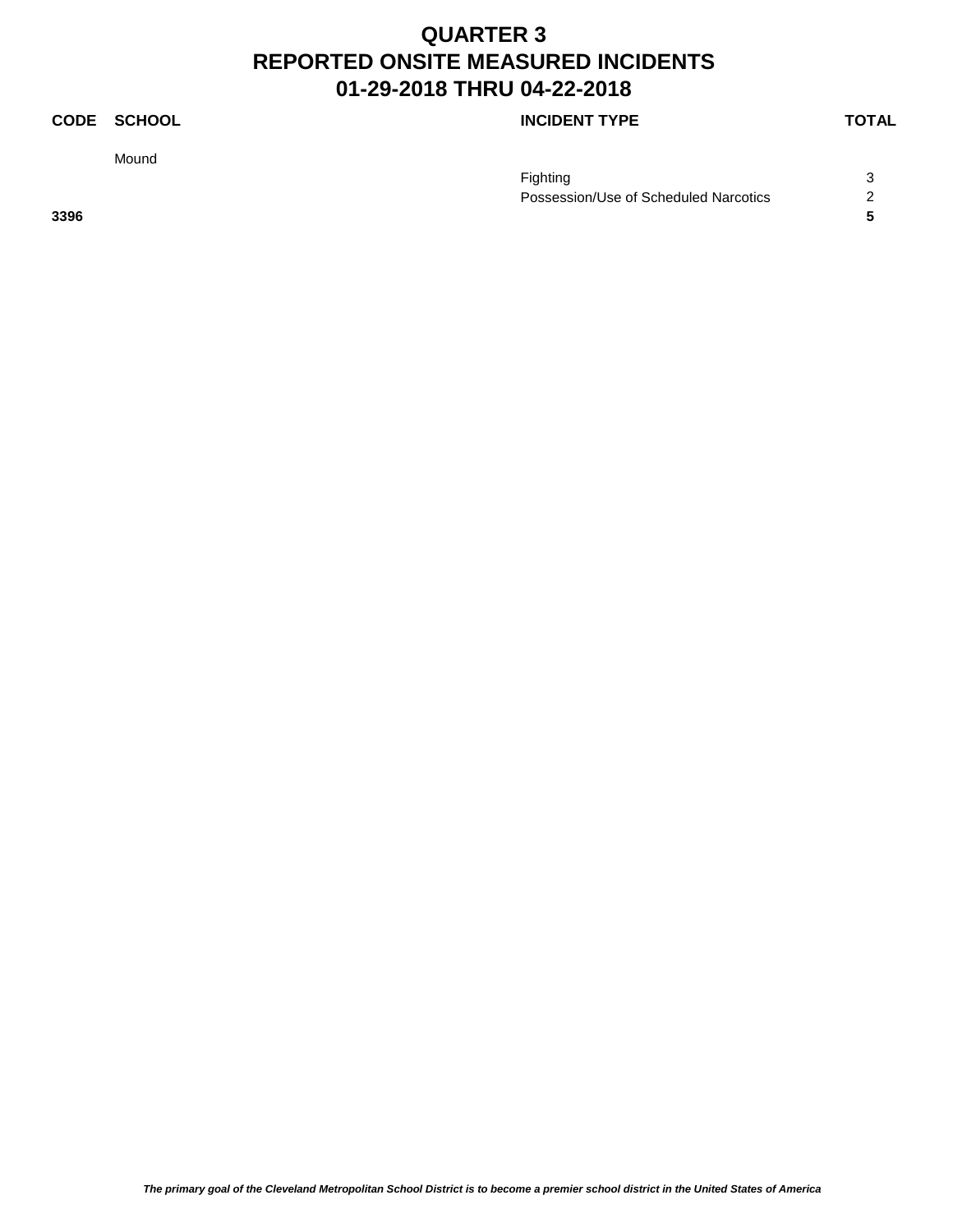Mound

### **CODE SCHOOL CODE SCHOOL**

| Fighting                              |  |
|---------------------------------------|--|
| Possession/Use of Scheduled Narcotics |  |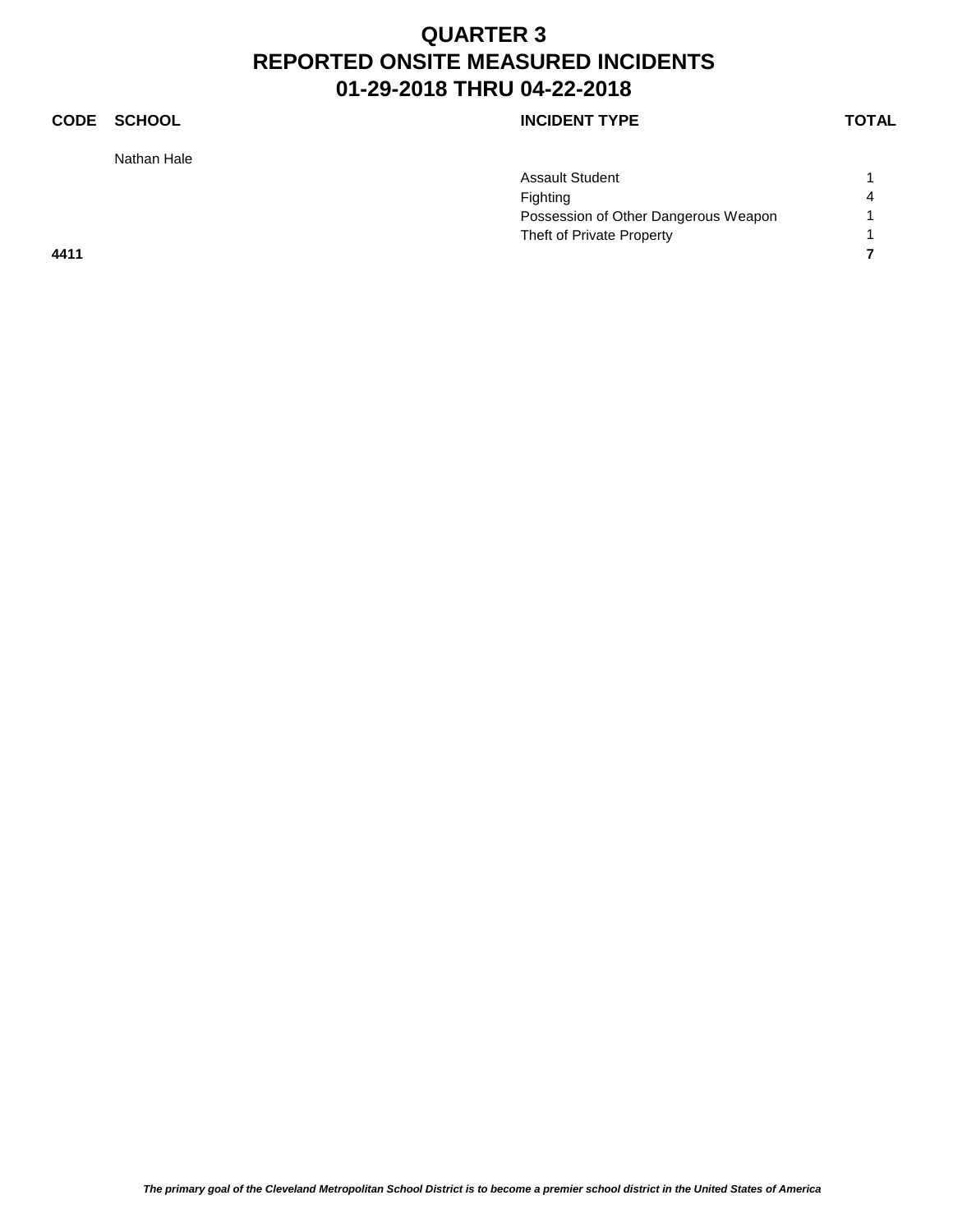### **CODE SCHOOL CODE SCHOOL**

Nathan Hale

| Assault Student                      |   |
|--------------------------------------|---|
| Fighting                             | 4 |
| Possession of Other Dangerous Weapon |   |
| Theft of Private Property            |   |
|                                      |   |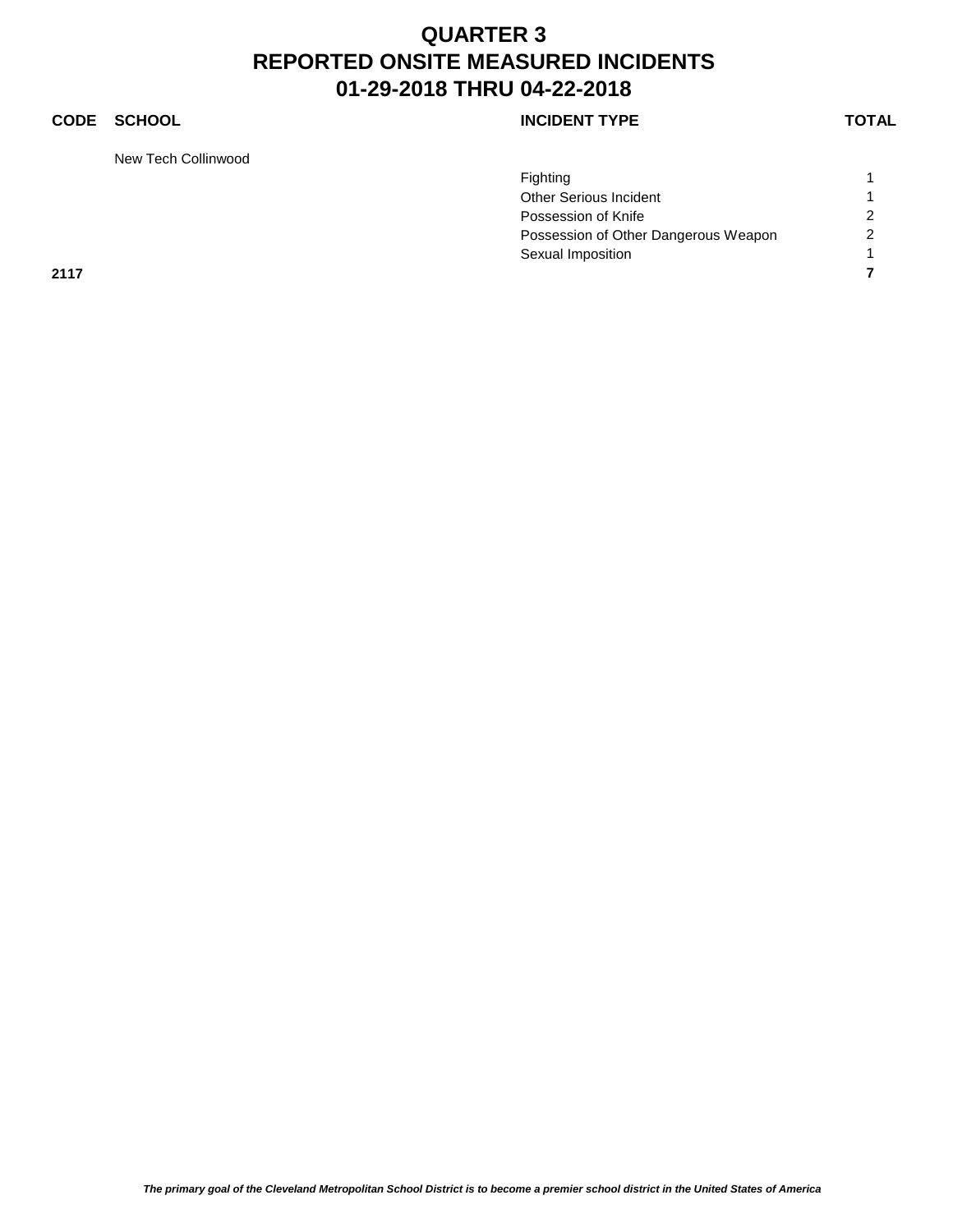### **CODE SCHOOL CODE SCHOOL**

New Tech Collinwood

|      | Fighting                             |                |
|------|--------------------------------------|----------------|
|      | Other Serious Incident               |                |
|      | Possession of Knife                  | $\overline{2}$ |
|      | Possession of Other Dangerous Weapon | $\overline{2}$ |
|      | Sexual Imposition                    |                |
| 2117 |                                      |                |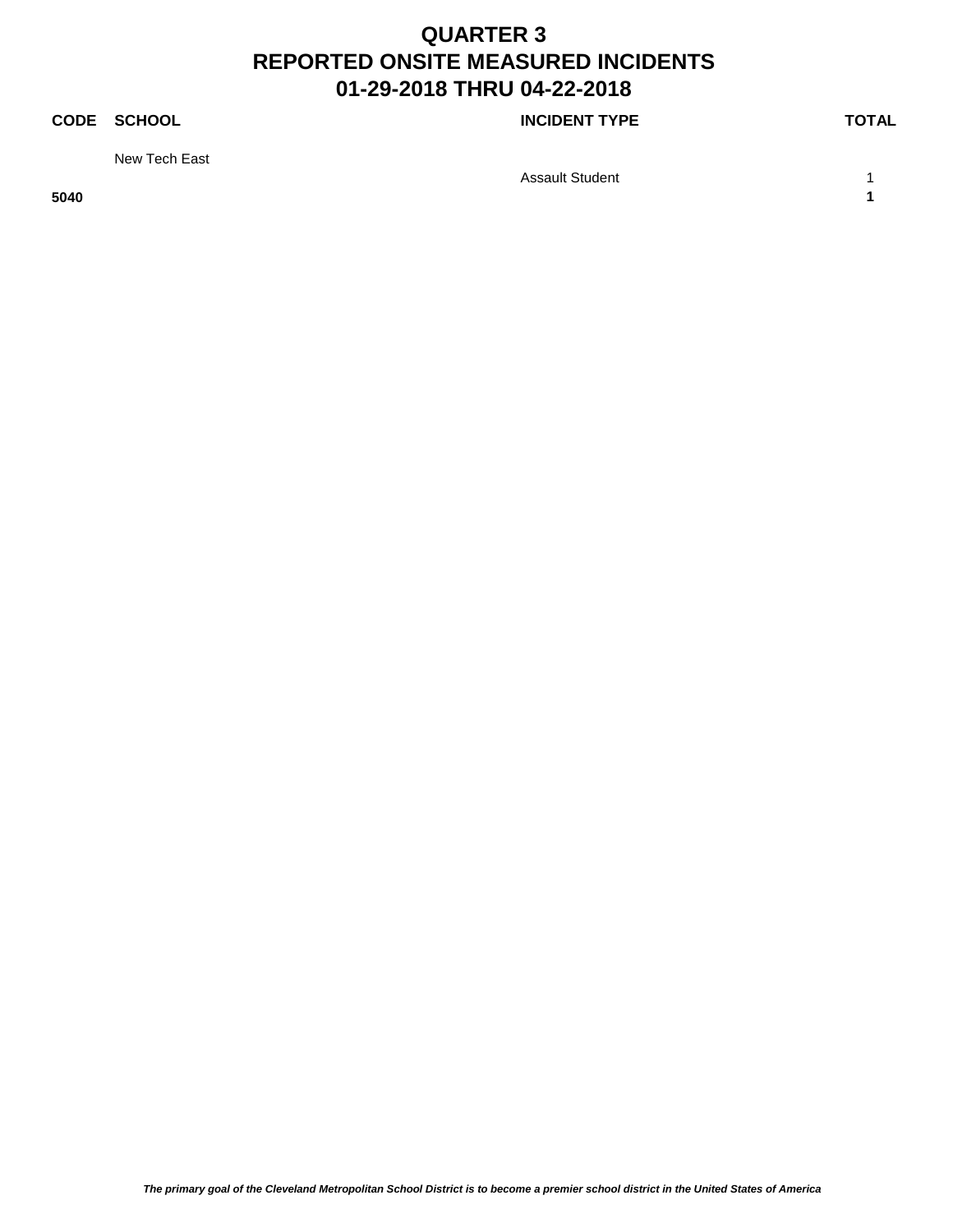### **CODE SCHOOL CODE SCHOOL**

New Tech East

Assault Student 1 1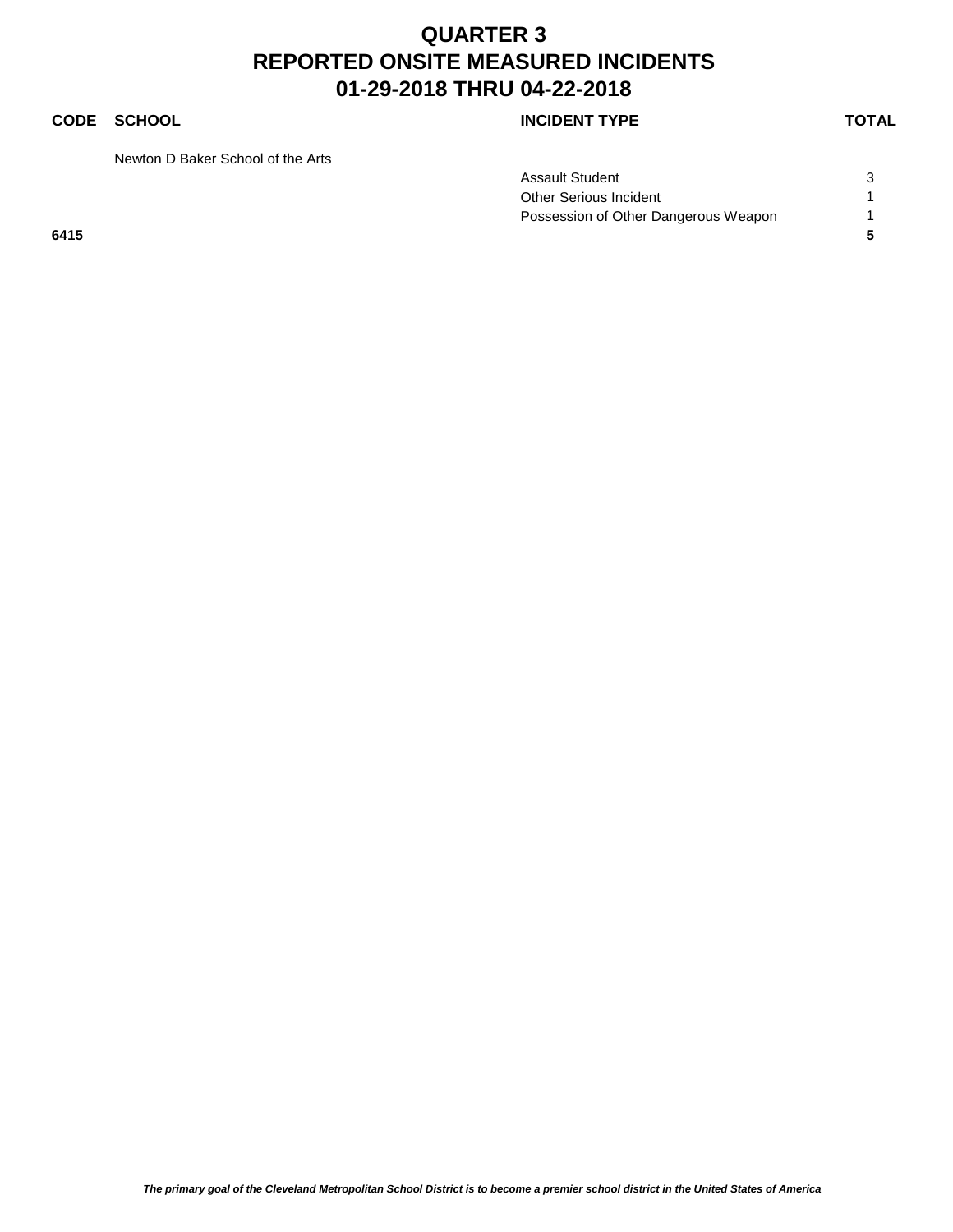### **CODE SCHOOL CODE SCHOOL**

Newton D Baker School of the Arts

| Assault Student                      |  |
|--------------------------------------|--|
| Other Serious Incident               |  |
| Possession of Other Dangerous Weapon |  |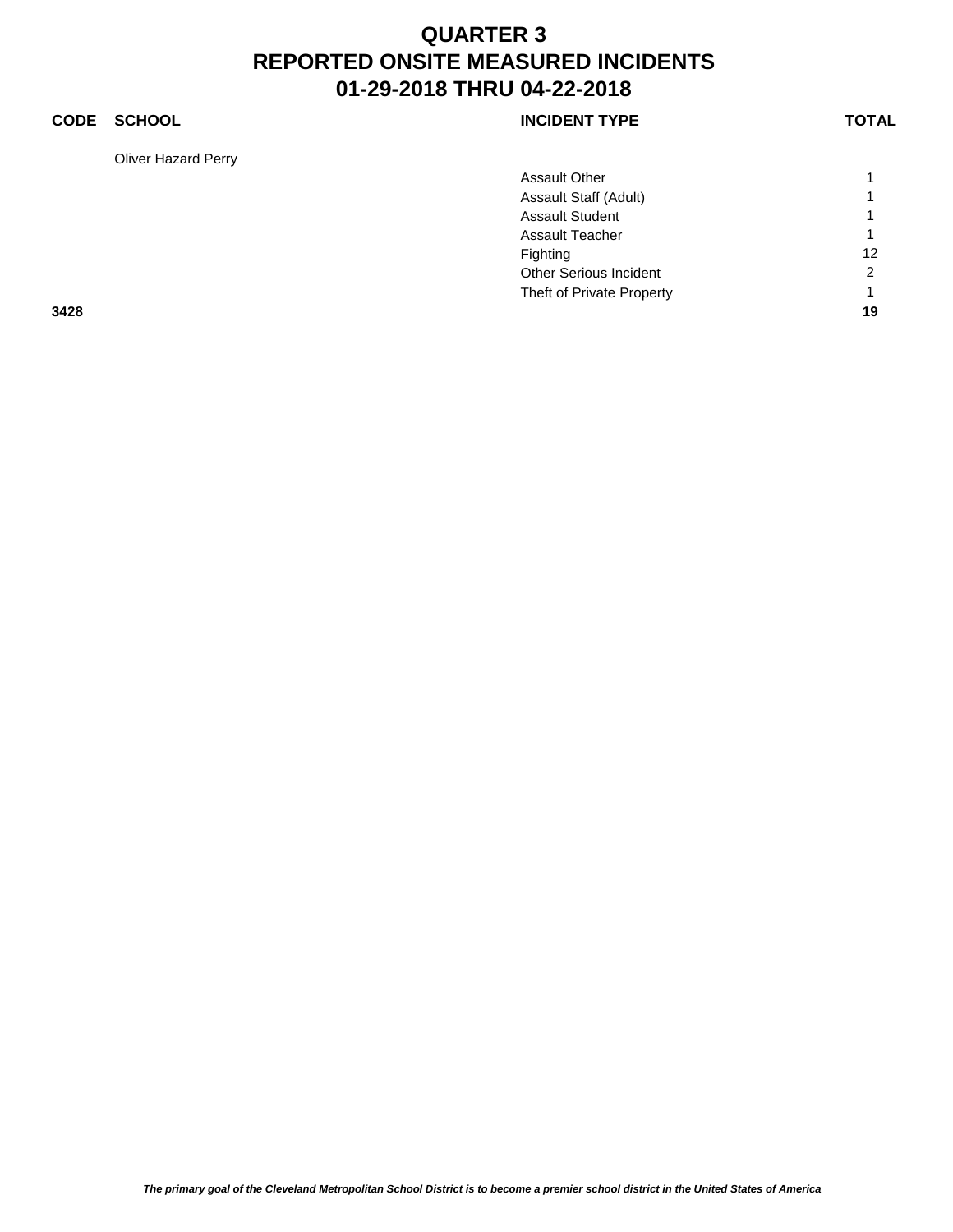### **CODE SCHOOL CODE SCHOOL**

Oliver Hazard Perry

|      | <b>Assault Other</b>      | 1              |
|------|---------------------------|----------------|
|      | Assault Staff (Adult)     | 1              |
|      | <b>Assault Student</b>    | $\overline{1}$ |
|      | <b>Assault Teacher</b>    | $\overline{1}$ |
|      | Fighting                  | 12             |
|      | Other Serious Incident    | 2              |
|      | Theft of Private Property | 1              |
| 3428 |                           | 19             |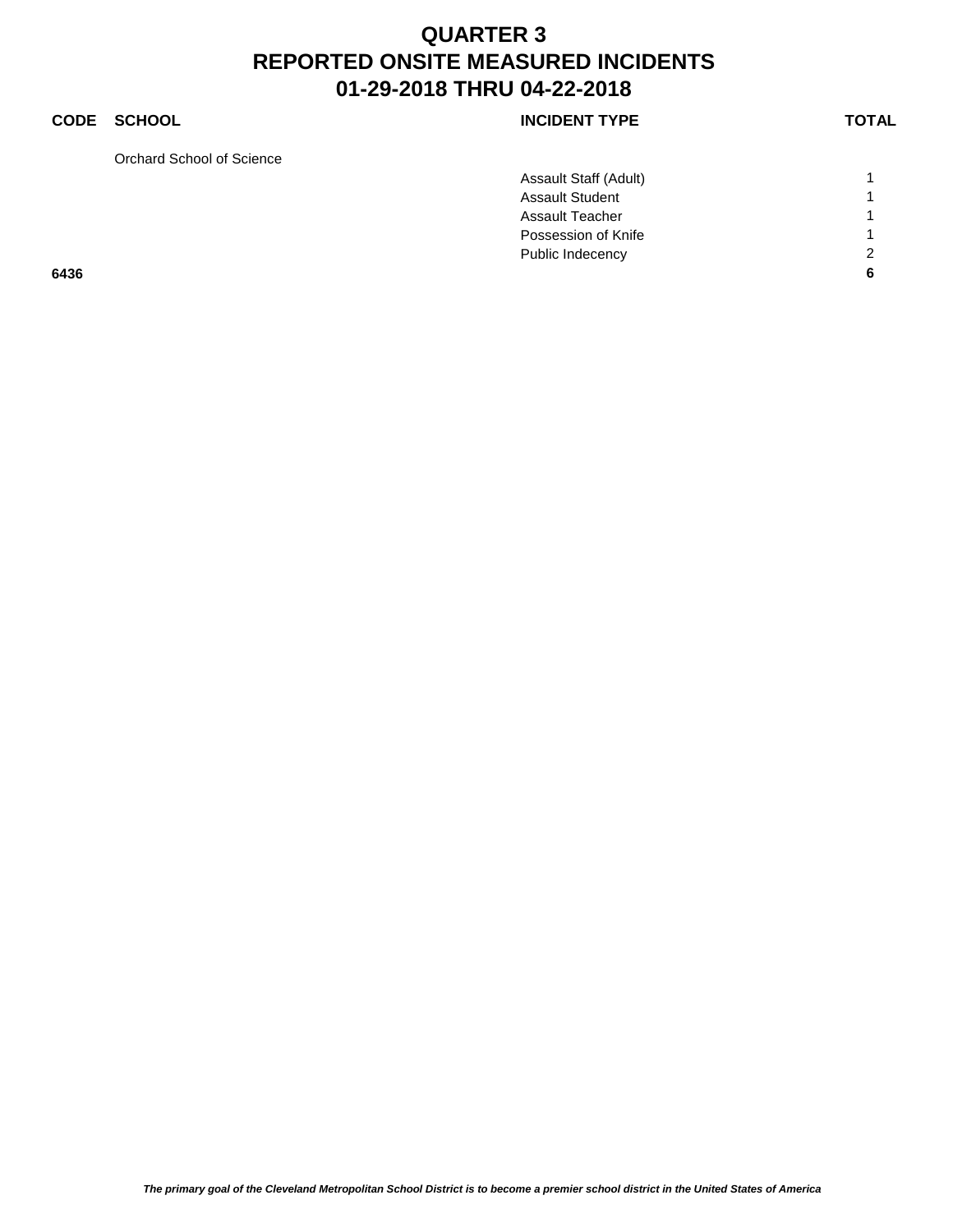### **CODE SCHOOL CODE SCHOOL**

Orchard School of Science

|      | Assault Staff (Adult)  |                |
|------|------------------------|----------------|
|      | <b>Assault Student</b> | $\overline{ }$ |
|      | <b>Assault Teacher</b> | $\overline{ }$ |
|      | Possession of Knife    | $\overline{ }$ |
|      | Public Indecency       | $\overline{2}$ |
| 6436 |                        | 6              |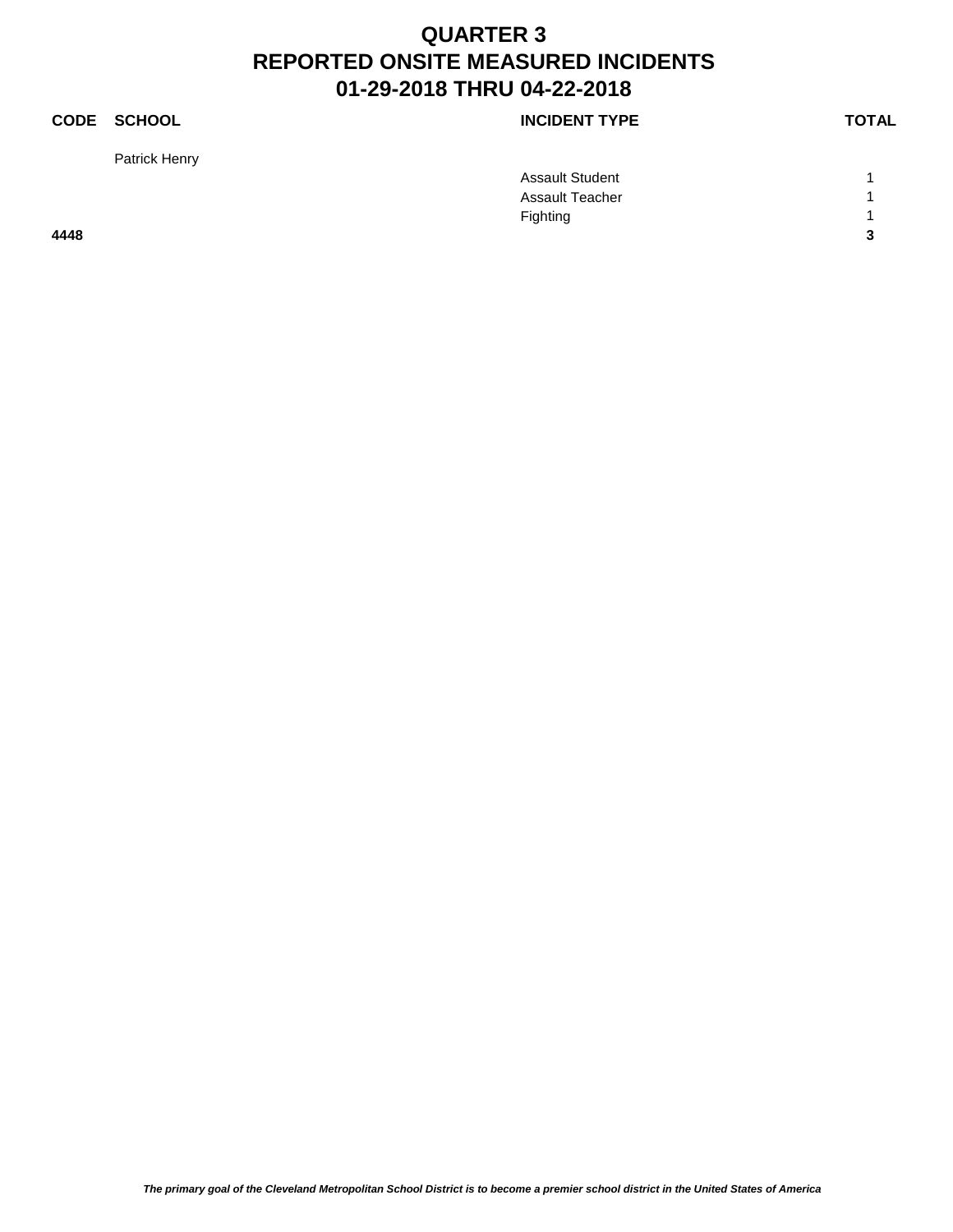Patrick Henry

|      | <b>Assault Student</b> |                         |
|------|------------------------|-------------------------|
|      | <b>Assault Teacher</b> |                         |
|      | Fighting               |                         |
| 4448 |                        | $\overline{\mathbf{3}}$ |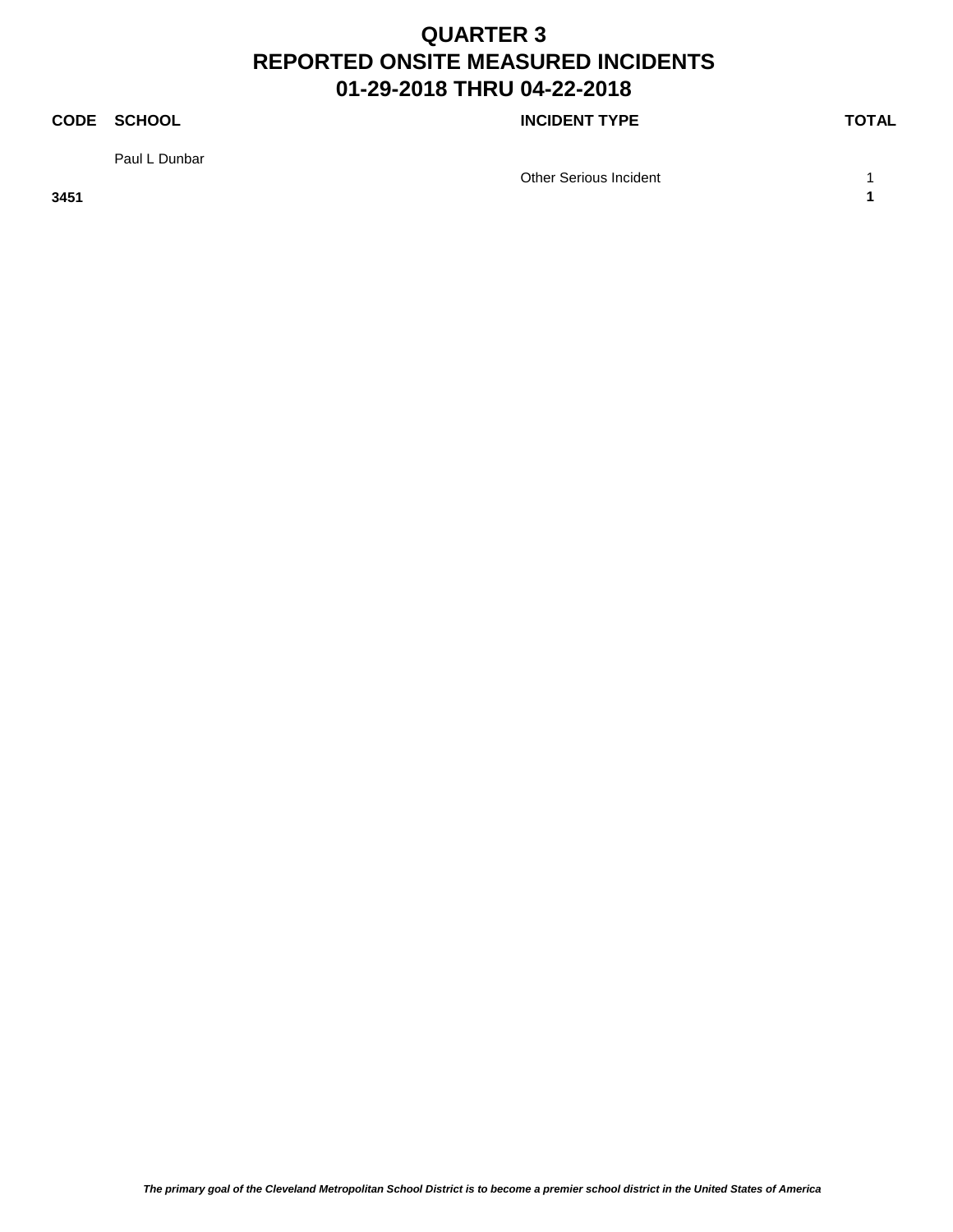### **CODE SCHOOL CODE SCHOOL**

Paul L Dunbar

Other Serious Incident 1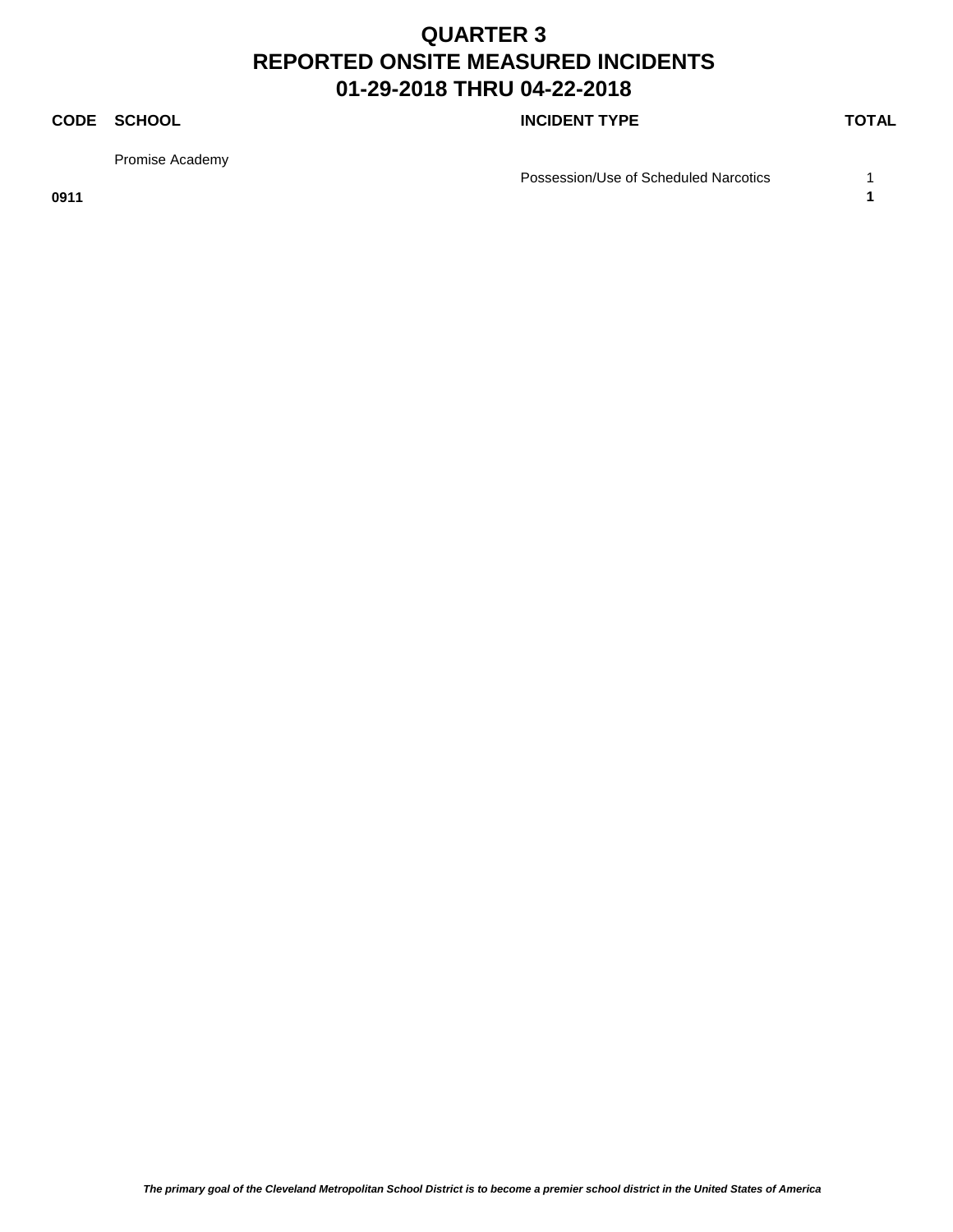### **CODE SCHOOL CODE SCHOOL**

Promise Academy

Possession/Use of Scheduled Narcotics 1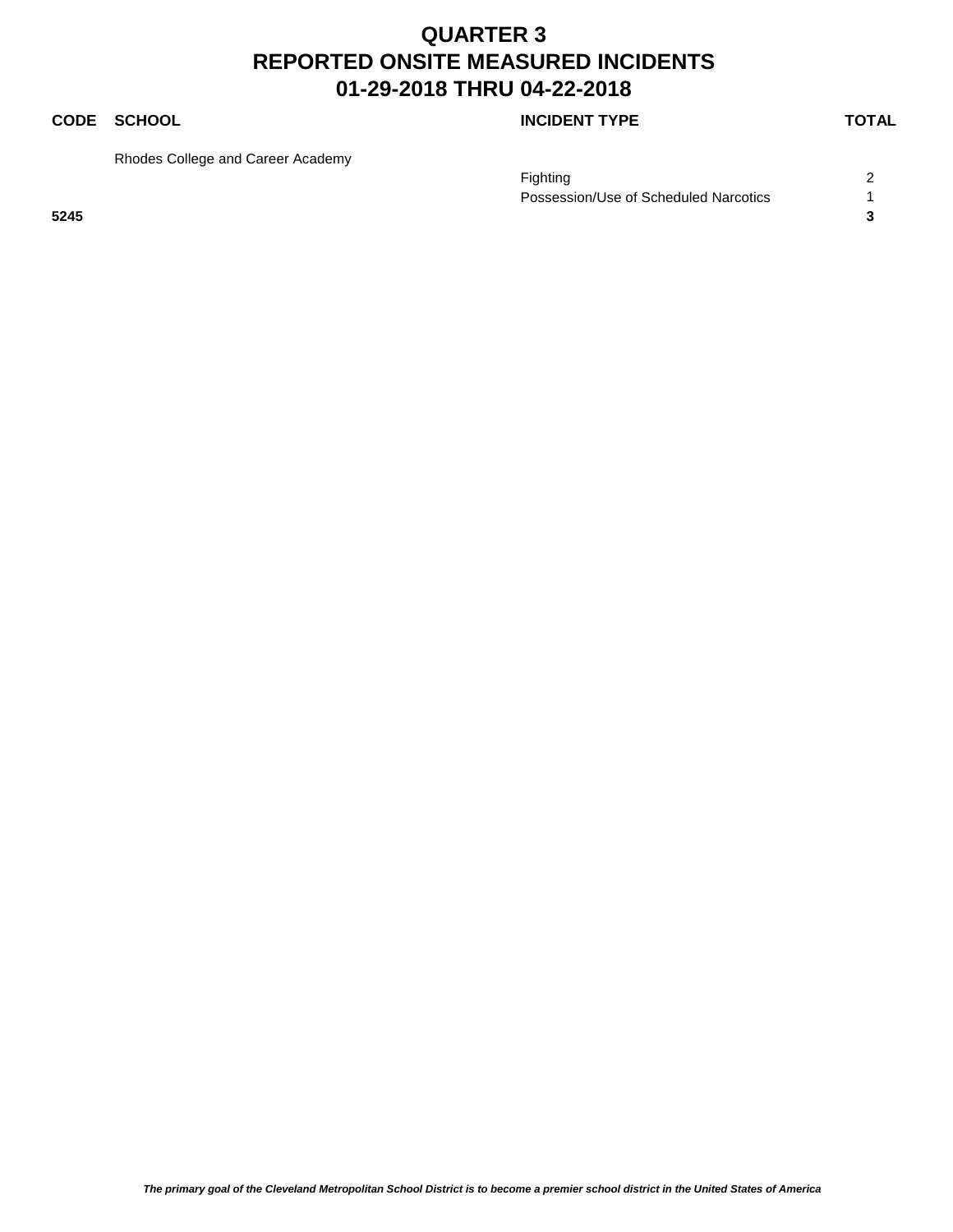### **CODE SCHOOL CODE SCHOOL**

Rhodes College and Career Academy

|      | Fighting                              |  |
|------|---------------------------------------|--|
|      | Possession/Use of Scheduled Narcotics |  |
| 5245 |                                       |  |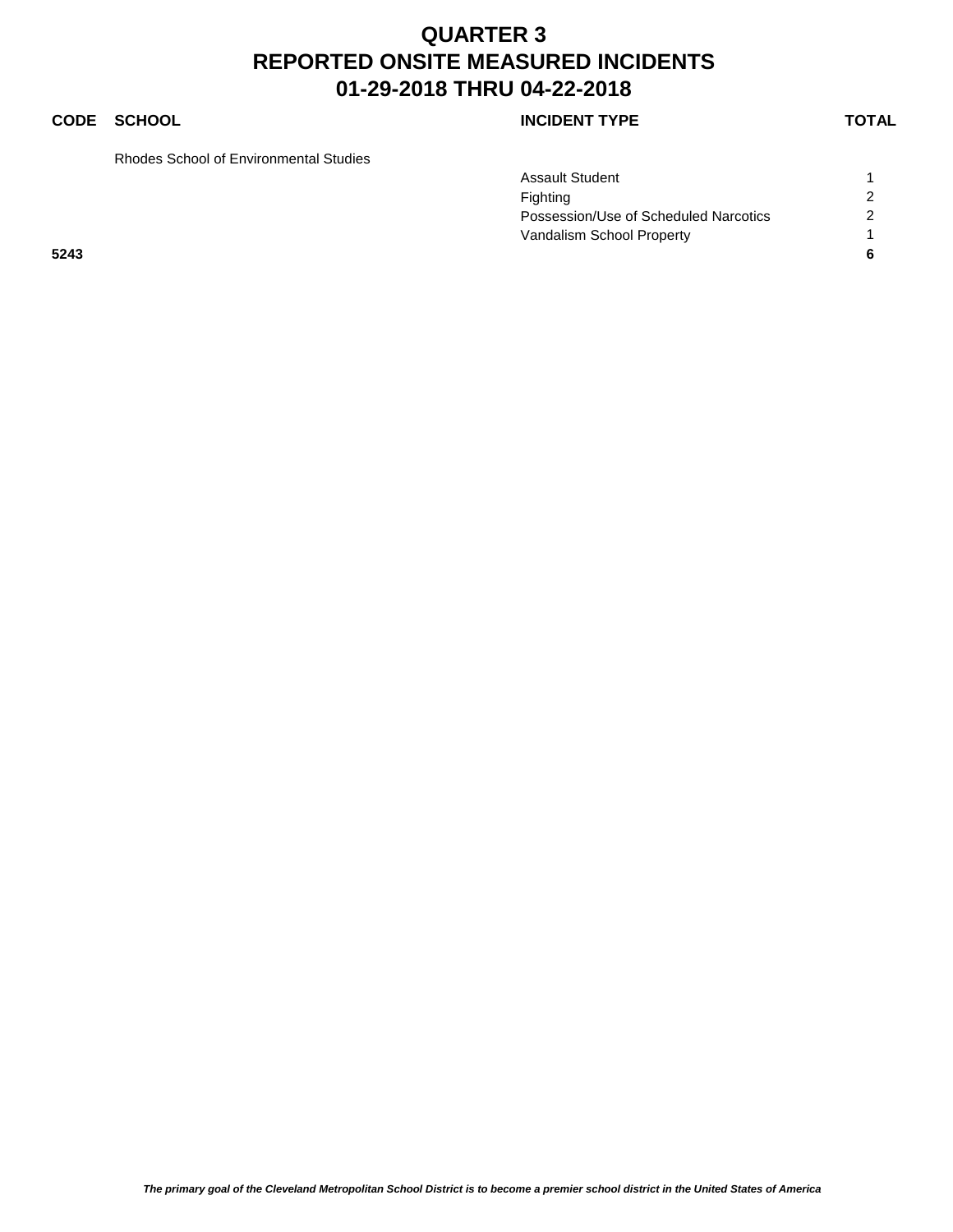### **CODE SCHOOL CODE SCHOOL**

Rhodes School of Environmental Studies

|      | <b>Assault Student</b>                |                |
|------|---------------------------------------|----------------|
|      | Fighting                              | 2              |
|      | Possession/Use of Scheduled Narcotics | $\overline{c}$ |
|      | Vandalism School Property             |                |
| 5243 |                                       |                |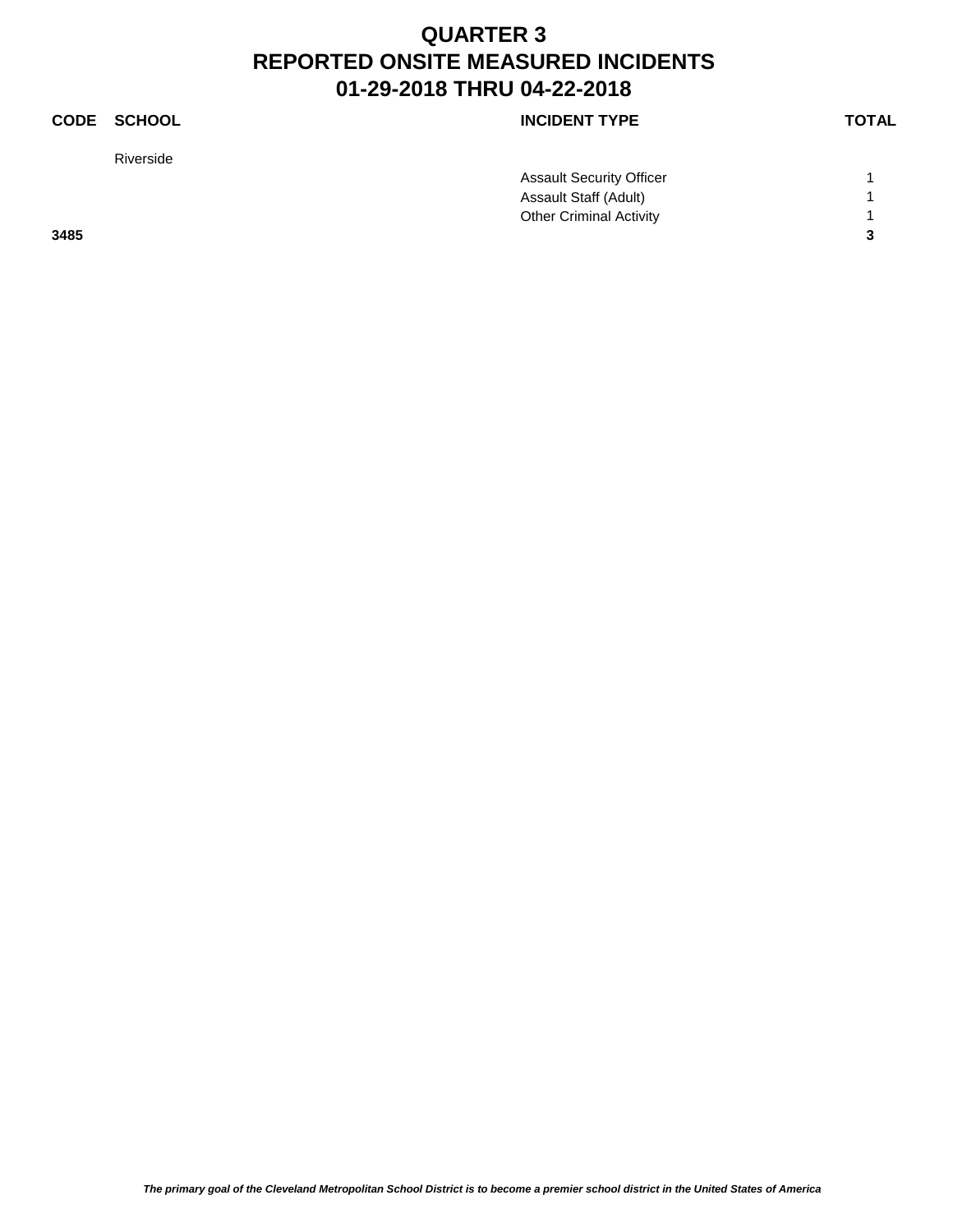| CODE | <b>SCHOOL</b> | <b>INCIDENT TYPE</b>            | <b>TOTAL</b> |
|------|---------------|---------------------------------|--------------|
|      | Riverside     |                                 |              |
|      |               | <b>Assault Security Officer</b> |              |
|      |               | Assault Staff (Adult)           |              |
|      |               | <b>Other Criminal Activity</b>  |              |
| 3485 |               |                                 | 3            |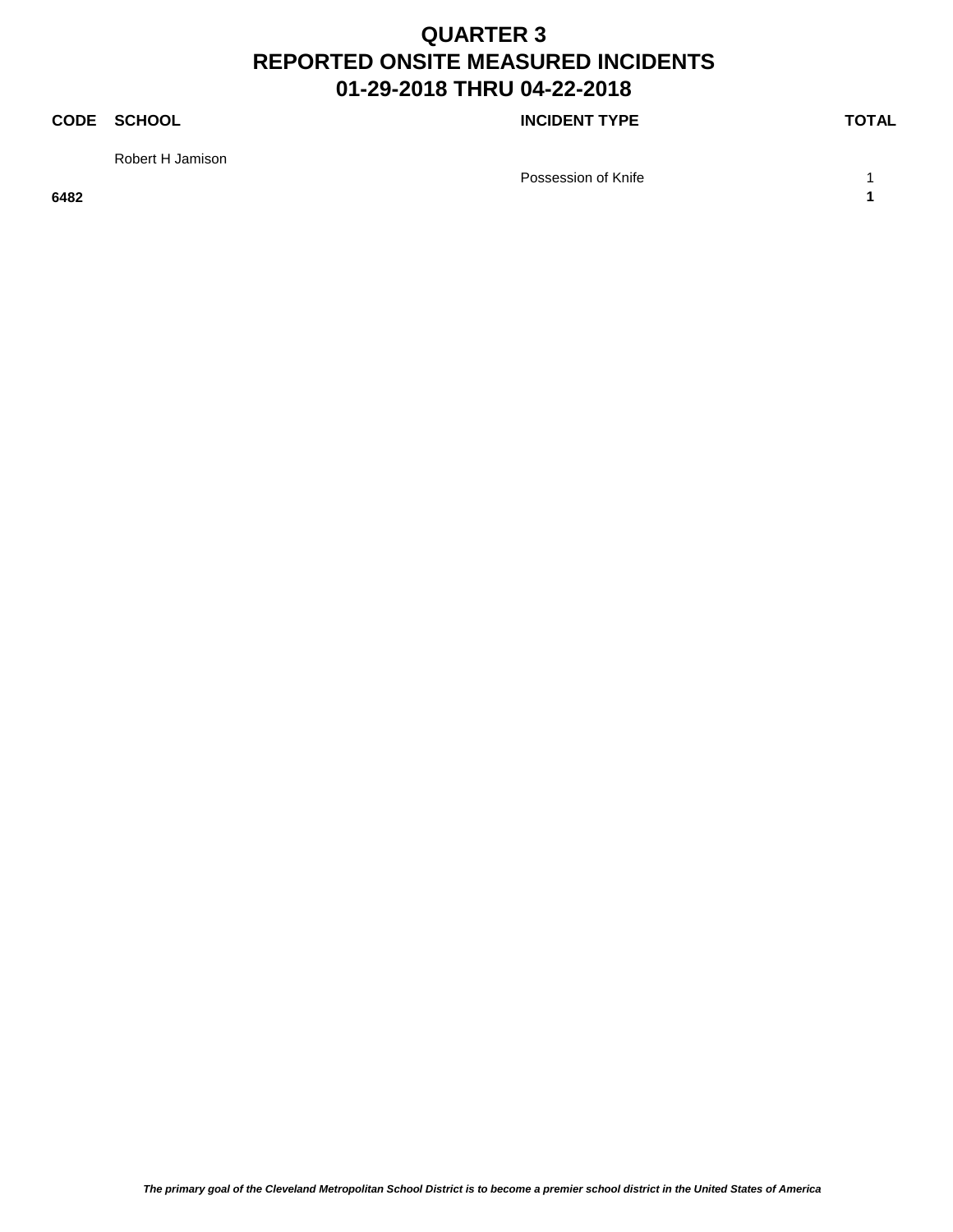### **CODE SCHOOL CODE SCHOOL**

Robert H Jamison

Possession of Knife 1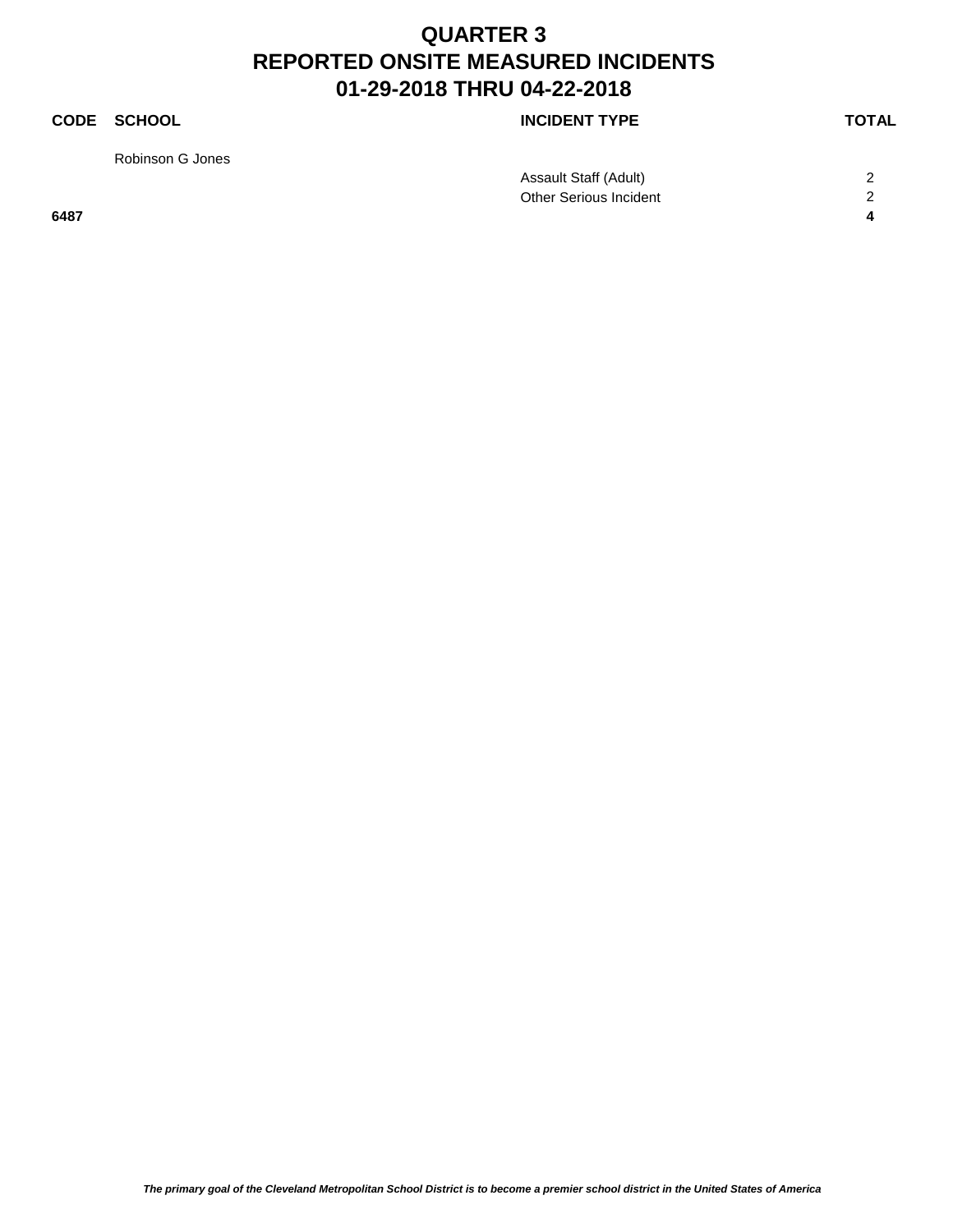Robinson G Jones

|      | Assault Staff (Adult)  | ⌒ |
|------|------------------------|---|
|      | Other Serious Incident | ⌒ |
| 6487 |                        |   |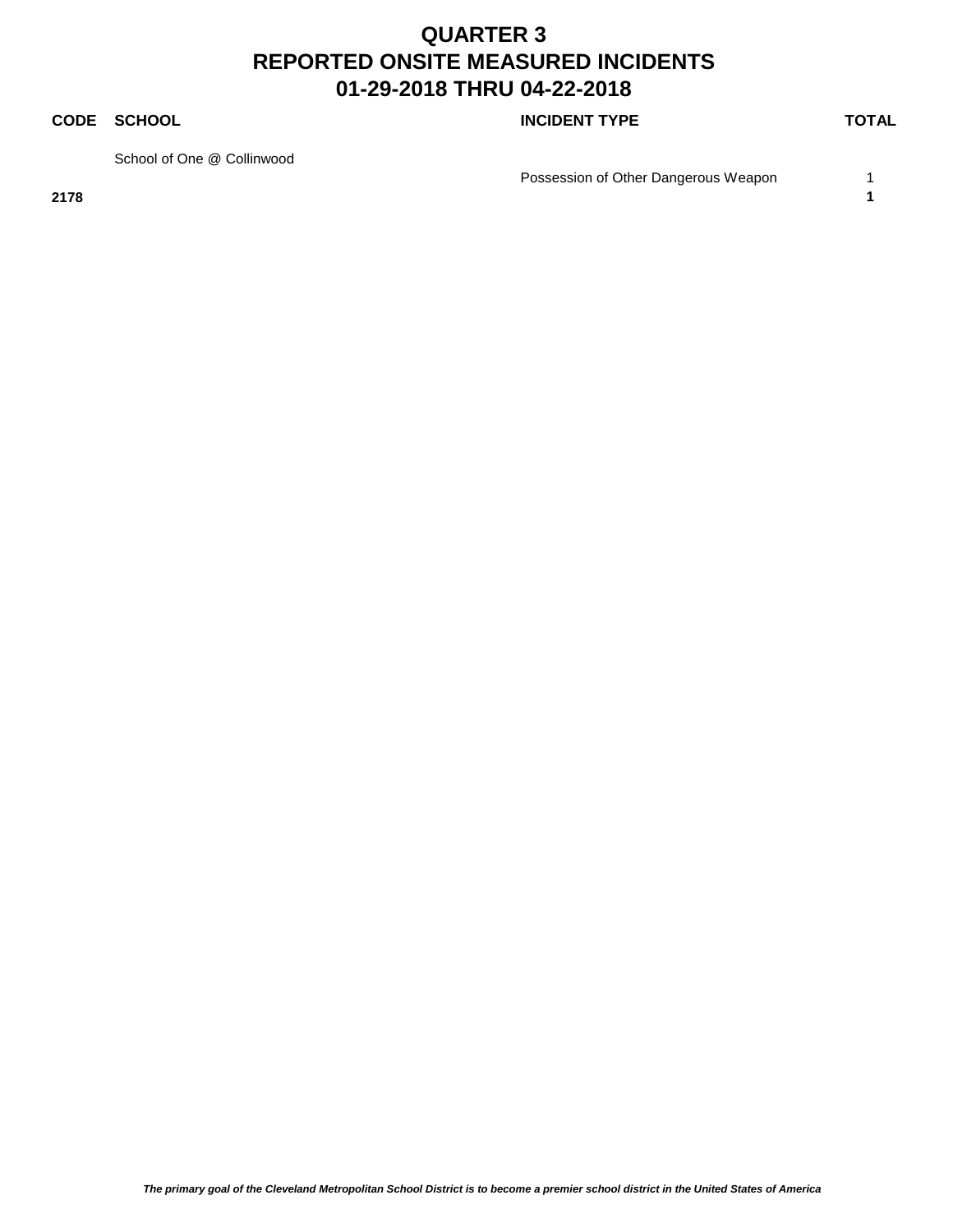### **CODE SCHOOL CODE SCHOOL**

School of One @ Collinwood

Possession of Other Dangerous Weapon 1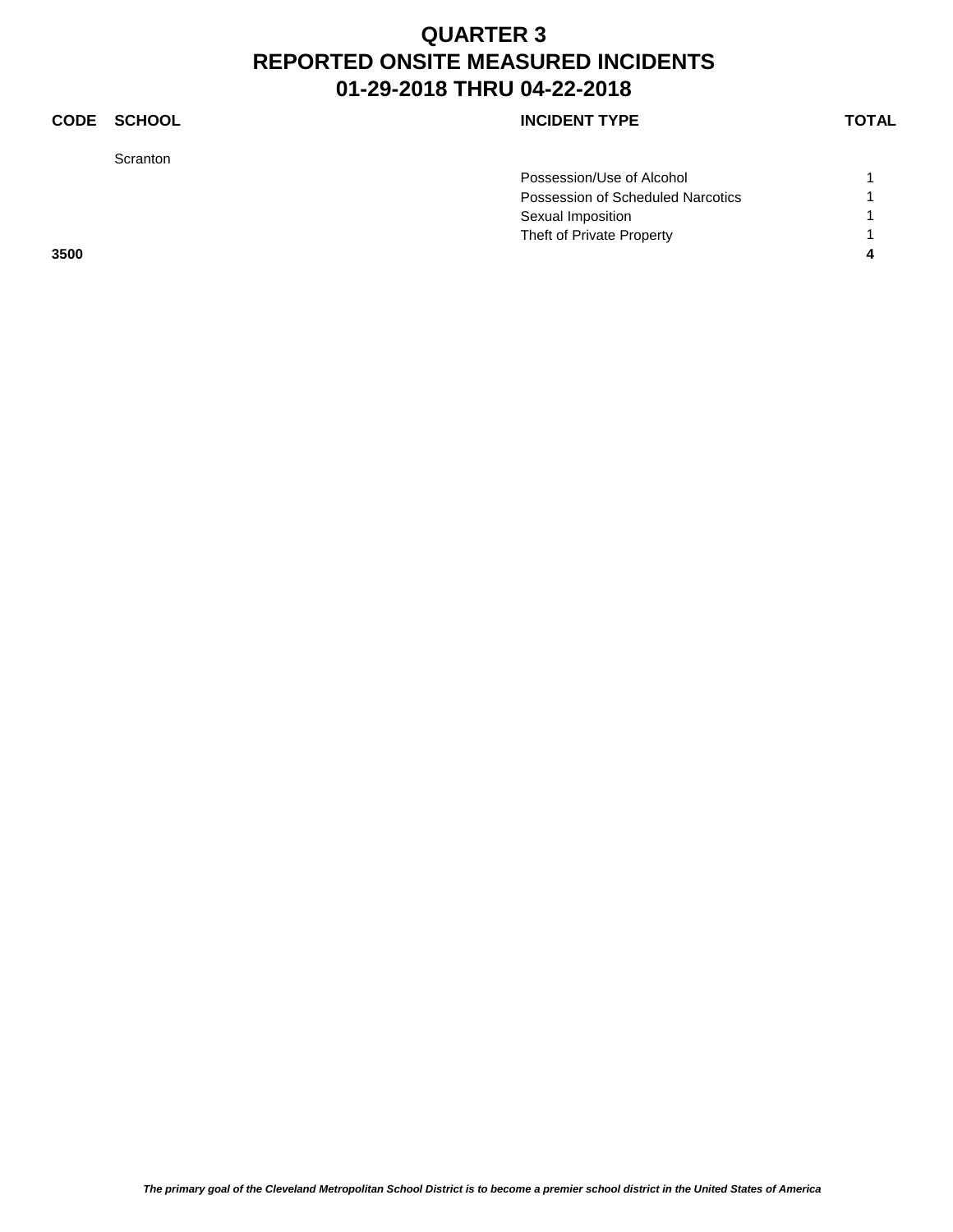### **CODE SCHOOL CODE SCHOOL**

Scranton

| 3500 |                                   |  |
|------|-----------------------------------|--|
|      | Theft of Private Property         |  |
|      | Sexual Imposition                 |  |
|      | Possession of Scheduled Narcotics |  |
|      | Possession/Use of Alcohol         |  |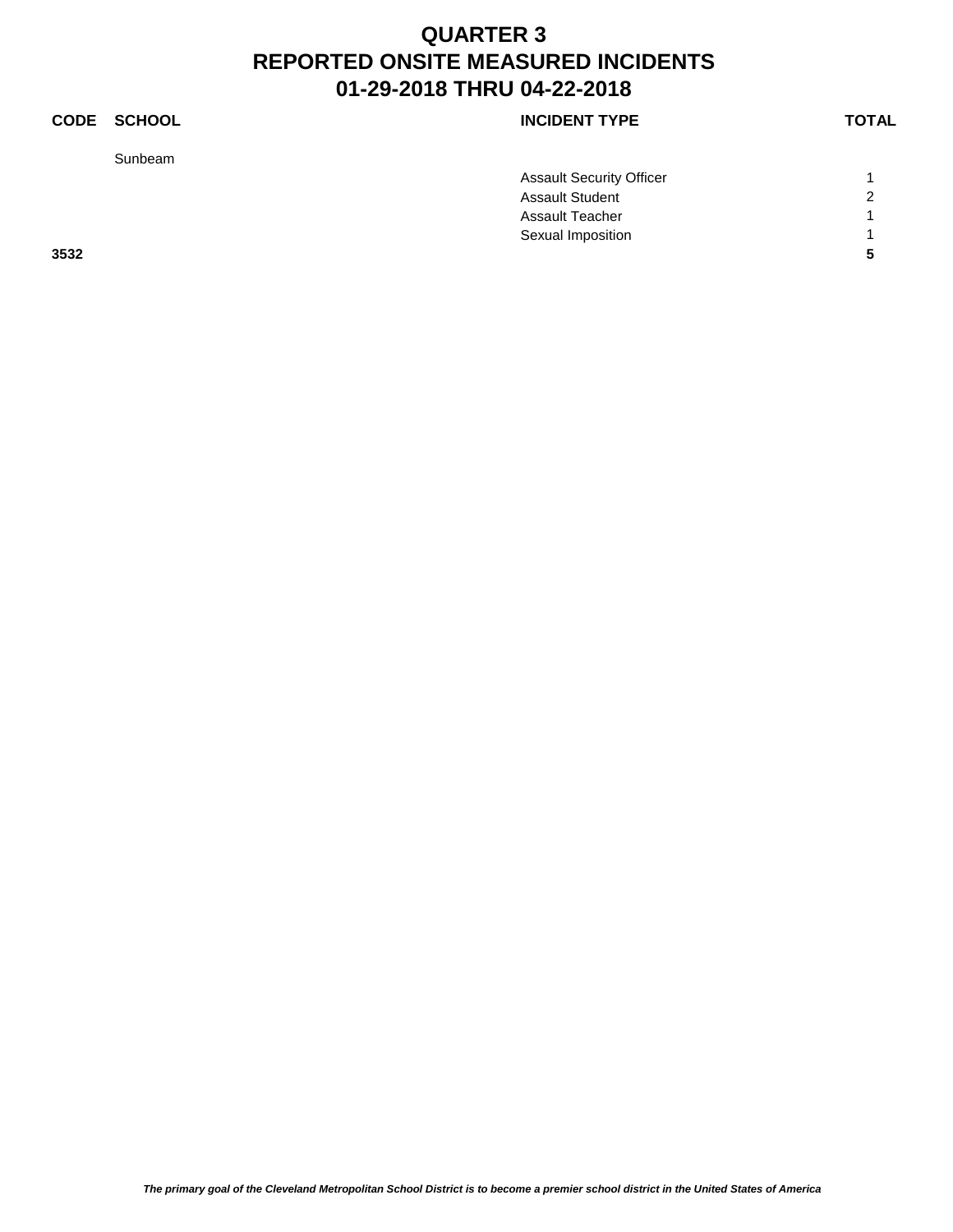Sunbeam

|      | <b>Assault Security Officer</b> |                |
|------|---------------------------------|----------------|
|      | <b>Assault Student</b>          | $\overline{2}$ |
|      | <b>Assault Teacher</b>          |                |
|      | Sexual Imposition               |                |
| 3532 |                                 |                |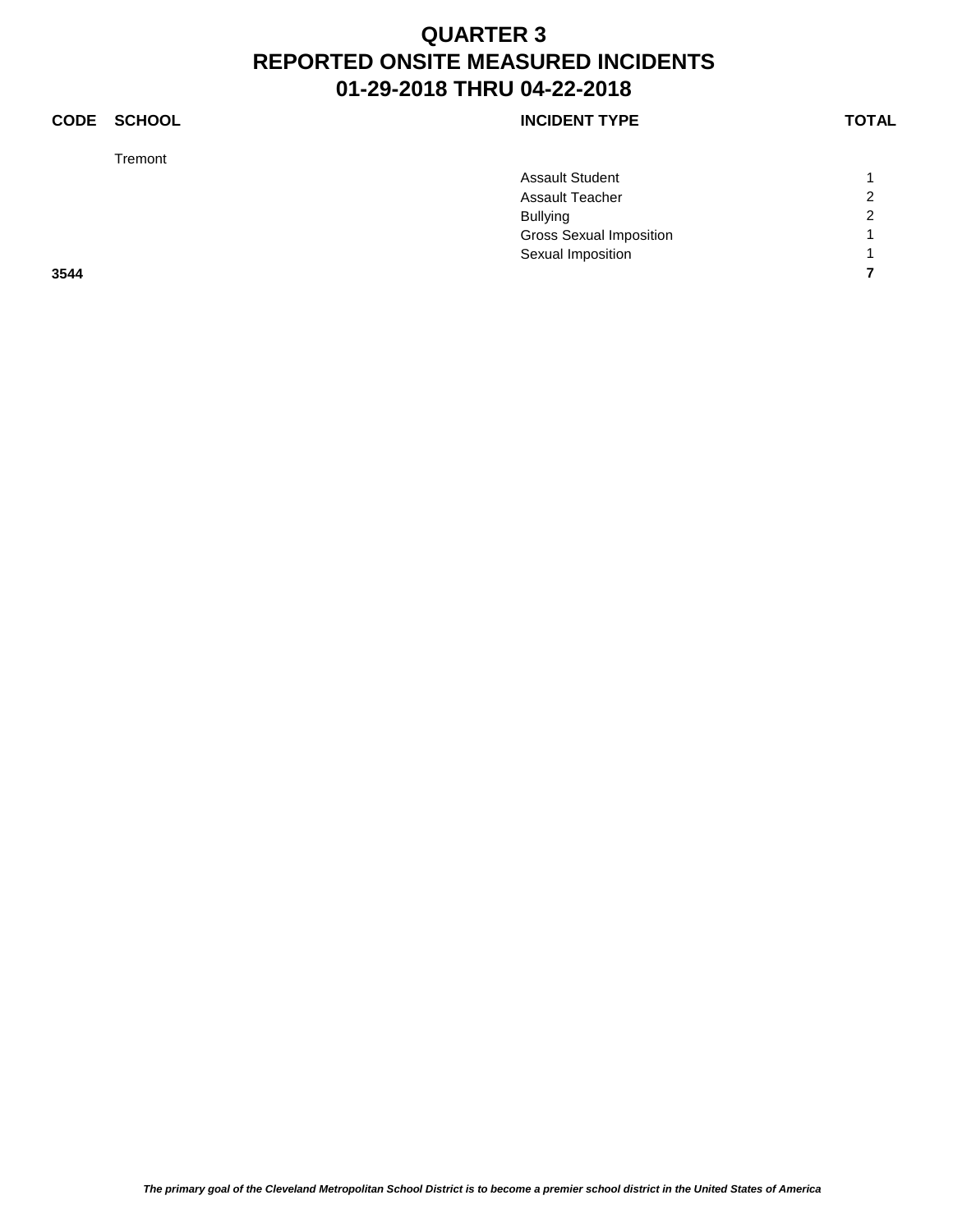### **CODE SCHOOL CODE SCHOOL**

Tremont

|      | <b>Assault Student</b>         |                |
|------|--------------------------------|----------------|
|      | <b>Assault Teacher</b>         | $\overline{c}$ |
|      | <b>Bullying</b>                | $\overline{2}$ |
|      | <b>Gross Sexual Imposition</b> |                |
|      | Sexual Imposition              |                |
| 3544 |                                |                |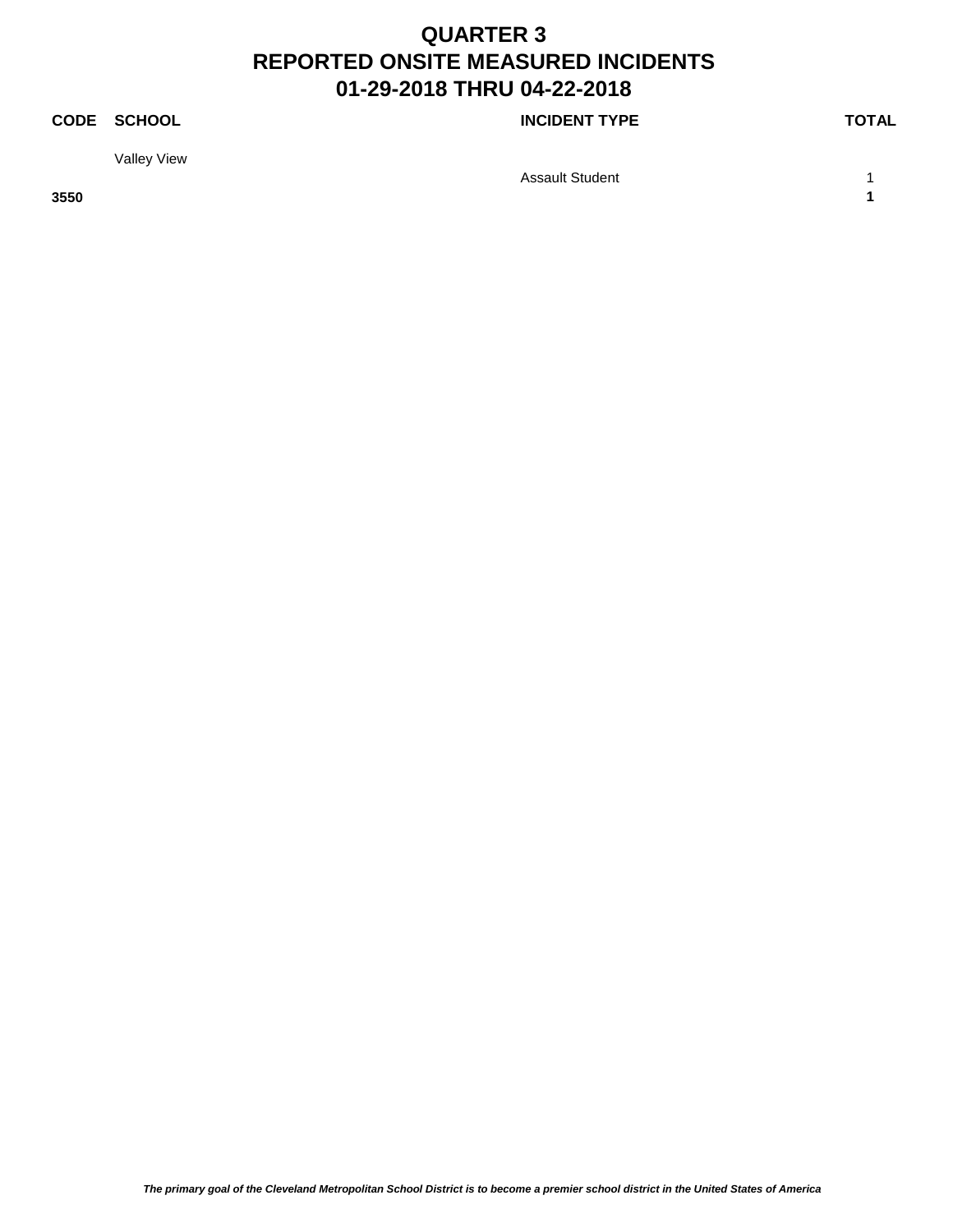### **CODE SCHOOL CODE SCHOOL**

Valley View

Assault Student 1 1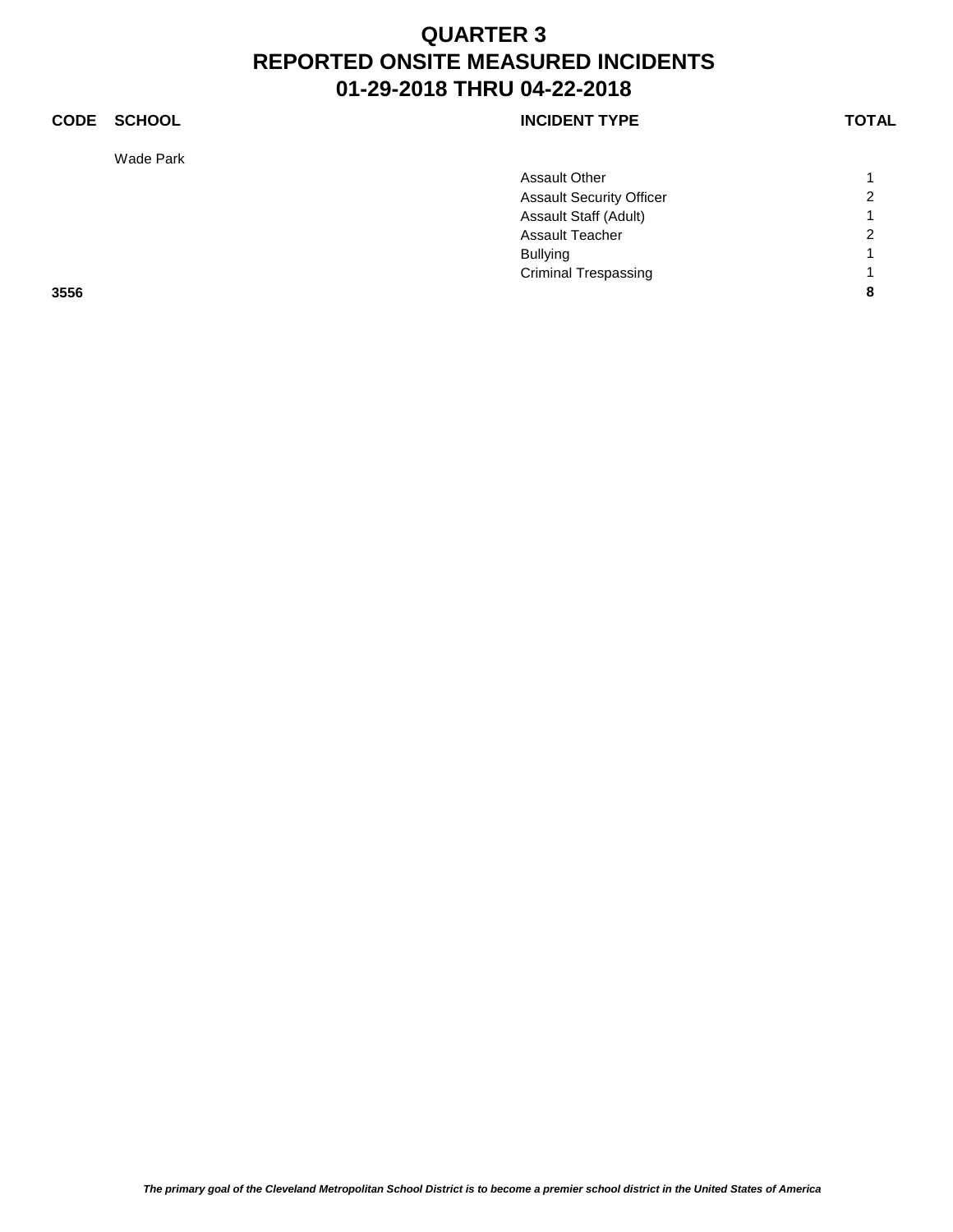### **CODE SCHOOL CODE SCHOOL**

Wade Park

|      | <b>Assault Other</b>            |                |
|------|---------------------------------|----------------|
|      | <b>Assault Security Officer</b> | $\overline{2}$ |
|      | Assault Staff (Adult)           | $\overline{A}$ |
|      | Assault Teacher                 | $\overline{2}$ |
|      | <b>Bullying</b>                 | и              |
|      | <b>Criminal Trespassing</b>     | и              |
| 3556 |                                 | 8              |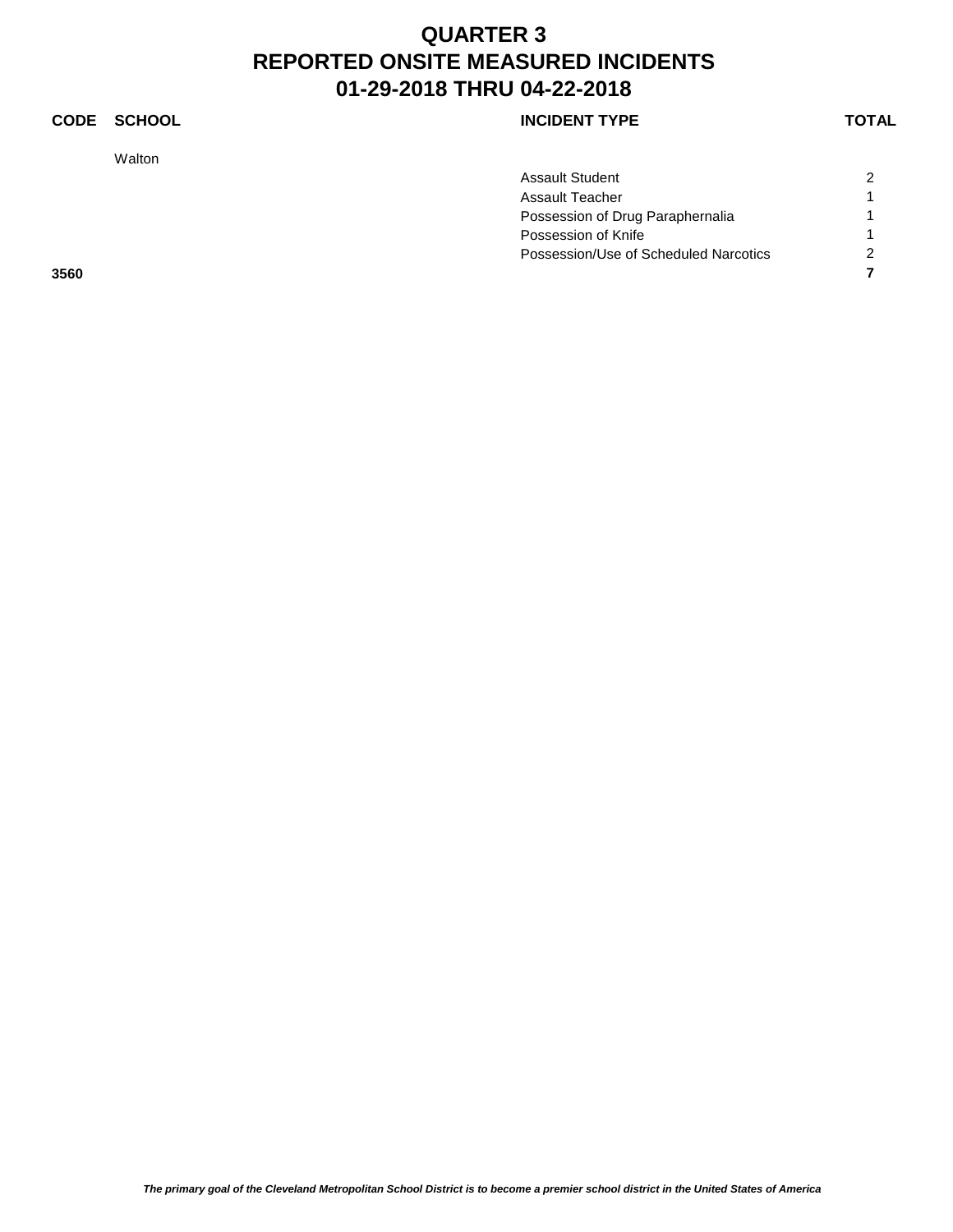### **CODE SCHOOL CODE SCHOOL**

Walton

| Assault Student                       | 2 |
|---------------------------------------|---|
| Assault Teacher                       | 1 |
| Possession of Drug Paraphernalia      |   |
| Possession of Knife                   |   |
| Possession/Use of Scheduled Narcotics | 2 |
|                                       |   |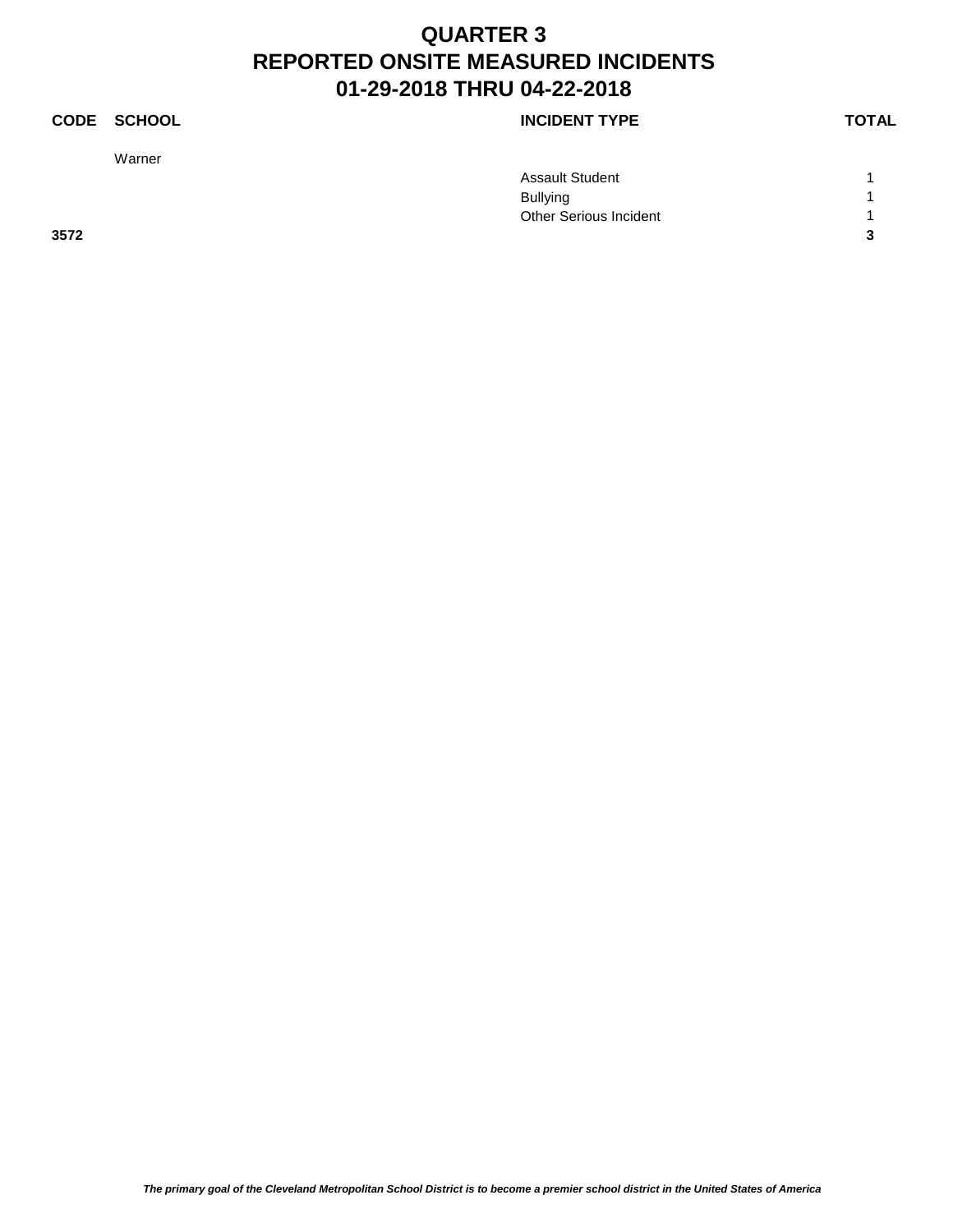### **CODE SCHOOL CODE SCHOOL**

Warner

|      | <b>Assault Student</b> |   |
|------|------------------------|---|
|      | <b>Bullying</b>        |   |
|      | Other Serious Incident |   |
| 3572 |                        | ◠ |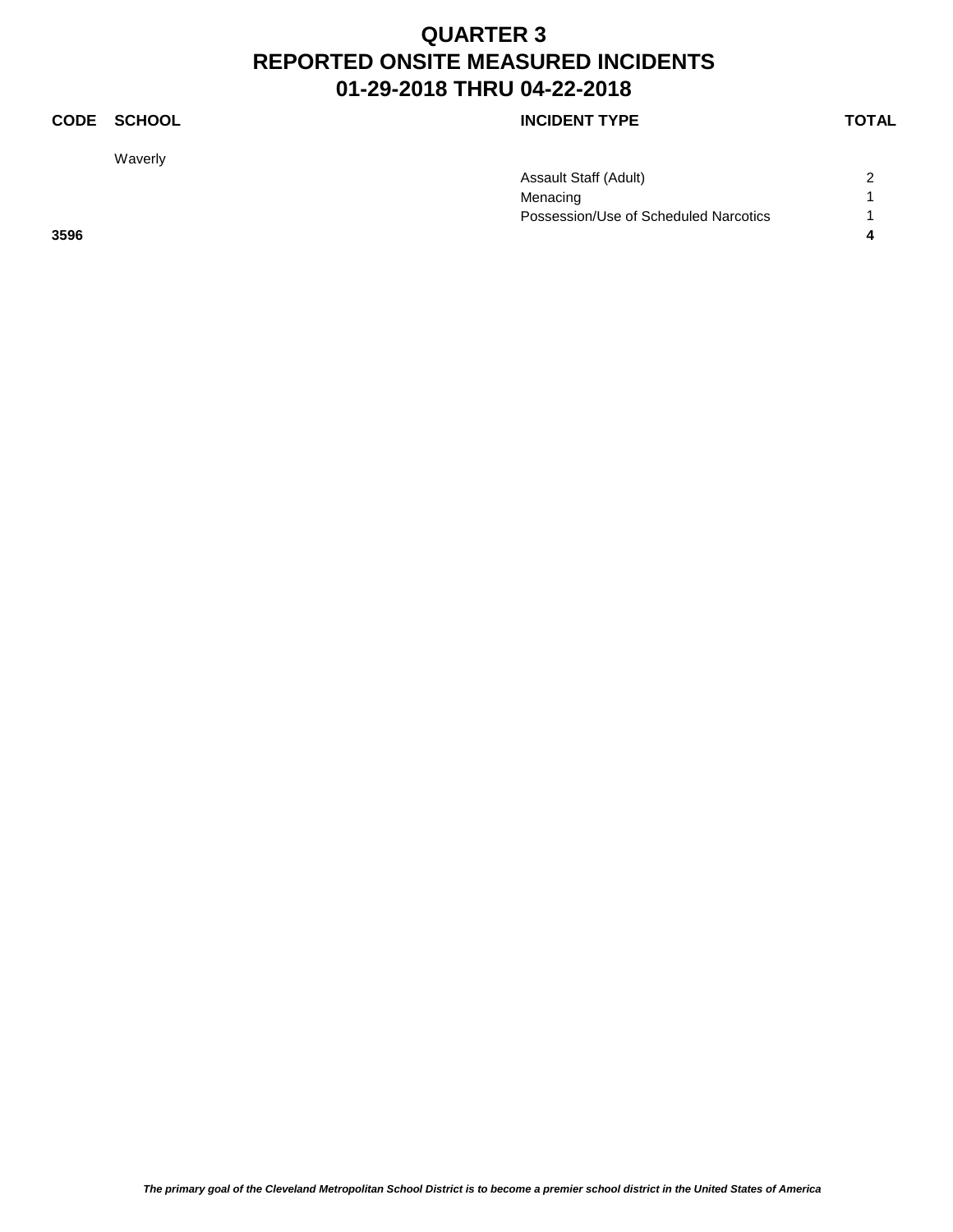### **CODE SCHOOL CODE SCHOOL**

Waverly

|      | Assault Staff (Adult)                 | $\sim$ |
|------|---------------------------------------|--------|
|      | Menacing                              |        |
|      | Possession/Use of Scheduled Narcotics |        |
| 3596 |                                       |        |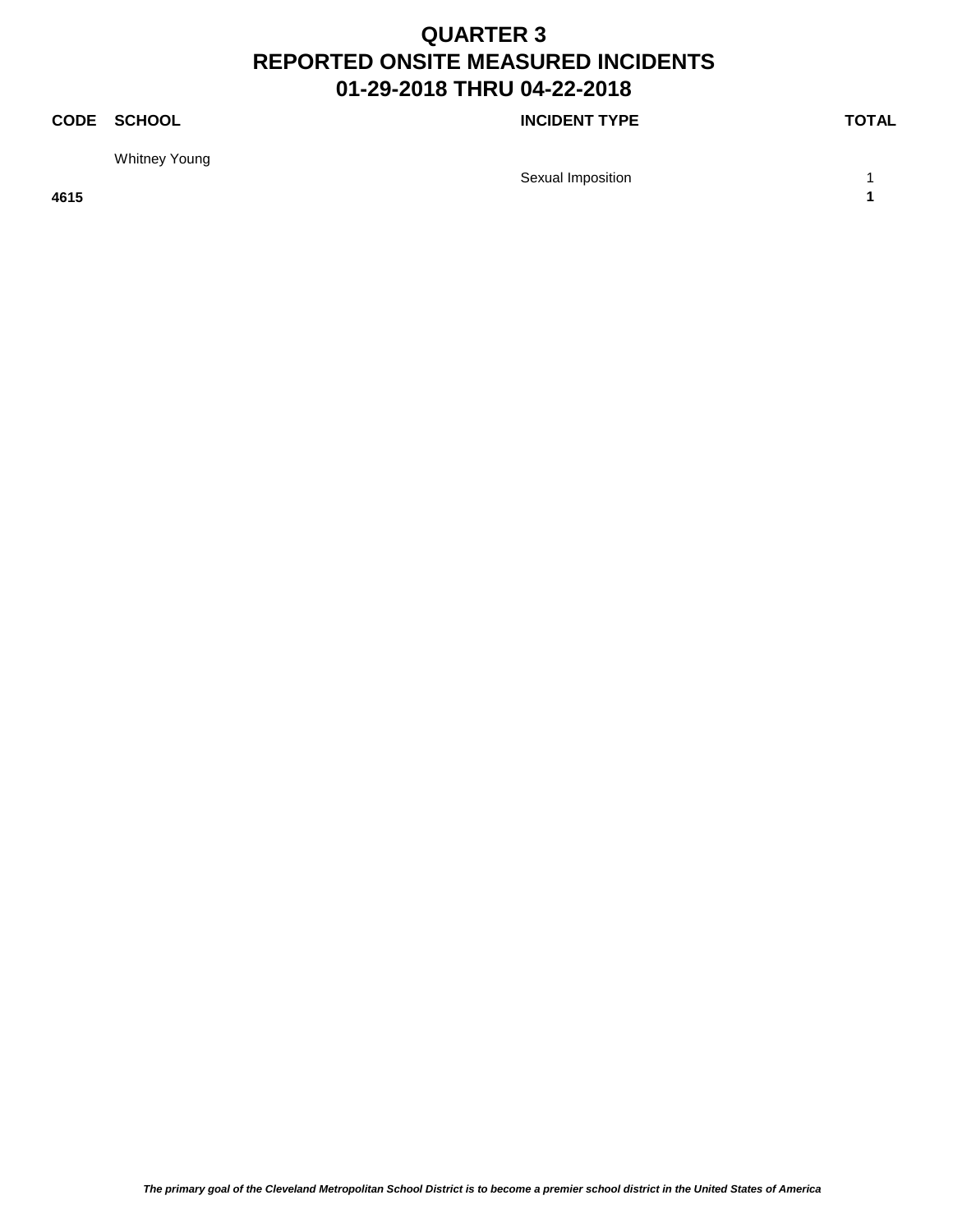### **CODE SCHOOL CODE SCHOOL**

Whitney Young

Sexual Imposition 1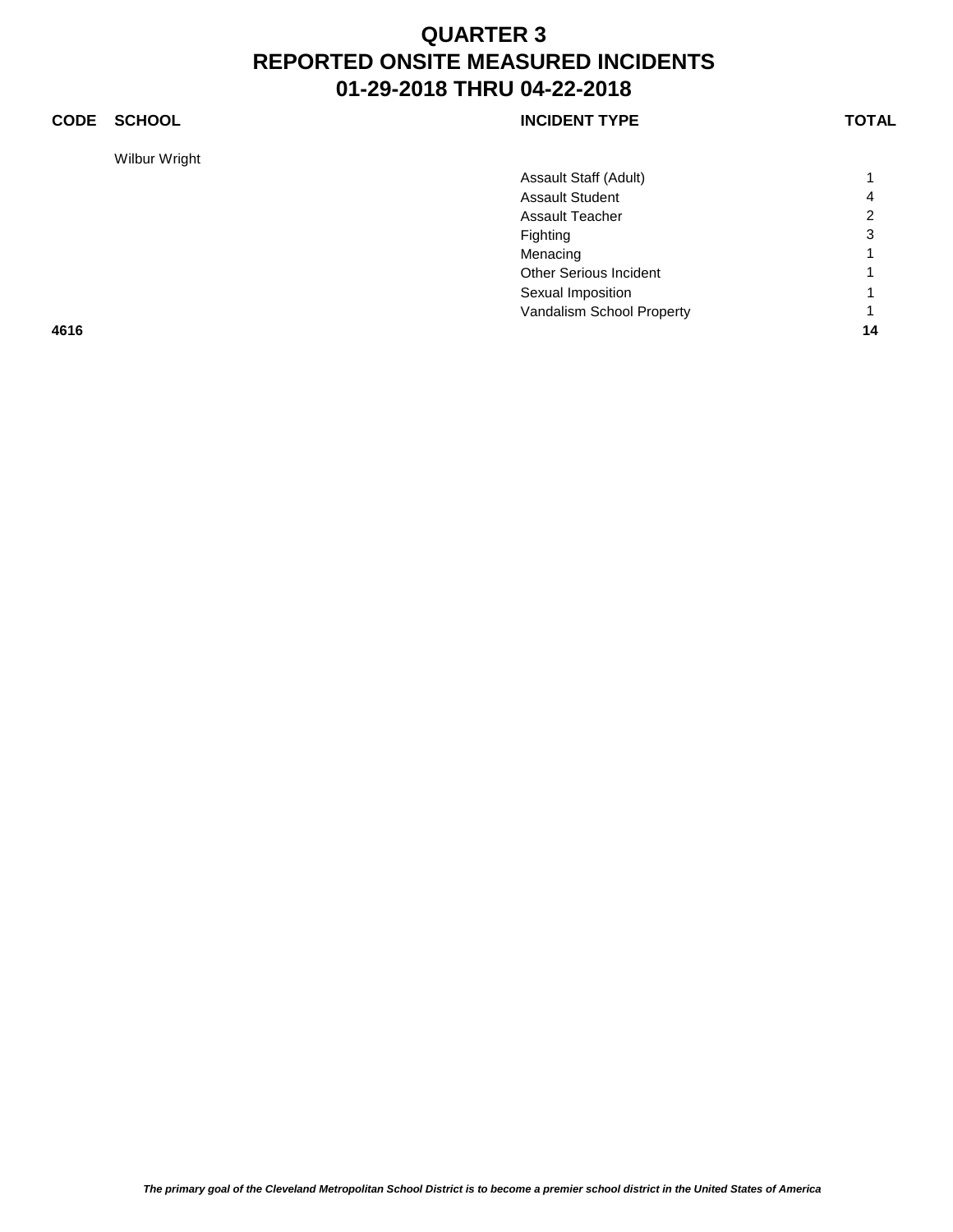### **CODE SCHOOL CODE SCHOOL**

Wilbur Wright

|      | Assault Staff (Adult)     |                |
|------|---------------------------|----------------|
|      | <b>Assault Student</b>    | 4              |
|      | <b>Assault Teacher</b>    | 2              |
|      | Fighting                  | 3              |
|      | Menacing                  | 1              |
|      | Other Serious Incident    | 1              |
|      | Sexual Imposition         | $\overline{1}$ |
|      | Vandalism School Property | 1              |
| 4616 |                           | 14             |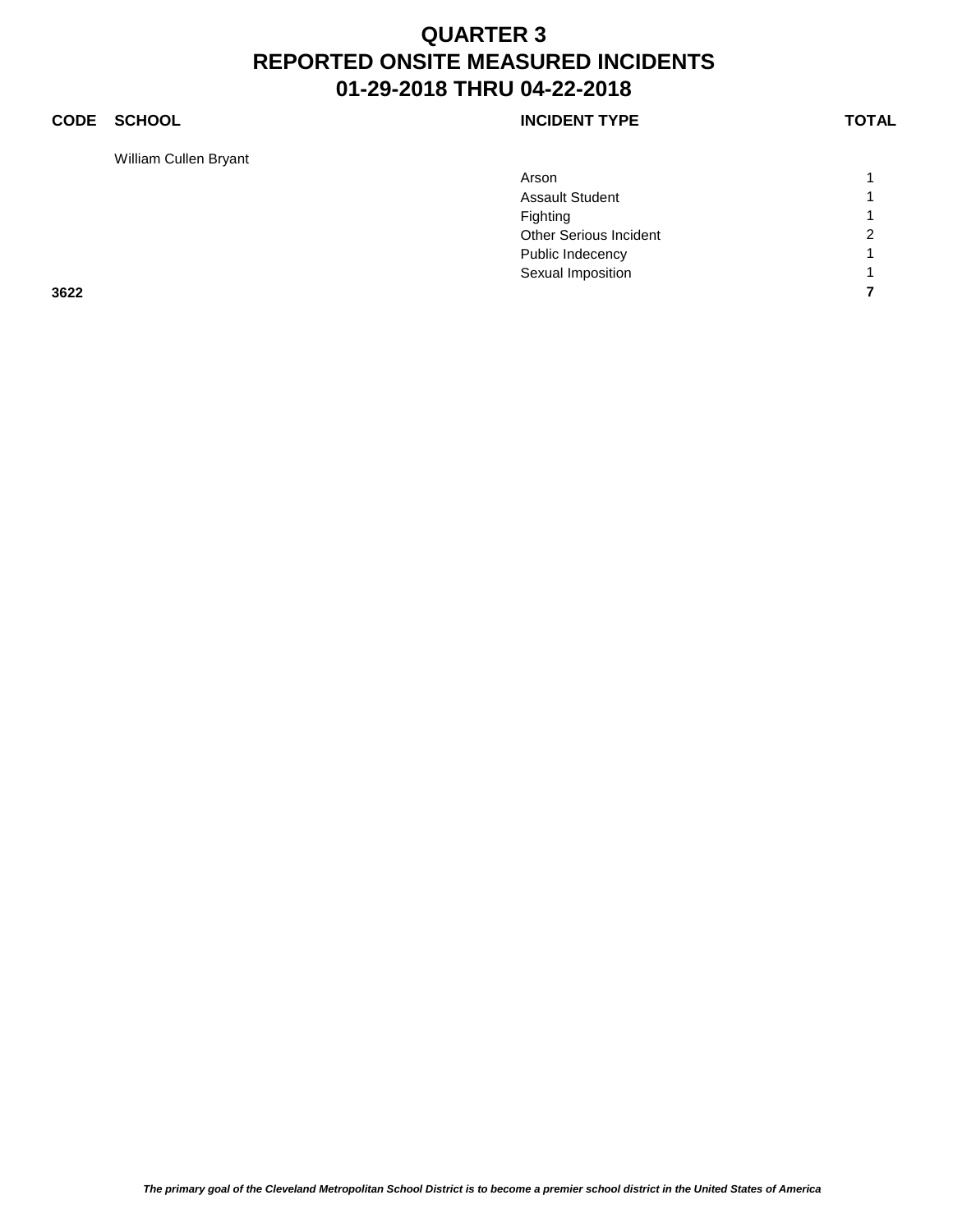### **CODE SCHOOL CODE SCHOOL**

William Cullen Bryant

| <b>INCIDENT TYPE</b> |
|----------------------|
|                      |

|      | Arson                  | $\overline{A}$ |
|------|------------------------|----------------|
|      | <b>Assault Student</b> | 4              |
|      | Fighting               | $\overline{ }$ |
|      | Other Serious Incident | $\overline{2}$ |
|      | Public Indecency       | 4              |
|      | Sexual Imposition      | 4              |
| 3622 |                        |                |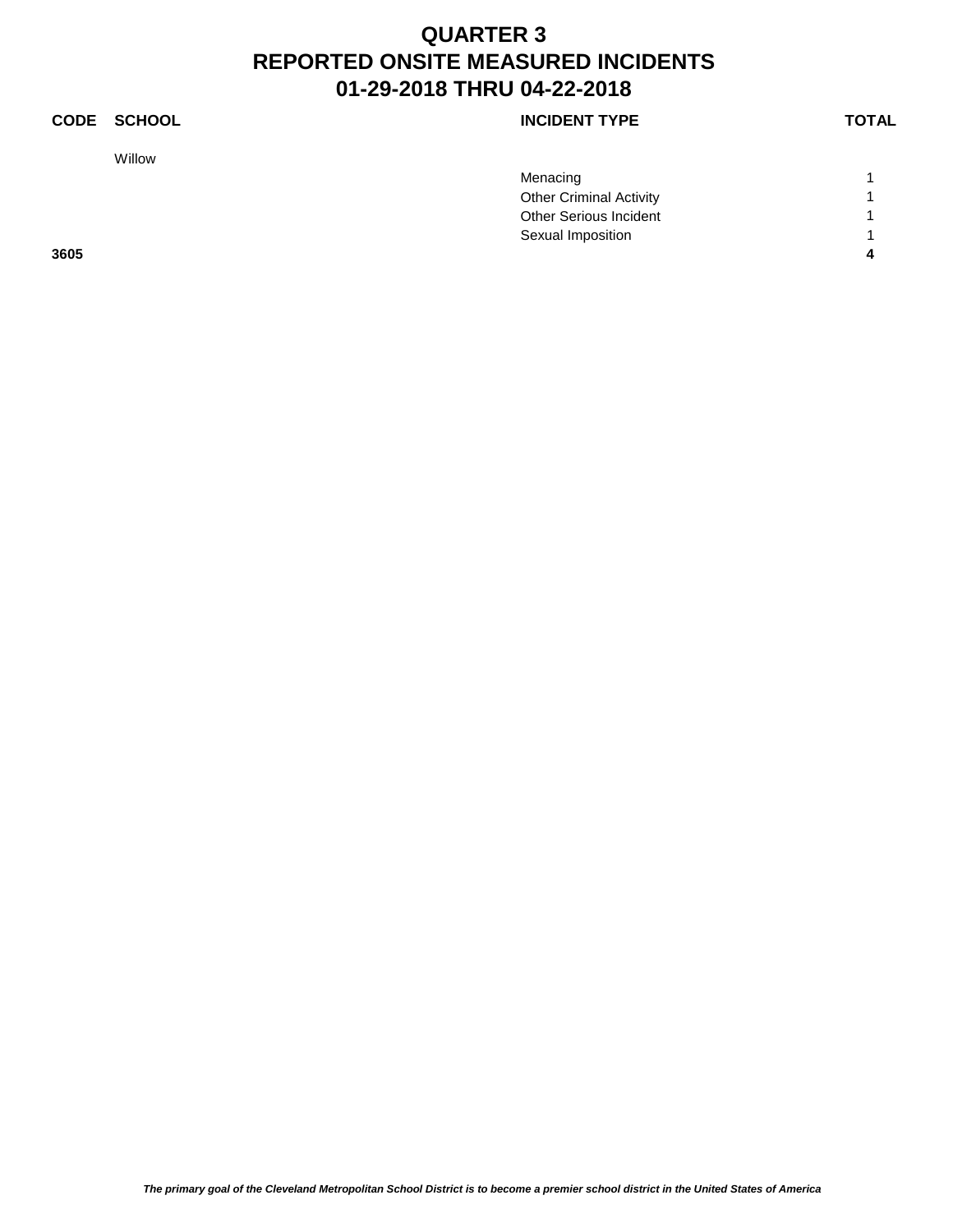### **CODE SCHOOL CODE SCHOOL**

Willow

|      | Menacing                       |  |
|------|--------------------------------|--|
|      | <b>Other Criminal Activity</b> |  |
|      | <b>Other Serious Incident</b>  |  |
|      | Sexual Imposition              |  |
| 3605 |                                |  |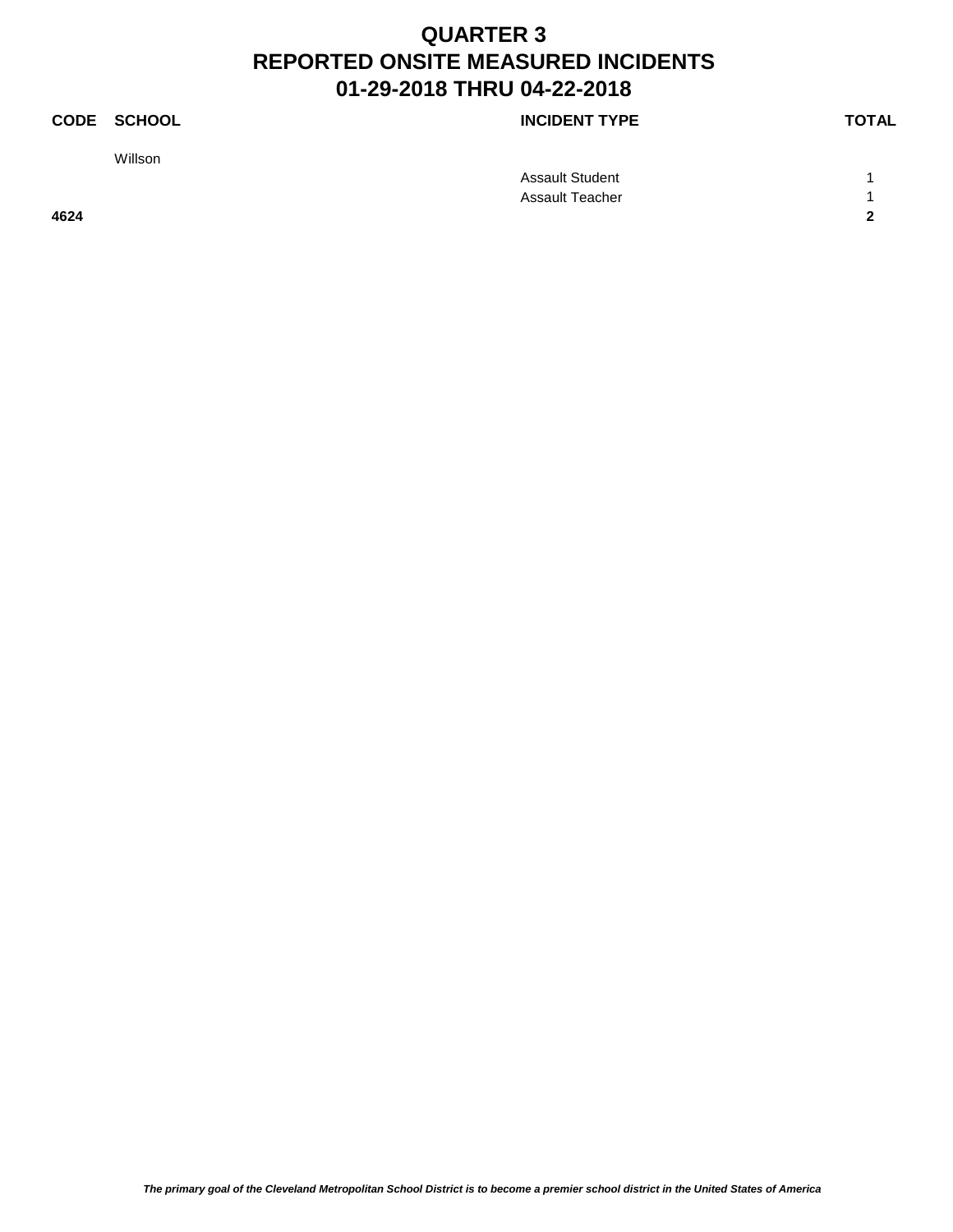Willson

|      | <b>Assault Student</b> |  |
|------|------------------------|--|
|      | <b>Assault Teacher</b> |  |
| 4624 |                        |  |